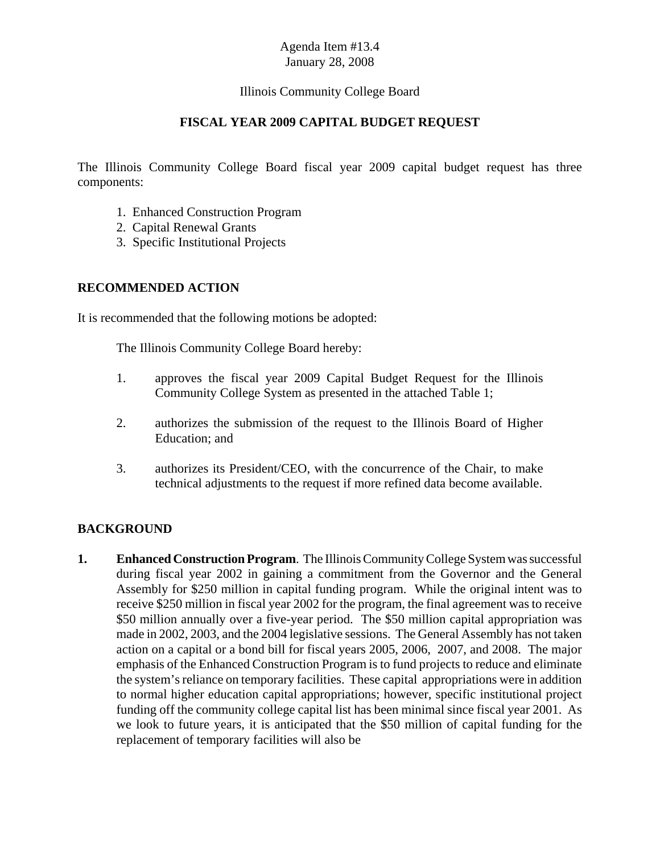#### Illinois Community College Board

#### **FISCAL YEAR 2009 CAPITAL BUDGET REQUEST**

The Illinois Community College Board fiscal year 2009 capital budget request has three components:

- 1. Enhanced Construction Program
- 2. Capital Renewal Grants
- 3. Specific Institutional Projects

#### **RECOMMENDED ACTION**

It is recommended that the following motions be adopted:

The Illinois Community College Board hereby:

- 1. approves the fiscal year 2009 Capital Budget Request for the Illinois Community College System as presented in the attached Table 1;
- 2. authorizes the submission of the request to the Illinois Board of Higher Education; and
- 3. authorizes its President/CEO, with the concurrence of the Chair, to make technical adjustments to the request if more refined data become available.

#### **BACKGROUND**

**1. Enhanced Construction Program**. The Illinois Community College System was successful during fiscal year 2002 in gaining a commitment from the Governor and the General Assembly for \$250 million in capital funding program. While the original intent was to receive \$250 million in fiscal year 2002 for the program, the final agreement was to receive \$50 million annually over a five-year period. The \$50 million capital appropriation was made in 2002, 2003, and the 2004 legislative sessions. The General Assembly has not taken action on a capital or a bond bill for fiscal years 2005, 2006, 2007, and 2008. The major emphasis of the Enhanced Construction Program is to fund projects to reduce and eliminate the system's reliance on temporary facilities. These capital appropriations were in addition to normal higher education capital appropriations; however, specific institutional project funding off the community college capital list has been minimal since fiscal year 2001. As we look to future years, it is anticipated that the \$50 million of capital funding for the replacement of temporary facilities will also be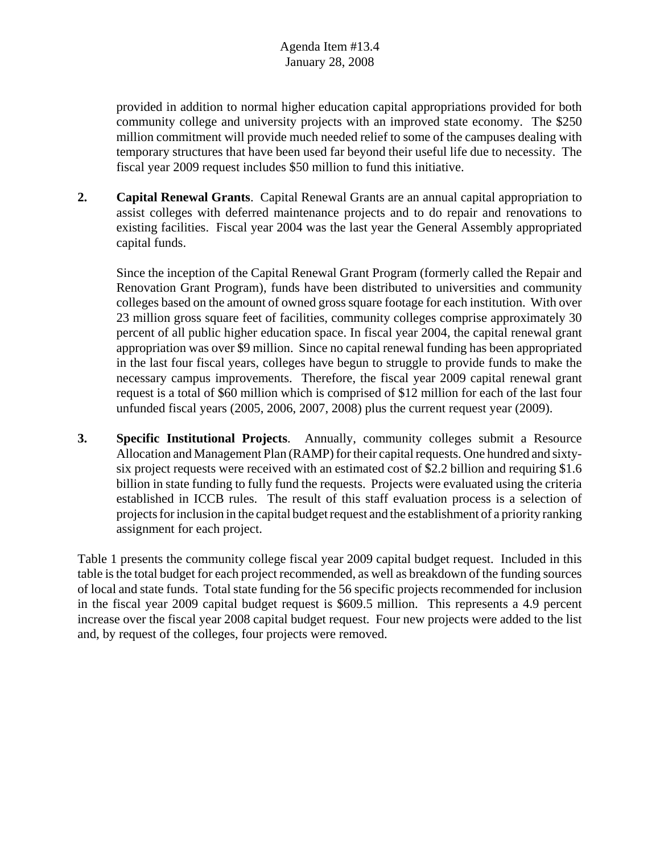provided in addition to normal higher education capital appropriations provided for both community college and university projects with an improved state economy. The \$250 million commitment will provide much needed relief to some of the campuses dealing with temporary structures that have been used far beyond their useful life due to necessity. The fiscal year 2009 request includes \$50 million to fund this initiative.

**2. Capital Renewal Grants**. Capital Renewal Grants are an annual capital appropriation to assist colleges with deferred maintenance projects and to do repair and renovations to existing facilities. Fiscal year 2004 was the last year the General Assembly appropriated capital funds.

Since the inception of the Capital Renewal Grant Program (formerly called the Repair and Renovation Grant Program), funds have been distributed to universities and community colleges based on the amount of owned gross square footage for each institution. With over 23 million gross square feet of facilities, community colleges comprise approximately 30 percent of all public higher education space. In fiscal year 2004, the capital renewal grant appropriation was over \$9 million. Since no capital renewal funding has been appropriated in the last four fiscal years, colleges have begun to struggle to provide funds to make the necessary campus improvements. Therefore, the fiscal year 2009 capital renewal grant request is a total of \$60 million which is comprised of \$12 million for each of the last four unfunded fiscal years (2005, 2006, 2007, 2008) plus the current request year (2009).

**3. Specific Institutional Projects**. Annually, community colleges submit a Resource Allocation and Management Plan (RAMP) for their capital requests. One hundred and sixtysix project requests were received with an estimated cost of \$2.2 billion and requiring \$1.6 billion in state funding to fully fund the requests. Projects were evaluated using the criteria established in ICCB rules. The result of this staff evaluation process is a selection of projects for inclusion in the capital budget request and the establishment of a priority ranking assignment for each project.

Table 1 presents the community college fiscal year 2009 capital budget request. Included in this table is the total budget for each project recommended, as well as breakdown of the funding sources of local and state funds. Total state funding for the 56 specific projects recommended for inclusion in the fiscal year 2009 capital budget request is \$609.5 million. This represents a 4.9 percent increase over the fiscal year 2008 capital budget request. Four new projects were added to the list and, by request of the colleges, four projects were removed.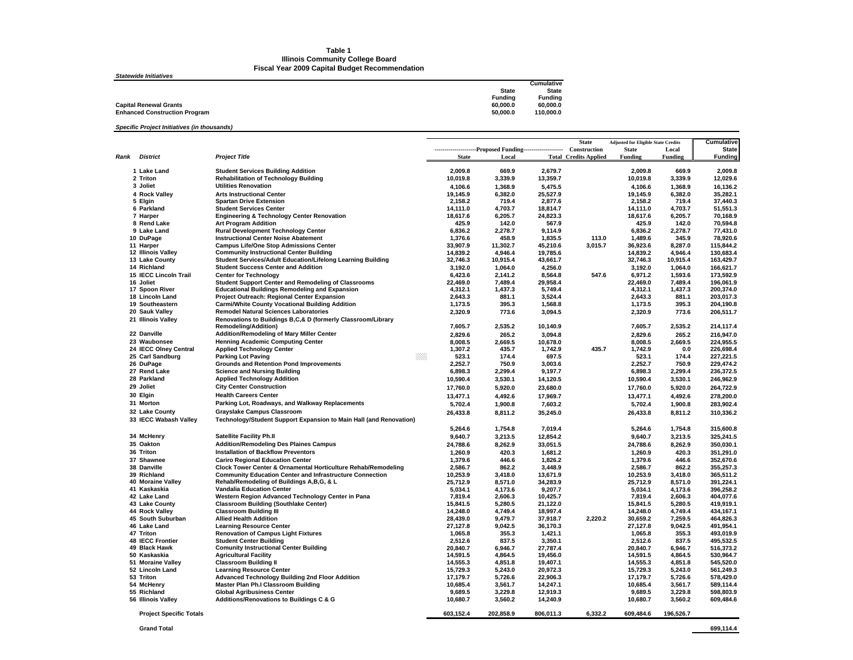#### **Table 1Illinois Community College Board**

**Fiscal Year 2009 Capital Budget Recommendation**

|              | Cumulative                             |
|--------------|----------------------------------------|
| <b>State</b> | <b>State</b>                           |
|              | <b>Funding</b>                         |
|              | 60.000.0                               |
|              | 110.000.0                              |
|              | <b>Fundina</b><br>60.000.0<br>50.000.0 |

#### *Specific Project Initiatives (in thousands)*

|      |                                      |                                                                                                        |                      |                                                                            |                      | <b>State</b>                 | <b>Adjusted for Eligible State Credits</b> |                    | Cumulative             |
|------|--------------------------------------|--------------------------------------------------------------------------------------------------------|----------------------|----------------------------------------------------------------------------|----------------------|------------------------------|--------------------------------------------|--------------------|------------------------|
|      |                                      |                                                                                                        |                      | ----------------------Proposed Funding----------------------- Construction |                      |                              | <b>State</b>                               | Local              | <b>State</b>           |
| Rank | <b>District</b>                      | <b>Project Title</b>                                                                                   | <b>State</b>         | Local                                                                      |                      | <b>Total Credits Applied</b> | <b>Funding</b>                             | Funding            | <b>Funding</b>         |
|      | 1 Lake Land                          | <b>Student Services Building Addition</b>                                                              | 2.009.8              | 669.9                                                                      | 2,679.7              |                              | 2,009.8                                    | 669.9              | 2,009.8                |
|      | 2 Triton                             | <b>Rehabilitation of Technology Building</b>                                                           | 10,019.8             | 3,339.9                                                                    | 13,359.7             |                              | 10,019.8                                   | 3,339.9            | 12,029.6               |
|      | 3 Joliet                             | <b>Utilities Renovation</b>                                                                            | 4,106.6              | 1,368.9                                                                    | 5,475.5              |                              | 4,106.6                                    | 1,368.9            | 16,136.2               |
|      | 4 Rock Valley                        | <b>Arts Instructional Center</b>                                                                       | 19,145.9             | 6,382.0                                                                    | 25,527.9             |                              | 19,145.9                                   | 6,382.0            | 35,282.1               |
|      | 5 Elgin                              | <b>Spartan Drive Extension</b>                                                                         | 2,158.2              | 719.4                                                                      | 2,877.6              |                              | 2,158.2                                    | 719.4              | 37,440.3               |
|      | 6 Parkland                           | <b>Student Services Center</b>                                                                         | 14.111.0             | 4.703.7                                                                    | 18,814.7             |                              | 14,111.0                                   | 4,703.7            | 51,551.3               |
|      | 7 Harper                             | <b>Engineering &amp; Technology Center Renovation</b>                                                  | 18.617.6             | 6,205.7                                                                    | 24,823.3             |                              | 18,617.6                                   | 6,205.7            | 70,168.9               |
|      | 8 Rend Lake                          | <b>Art Program Addition</b>                                                                            | 425.9                | 142.0                                                                      | 567.9                |                              | 425.9                                      | 142.0              | 70,594.8               |
|      | 9 Lake Land                          | <b>Rural Development Technology Center</b>                                                             | 6,836.2              | 2,278.7                                                                    | 9,114.9              |                              | 6,836.2                                    | 2,278.7            | 77,431.0               |
|      | 10 DuPage                            | <b>Instructional Center Noise Abatement</b>                                                            | 1,376.6              | 458.9                                                                      | 1,835.5              | 113.0                        | 1,489.6                                    | 345.9              | 78.920.6               |
|      | 11 Harper                            | <b>Campus Life/One Stop Admissions Center</b>                                                          | 33,907.9             | 11,302.7                                                                   | 45,210.6             | 3,015.7                      | 36,923.6                                   | 8,287.0            | 115,844.2              |
|      | 12 Illinois Valley                   | <b>Community Instructional Center Building</b>                                                         | 14,839.2             | 4,946.4                                                                    | 19,785.6             |                              | 14,839.2                                   | 4,946.4            | 130,683.4              |
|      | 13 Lake County                       | Student Services/Adult Education/Lifelong Learning Building                                            | 32,746.3             | 10,915.4                                                                   | 43,661.7             |                              | 32,746.3                                   | 10,915.4           | 163,429.7              |
|      | 14 Richland                          | <b>Student Success Center and Addition</b>                                                             | 3,192.0              | 1,064.0                                                                    | 4,256.0              |                              | 3,192.0                                    | 1,064.0            | 166,621.7              |
|      | <b>15 IECC Lincoln Trail</b>         | <b>Center for Technology</b>                                                                           | 6.423.6              | 2.141.2                                                                    | 8.564.8              | 547.6                        | 6.971.2                                    | 1,593.6            | 173.592.9              |
|      | 16 Joliet                            | Student Support Center and Remodeling of Classrooms                                                    | 22,469.0             | 7,489.4                                                                    | 29,958.4             |                              | 22,469.0                                   | 7,489.4            | 196,061.9              |
|      | 17 Spoon River                       | <b>Educational Buildings Remodeling and Expansion</b>                                                  | 4,312.1              | 1.437.3                                                                    | 5,749.4              |                              | 4.312.1                                    | 1,437.3            | 200.374.0              |
|      | 18 Lincoln Land                      | Project Outreach: Regional Center Expansion                                                            | 2,643.3              | 881.1                                                                      | 3,524.4              |                              | 2,643.3                                    | 881.1              | 203,017.3              |
|      | 19 Southeastern<br>20 Sauk Valley    | <b>Carmi/White County Vocational Building Addition</b><br><b>Remodel Natural Sciences Laboratories</b> | 1,173.5              | 395.3                                                                      | 1,568.8              |                              | 1,173.5                                    | 395.3              | 204,190.8              |
|      |                                      | Renovations to Buildings B,C,& D (formerly Classroom/Library                                           | 2,320.9              | 773.6                                                                      | 3,094.5              |                              | 2,320.9                                    | 773.6              | 206,511.7              |
|      | 21 Illinois Valley                   | <b>Remodeling/Addition)</b>                                                                            | 7,605.7              | 2,535.2                                                                    | 10,140.9             |                              | 7,605.7                                    | 2,535.2            | 214,117.4              |
|      | 22 Danville                          | Addition/Remodeling of Mary Miller Center                                                              | 2,829.6              | 265.2                                                                      | 3,094.8              |                              | 2,829.6                                    | 265.2              | 216,947.0              |
|      | 23 Waubonsee                         | <b>Henning Academic Computing Center</b>                                                               | 8.008.5              | 2.669.5                                                                    | 10.678.0             |                              | 8.008.5                                    | 2.669.5            | 224.955.5              |
|      | 24 IECC Olney Central                | <b>Applied Technology Center</b>                                                                       | 1.307.2              | 435.7                                                                      | 1.742.9              | 435.7                        | 1,742.9                                    | 0.0                | 226.698.4              |
|      | 25 Carl Sandburg                     | ※※<br><b>Parking Lot Paving</b>                                                                        | 523.1                | 174.4                                                                      | 697.5                |                              | 523.1                                      | 174.4              | 227,221.5              |
|      | 26 DuPage                            | <b>Grounds and Retention Pond Improvements</b>                                                         | 2,252.7              | 750.9                                                                      | 3,003.6              |                              | 2,252.7                                    | 750.9              | 229,474.2              |
|      | 27 Rend Lake                         | <b>Science and Nursing Building</b>                                                                    | 6,898.3              | 2,299.4                                                                    | 9,197.7              |                              | 6,898.3                                    | 2,299.4            | 236,372.5              |
|      | 28 Parkland                          | <b>Applied Technology Addition</b>                                                                     | 10,590.4             | 3,530.1                                                                    | 14,120.5             |                              | 10,590.4                                   | 3,530.1            | 246,962.9              |
|      | 29 Joliet                            | <b>City Center Construction</b>                                                                        | 17,760.0             | 5,920.0                                                                    | 23,680.0             |                              | 17,760.0                                   | 5,920.0            | 264,722.9              |
|      | 30 Elgin                             | <b>Health Careers Center</b>                                                                           | 13,477.1             | 4,492.6                                                                    | 17,969.7             |                              | 13,477.1                                   | 4,492.6            | 278,200.0              |
|      | 31 Morton                            | Parking Lot, Roadways, and Walkway Replacements                                                        | 5,702.4              | 1,900.8                                                                    | 7,603.2              |                              | 5,702.4                                    | 1,900.8            | 283,902.4              |
|      | 32 Lake County                       | <b>Grayslake Campus Classroom</b>                                                                      | 26,433.8             | 8,811.2                                                                    | 35,245.0             |                              | 26,433.8                                   | 8,811.2            | 310,336.2              |
|      | 33 IECC Wabash Valley                | Technology/Student Support Expansion to Main Hall (and Renovation)                                     |                      |                                                                            |                      |                              |                                            |                    |                        |
|      |                                      |                                                                                                        | 5,264.6              | 1,754.8                                                                    | 7,019.4              |                              | 5,264.6                                    | 1,754.8            | 315,600.8              |
|      | 34 McHenry                           | <b>Satellite Facility Ph.II</b>                                                                        | 9,640.7              | 3,213.5                                                                    | 12,854.2             |                              | 9,640.7                                    | 3,213.5            | 325,241.5              |
|      | 35 Oakton                            | <b>Addition/Remodeling Des Plaines Campus</b>                                                          | 24,788.6             | 8,262.9                                                                    | 33,051.5             |                              | 24,788.6                                   | 8,262.9            | 350,030.1              |
|      | 36 Triton                            | <b>Installation of Backflow Preventors</b>                                                             | 1,260.9              | 420.3                                                                      | 1,681.2              |                              | 1,260.9                                    | 420.3              | 351,291.0              |
|      | 37 Shawnee                           | <b>Cariro Regional Education Center</b>                                                                | 1,379.6              | 446.6                                                                      | 1,826.2              |                              | 1,379.6                                    | 446.6              | 352,670.6              |
|      | 38 Danville                          | Clock Tower Center & Ornamental Horticulture Rehab/Remodeling                                          | 2,586.7              | 862.2                                                                      | 3,448.9              |                              | 2,586.7                                    | 862.2              | 355,257.3              |
|      | 39 Richland                          | <b>Community Education Center and Infrastructure Connection</b>                                        | 10,253.9             | 3,418.0                                                                    | 13,671.9             |                              | 10,253.9                                   | 3,418.0            | 365,511.2              |
|      | 40 Moraine Valley                    | Rehab/Remodeling of Buildings A, B, G, & L                                                             | 25,712.9             | 8,571.0                                                                    | 34,283.9             |                              | 25,712.9                                   | 8,571.0            | 391,224.1              |
|      | 41 Kaskaskia                         | Vandalia Education Center                                                                              | 5,034.1              | 4,173.6                                                                    | 9,207.7              |                              | 5,034.1                                    | 4,173.6            | 396,258.2              |
|      | 42 Lake Land                         | Western Region Advanced Technology Center in Pana                                                      | 7.819.4              | 2.606.3                                                                    | 10.425.7             |                              | 7.819.4                                    | 2,606.3            | 404.077.6              |
|      | 43 Lake County                       | <b>Classroom Building (Southlake Center)</b>                                                           | 15,841.5             | 5,280.5                                                                    | 21,122.0             |                              | 15,841.5                                   | 5,280.5            | 419,919.1              |
|      | 44 Rock Valley                       | <b>Classroom Building III</b>                                                                          | 14,248.0             | 4.749.4                                                                    | 18,997.4             |                              | 14,248.0                                   | 4,749.4            | 434.167.1              |
|      | 45 South Suburban                    | <b>Allied Health Addition</b>                                                                          | 28,439.0             | 9,479.7                                                                    | 37,918.7             | 2,220.2                      | 30,659.2                                   | 7,259.5            | 464,826.3              |
|      | 46 Lake Land                         | <b>Learning Resource Center</b>                                                                        | 27,127.8             | 9,042.5                                                                    | 36,170.3             |                              | 27,127.8                                   | 9,042.5            | 491,954.1              |
|      | 47 Triton                            | <b>Renovation of Campus Light Fixtures</b>                                                             | 1,065.8              | 355.3                                                                      | 1,421.1              |                              | 1,065.8                                    | 355.3              | 493,019.9              |
|      | <b>48 IECC Frontier</b>              | <b>Student Center Building</b>                                                                         | 2,512.6              | 837.5                                                                      | 3,350.1              |                              | 2,512.6                                    | 837.5              | 495,532.5              |
|      | 49 Black Hawk                        | <b>Comunity Instructional Center Building</b>                                                          | 20.840.7             | 6.946.7                                                                    | 27.787.4             |                              | 20.840.7                                   | 6.946.7            | 516.373.2              |
|      | 50 Kaskaskia                         | <b>Agricultural Facility</b>                                                                           | 14,591.5<br>14.555.3 | 4,864.5<br>4.851.8                                                         | 19,456.0<br>19.407.1 |                              | 14,591.5                                   | 4,864.5            | 530,964.7<br>545.520.0 |
|      | 51 Moraine Valley<br>52 Lincoln Land | <b>Classroom Building II</b><br><b>Learning Resource Center</b>                                        | 15,729.3             | 5,243.0                                                                    | 20,972.3             |                              | 14,555.3<br>15,729.3                       | 4,851.8<br>5,243.0 | 561,249.3              |
|      | 53 Triton                            | Advanced Technology Building 2nd Floor Addition                                                        | 17,179.7             | 5,726.6                                                                    | 22,906.3             |                              | 17,179.7                                   | 5,726.6            | 578,429.0              |
|      | 54 McHenry                           | Master Plan Ph.I Classroom Building                                                                    | 10,685.4             | 3,561.7                                                                    | 14,247.1             |                              | 10,685.4                                   | 3,561.7            | 589,114.4              |
|      | 55 Richland                          | <b>Global Agribusiness Center</b>                                                                      | 9,689.5              | 3,229.8                                                                    | 12,919.3             |                              | 9,689.5                                    | 3,229.8            | 598,803.9              |
|      | 56 Illinois Valley                   | Additions/Renovations to Buildings C & G                                                               | 10,680.7             | 3,560.2                                                                    | 14,240.9             |                              | 10,680.7                                   | 3,560.2            | 609,484.6              |
|      |                                      |                                                                                                        |                      |                                                                            |                      |                              |                                            |                    |                        |
|      | <b>Project Specific Totals</b>       |                                                                                                        | 603,152.4            | 202,858.9                                                                  | 806,011.3            | 6,332.2                      | 609,484.6                                  | 196,526.7          |                        |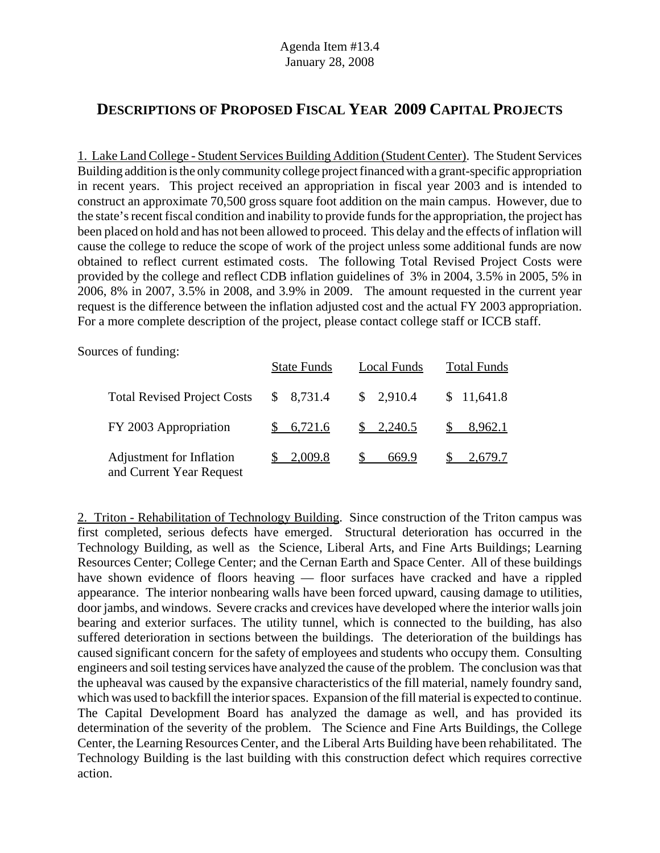# **DESCRIPTIONS OF PROPOSED FISCAL YEAR 2009 CAPITAL PROJECTS**

1. Lake Land College - Student Services Building Addition (Student Center). The Student Services Building addition is the only community college project financed with a grant-specific appropriation in recent years. This project received an appropriation in fiscal year 2003 and is intended to construct an approximate 70,500 gross square foot addition on the main campus. However, due to the state's recent fiscal condition and inability to provide funds for the appropriation, the project has been placed on hold and has not been allowed to proceed. This delay and the effects of inflation will cause the college to reduce the scope of work of the project unless some additional funds are now obtained to reflect current estimated costs. The following Total Revised Project Costs were provided by the college and reflect CDB inflation guidelines of 3% in 2004, 3.5% in 2005, 5% in 2006, 8% in 2007, 3.5% in 2008, and 3.9% in 2009. The amount requested in the current year request is the difference between the inflation adjusted cost and the actual FY 2003 appropriation. For a more complete description of the project, please contact college staff or ICCB staff.

Sources of funding:

|                                                      | <b>State Funds</b> | Local Funds             | <b>Total Funds</b> |
|------------------------------------------------------|--------------------|-------------------------|--------------------|
| <b>Total Revised Project Costs</b>                   | \$8,731.4          | \$2,910.4               | \$11,641.8         |
| FY 2003 Appropriation                                | \$6,721.6          | $\frac{\$}{2,240.5}$    | $\$\,8.962.1$      |
| Adjustment for Inflation<br>and Current Year Request | \$2,009.8          | $\mathbb{S}^-$<br>669.9 | 2,679.7            |

2. Triton - Rehabilitation of Technology Building. Since construction of the Triton campus was first completed, serious defects have emerged. Structural deterioration has occurred in the Technology Building, as well as the Science, Liberal Arts, and Fine Arts Buildings; Learning Resources Center; College Center; and the Cernan Earth and Space Center. All of these buildings have shown evidence of floors heaving — floor surfaces have cracked and have a rippled appearance. The interior nonbearing walls have been forced upward, causing damage to utilities, door jambs, and windows. Severe cracks and crevices have developed where the interior walls join bearing and exterior surfaces. The utility tunnel, which is connected to the building, has also suffered deterioration in sections between the buildings. The deterioration of the buildings has caused significant concern for the safety of employees and students who occupy them. Consulting engineers and soil testing services have analyzed the cause of the problem. The conclusion was that the upheaval was caused by the expansive characteristics of the fill material, namely foundry sand, which was used to backfill the interior spaces. Expansion of the fill material is expected to continue. The Capital Development Board has analyzed the damage as well, and has provided its determination of the severity of the problem. The Science and Fine Arts Buildings, the College Center, the Learning Resources Center, and the Liberal Arts Building have been rehabilitated. The Technology Building is the last building with this construction defect which requires corrective action.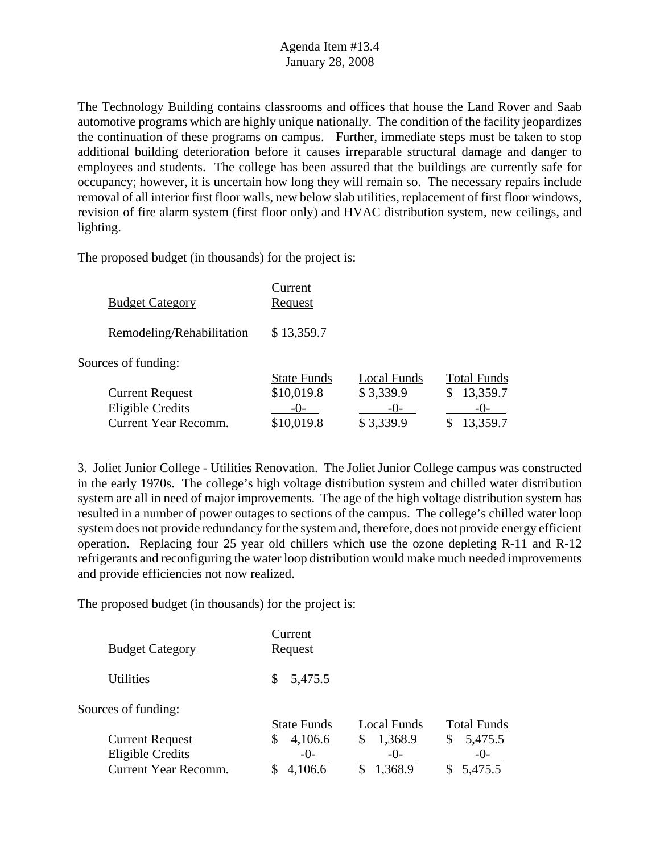The Technology Building contains classrooms and offices that house the Land Rover and Saab automotive programs which are highly unique nationally. The condition of the facility jeopardizes the continuation of these programs on campus. Further, immediate steps must be taken to stop additional building deterioration before it causes irreparable structural damage and danger to employees and students. The college has been assured that the buildings are currently safe for occupancy; however, it is uncertain how long they will remain so. The necessary repairs include removal of all interior first floor walls, new below slab utilities, replacement of first floor windows, revision of fire alarm system (first floor only) and HVAC distribution system, new ceilings, and lighting.

The proposed budget (in thousands) for the project is:

| <b>Budget Category</b>    | Current<br>Request |  |  |  |
|---------------------------|--------------------|--|--|--|
| Remodeling/Rehabilitation | \$13,359.7         |  |  |  |
| Sources of funding:       |                    |  |  |  |

|                        | <b>State Funds</b> | Local Funds | <b>Total Funds</b> |
|------------------------|--------------------|-------------|--------------------|
| <b>Current Request</b> | \$10,019.8         | \$3,339.9   | \$13,359.7         |
| Eligible Credits       | $-()$              | $-()$       | $-()$              |
| Current Year Recomm.   | \$10,019.8         | \$3,339.9   | \$13,359.7         |

3. Joliet Junior College - Utilities Renovation. The Joliet Junior College campus was constructed in the early 1970s. The college's high voltage distribution system and chilled water distribution system are all in need of major improvements. The age of the high voltage distribution system has resulted in a number of power outages to sections of the campus. The college's chilled water loop system does not provide redundancy for the system and, therefore, does not provide energy efficient operation. Replacing four 25 year old chillers which use the ozone depleting R-11 and R-12 refrigerants and reconfiguring the water loop distribution would make much needed improvements and provide efficiencies not now realized.

| <b>Utilities</b><br>5,475.5<br>S.                                                     |  |
|---------------------------------------------------------------------------------------|--|
| Sources of funding:<br><b>Total Funds</b><br><b>State Funds</b><br><b>Local Funds</b> |  |
| 1,368.9<br>4,106.6<br>5,475.5<br><b>Current Request</b><br>\$<br>\$<br>S              |  |
| <b>Eligible Credits</b><br>$-()$<br>$-()$ -<br>$-()$                                  |  |
| <b>Current Year Recomm.</b><br>1,368.9<br>5,475.5<br>4,106.6                          |  |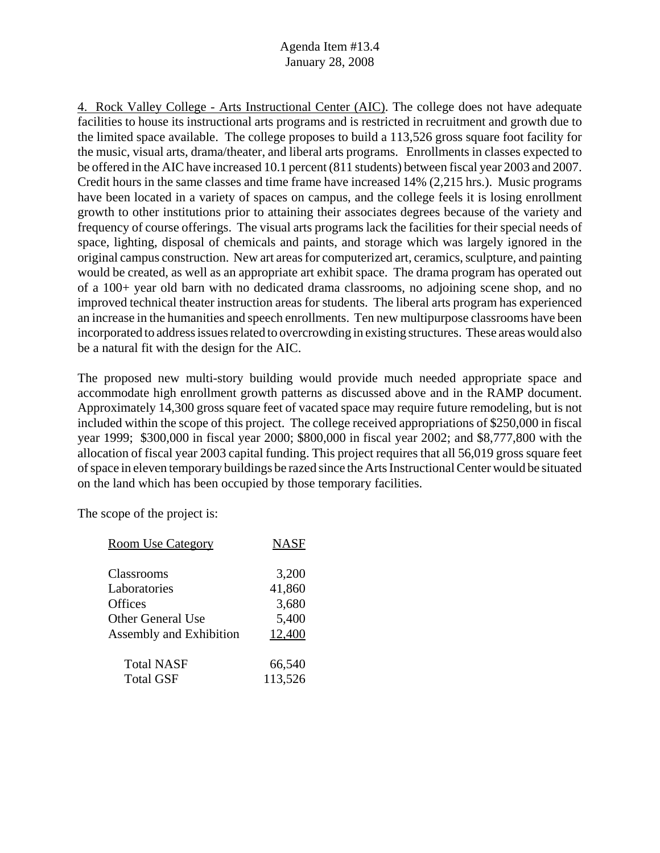4. Rock Valley College - Arts Instructional Center (AIC). The college does not have adequate facilities to house its instructional arts programs and is restricted in recruitment and growth due to the limited space available. The college proposes to build a 113,526 gross square foot facility for the music, visual arts, drama/theater, and liberal arts programs. Enrollments in classes expected to be offered in the AIC have increased 10.1 percent (811 students) between fiscal year 2003 and 2007. Credit hours in the same classes and time frame have increased 14% (2,215 hrs.). Music programs have been located in a variety of spaces on campus, and the college feels it is losing enrollment growth to other institutions prior to attaining their associates degrees because of the variety and frequency of course offerings. The visual arts programs lack the facilities for their special needs of space, lighting, disposal of chemicals and paints, and storage which was largely ignored in the original campus construction. New art areas for computerized art, ceramics, sculpture, and painting would be created, as well as an appropriate art exhibit space. The drama program has operated out of a 100+ year old barn with no dedicated drama classrooms, no adjoining scene shop, and no improved technical theater instruction areas for students. The liberal arts program has experienced an increase in the humanities and speech enrollments. Ten new multipurpose classrooms have been incorporated to address issues related to overcrowding in existing structures. These areas would also be a natural fit with the design for the AIC.

The proposed new multi-story building would provide much needed appropriate space and accommodate high enrollment growth patterns as discussed above and in the RAMP document. Approximately 14,300 gross square feet of vacated space may require future remodeling, but is not included within the scope of this project. The college received appropriations of \$250,000 in fiscal year 1999; \$300,000 in fiscal year 2000; \$800,000 in fiscal year 2002; and \$8,777,800 with the allocation of fiscal year 2003 capital funding. This project requires that all 56,019 gross square feet of space in eleven temporary buildings be razed since the Arts Instructional Center would be situated on the land which has been occupied by those temporary facilities.

| <b>Room Use Category</b>       | <b>NASF</b> |
|--------------------------------|-------------|
|                                |             |
| Classrooms                     | 3,200       |
| Laboratories                   | 41,860      |
| Offices                        | 3,680       |
| <b>Other General Use</b>       | 5,400       |
| <b>Assembly and Exhibition</b> | 12,400      |
| <b>Total NASF</b>              | 66,540      |
| <b>Total GSF</b>               | 113,526     |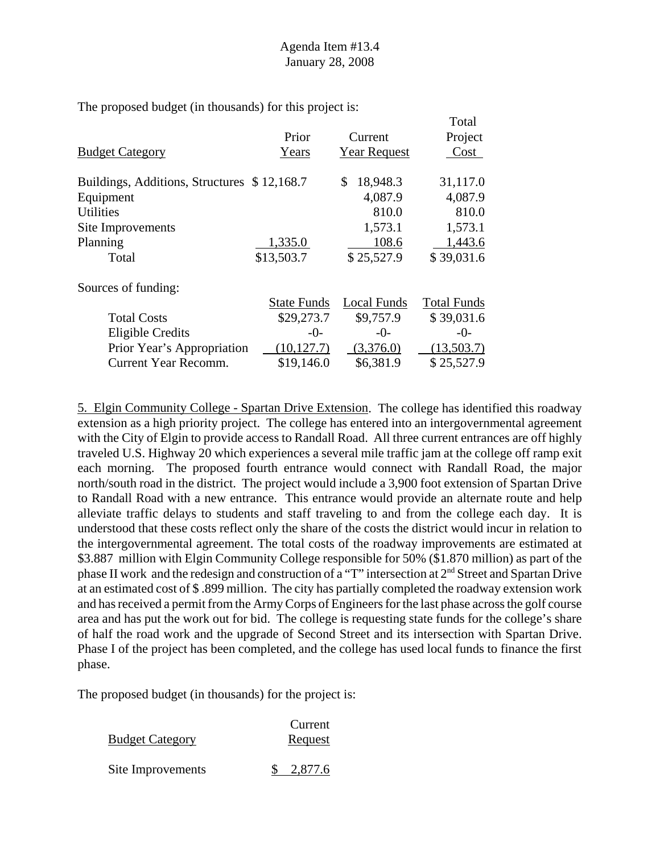$T<sub>1</sub>$ 

The proposed budget (in thousands) for this project is:

|                                             |                     | 1 otal             |
|---------------------------------------------|---------------------|--------------------|
| Prior                                       | Current             | Project            |
| Years                                       | <b>Year Request</b> | Cost               |
| Buildings, Additions, Structures \$12,168.7 | 18,948.3<br>\$      | 31,117.0           |
|                                             | 4,087.9             | 4,087.9            |
|                                             | 810.0               | 810.0              |
|                                             | 1,573.1             | 1,573.1            |
| 1,335.0                                     | 108.6               | 1,443.6            |
| \$13,503.7                                  | \$25,527.9          | \$39,031.6         |
|                                             |                     |                    |
| <b>State Funds</b>                          | <b>Local Funds</b>  | <b>Total Funds</b> |
| \$29,273.7                                  | \$9,757.9           | \$39,031.6         |
| -0-                                         | $-0-$               | $-0-$              |
| (10, 127.7)                                 | (3,376.0)           | (13,503.7)         |
| \$19,146.0                                  | \$6,381.9           | \$25,527.9         |
|                                             |                     |                    |

5. Elgin Community College - Spartan Drive Extension. The college has identified this roadway extension as a high priority project. The college has entered into an intergovernmental agreement with the City of Elgin to provide access to Randall Road. All three current entrances are off highly traveled U.S. Highway 20 which experiences a several mile traffic jam at the college off ramp exit each morning. The proposed fourth entrance would connect with Randall Road, the major north/south road in the district. The project would include a 3,900 foot extension of Spartan Drive to Randall Road with a new entrance. This entrance would provide an alternate route and help alleviate traffic delays to students and staff traveling to and from the college each day. It is understood that these costs reflect only the share of the costs the district would incur in relation to the intergovernmental agreement. The total costs of the roadway improvements are estimated at \$3.887 million with Elgin Community College responsible for 50% (\$1.870 million) as part of the phase II work and the redesign and construction of a "T" intersection at 2<sup>nd</sup> Street and Spartan Drive at an estimated cost of \$ .899 million. The city has partially completed the roadway extension work and has received a permit from the Army Corps of Engineers for the last phase across the golf course area and has put the work out for bid. The college is requesting state funds for the college's share of half the road work and the upgrade of Second Street and its intersection with Spartan Drive. Phase I of the project has been completed, and the college has used local funds to finance the first phase.

|                        | Current |
|------------------------|---------|
| <b>Budget Category</b> | Request |
| Site Improvements      | 2,877.6 |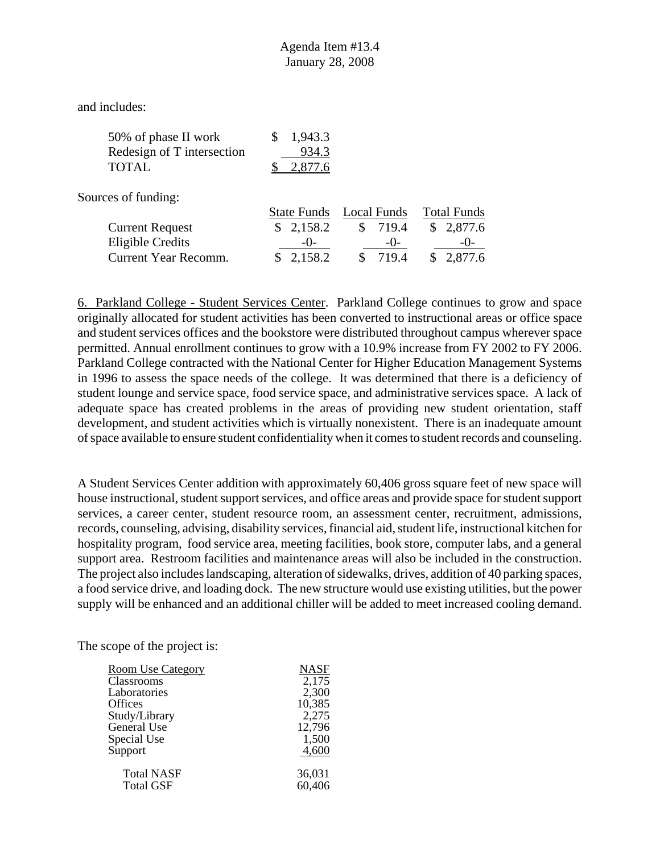and includes:

| 50% of phase II work       | \$1,943.3 |
|----------------------------|-----------|
| Redesign of T intersection | 934.3     |
| <b>TOTAL</b>               | \$2,877.6 |

Sources of funding:

|                        | State Funds Local Funds |          | <b>Total Funds</b> |
|------------------------|-------------------------|----------|--------------------|
| <b>Current Request</b> | \$2,158.2               | \$ 719.4 | \$2,877.6          |
| Eligible Credits       | $-()$                   | $-()$    | $-()$              |
| Current Year Recomm.   | \$2,158.2               | \$719.4  | \$2,877.6          |

6. Parkland College - Student Services Center. Parkland College continues to grow and space originally allocated for student activities has been converted to instructional areas or office space and student services offices and the bookstore were distributed throughout campus wherever space permitted. Annual enrollment continues to grow with a 10.9% increase from FY 2002 to FY 2006. Parkland College contracted with the National Center for Higher Education Management Systems in 1996 to assess the space needs of the college. It was determined that there is a deficiency of student lounge and service space, food service space, and administrative services space. A lack of adequate space has created problems in the areas of providing new student orientation, staff development, and student activities which is virtually nonexistent. There is an inadequate amount of space available to ensure student confidentiality when it comes to student records and counseling.

A Student Services Center addition with approximately 60,406 gross square feet of new space will house instructional, student support services, and office areas and provide space for student support services, a career center, student resource room, an assessment center, recruitment, admissions, records, counseling, advising, disability services, financial aid, student life, instructional kitchen for hospitality program, food service area, meeting facilities, book store, computer labs, and a general support area. Restroom facilities and maintenance areas will also be included in the construction. The project also includes landscaping, alteration of sidewalks, drives, addition of 40 parking spaces, a food service drive, and loading dock. The new structure would use existing utilities, but the power supply will be enhanced and an additional chiller will be added to meet increased cooling demand.

| <b>Room Use Category</b> | <b>NASF</b> |
|--------------------------|-------------|
| Classrooms               | 2,175       |
| Laboratories             | 2,300       |
| <b>Offices</b>           | 10,385      |
| Study/Library            | 2,275       |
| General Use              | 12,796      |
| Special Use              | 1,500       |
| Support                  | 4,600       |
| <b>Total NASF</b>        | 36,031      |
| <b>Total GSF</b>         | 60,406      |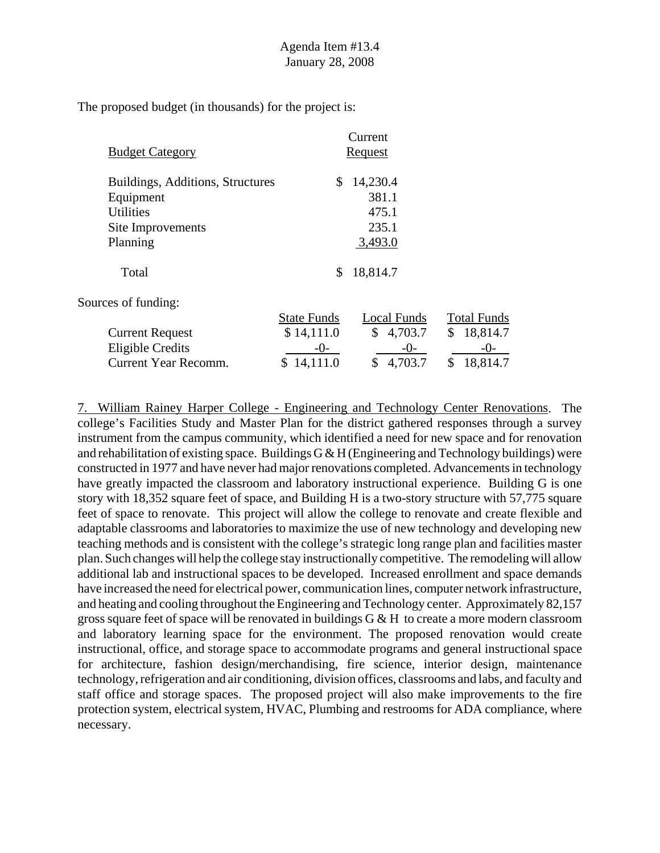|                                  |                    | Current                 |                    |
|----------------------------------|--------------------|-------------------------|--------------------|
| <b>Budget Category</b>           |                    | <b>Request</b>          |                    |
| Buildings, Additions, Structures | \$                 | 14,230.4                |                    |
| Equipment                        |                    | 381.1                   |                    |
| <b>Utilities</b>                 |                    | 475.1                   |                    |
| Site Improvements                |                    | 235.1                   |                    |
| Planning                         |                    | 3,493.0                 |                    |
| Total                            | \$                 | 18,814.7                |                    |
| Sources of funding:              |                    |                         |                    |
|                                  | <b>State Funds</b> | <b>Local Funds</b>      | <b>Total Funds</b> |
| <b>Current Request</b>           | \$14,111.0         | $\mathbb{S}$<br>4,703.7 | \$<br>18,814.7     |
| Eligible Credits                 | $-()$              | $-0-$                   | -()-               |
| Current Year Recomm.             | 14,111.0<br>S      | 4,703.7<br>\$           | 18,814.7<br>\$     |

7. William Rainey Harper College - Engineering and Technology Center Renovations. The college's Facilities Study and Master Plan for the district gathered responses through a survey instrument from the campus community, which identified a need for new space and for renovation and rehabilitation of existing space. Buildings  $G \& H$  (Engineering and Technology buildings) were constructed in 1977 and have never had major renovations completed. Advancements in technology have greatly impacted the classroom and laboratory instructional experience. Building G is one story with 18,352 square feet of space, and Building H is a two-story structure with 57,775 square feet of space to renovate. This project will allow the college to renovate and create flexible and adaptable classrooms and laboratories to maximize the use of new technology and developing new teaching methods and is consistent with the college's strategic long range plan and facilities master plan. Such changes will help the college stay instructionally competitive. The remodeling will allow additional lab and instructional spaces to be developed. Increased enrollment and space demands have increased the need for electrical power, communication lines, computer network infrastructure, and heating and cooling throughout the Engineering and Technology center. Approximately 82,157 gross square feet of space will be renovated in buildings  $G \& H$  to create a more modern classroom and laboratory learning space for the environment. The proposed renovation would create instructional, office, and storage space to accommodate programs and general instructional space for architecture, fashion design/merchandising, fire science, interior design, maintenance technology, refrigeration and air conditioning, division offices, classrooms and labs, and faculty and staff office and storage spaces. The proposed project will also make improvements to the fire protection system, electrical system, HVAC, Plumbing and restrooms for ADA compliance, where necessary.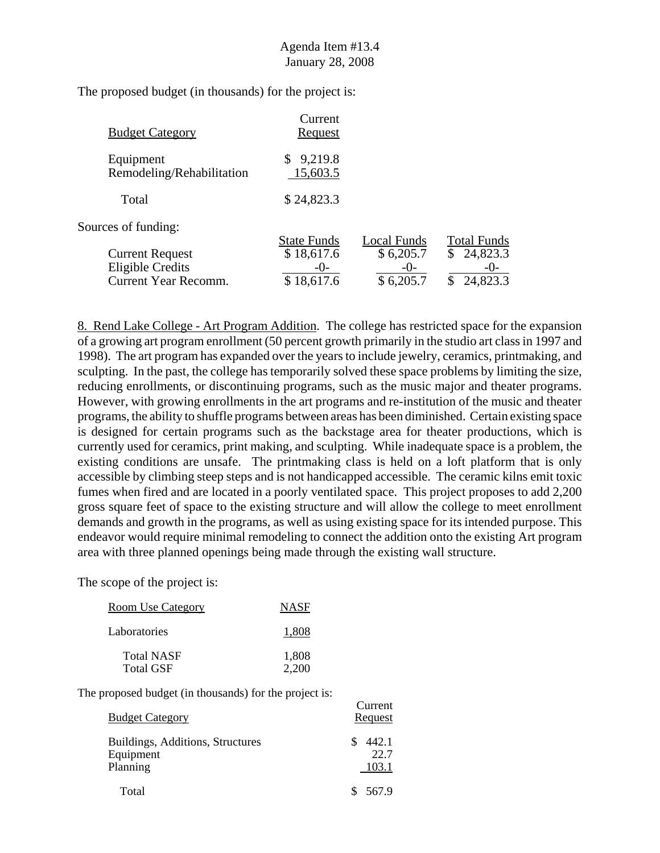| <b>Budget Category</b>                                                           | Current<br>Request                                    |                                                  |                                                                 |
|----------------------------------------------------------------------------------|-------------------------------------------------------|--------------------------------------------------|-----------------------------------------------------------------|
| Equipment<br>Remodeling/Rehabilitation                                           | 9,219.8<br>15,603.5                                   |                                                  |                                                                 |
| Total                                                                            | \$24,823.3                                            |                                                  |                                                                 |
| Sources of funding:                                                              |                                                       |                                                  |                                                                 |
| <b>Current Request</b><br><b>Eligible Credits</b><br><b>Current Year Recomm.</b> | <b>State Funds</b><br>\$18,617.6<br>$-()$<br>18,617.6 | Local Funds<br>\$6,205.7<br>$-()$ -<br>\$6,205.7 | <b>Total Funds</b><br>24,823.3<br>\$<br>$-()$<br>24,823.3<br>\$ |

8. Rend Lake College - Art Program Addition. The college has restricted space for the expansion of a growing art program enrollment (50 percent growth primarily in the studio art class in 1997 and 1998). The art program has expanded over the years to include jewelry, ceramics, printmaking, and sculpting. In the past, the college has temporarily solved these space problems by limiting the size, reducing enrollments, or discontinuing programs, such as the music major and theater programs. However, with growing enrollments in the art programs and re-institution of the music and theater programs, the ability to shuffle programs between areas has been diminished. Certain existing space is designed for certain programs such as the backstage area for theater productions, which is currently used for ceramics, print making, and sculpting. While inadequate space is a problem, the existing conditions are unsafe. The printmaking class is held on a loft platform that is only accessible by climbing steep steps and is not handicapped accessible. The ceramic kilns emit toxic fumes when fired and are located in a poorly ventilated space. This project proposes to add 2,200 gross square feet of space to the existing structure and will allow the college to meet enrollment demands and growth in the programs, as well as using existing space for its intended purpose. This endeavor would require minimal remodeling to connect the addition onto the existing Art program area with three planned openings being made through the existing wall structure.

 $C$ 

The scope of the project is:

| Room Use Category                     | <b>NASF</b>    |
|---------------------------------------|----------------|
| Laboratories                          | 1.808          |
| <b>Total NASF</b><br><b>Total GSF</b> | 1,808<br>2,200 |

| <b>Budget Category</b>                                    | Curiche<br>Request     |
|-----------------------------------------------------------|------------------------|
| Buildings, Additions, Structures<br>Equipment<br>Planning | 442.1<br>22.7<br>103.1 |
| Total                                                     | 567.9                  |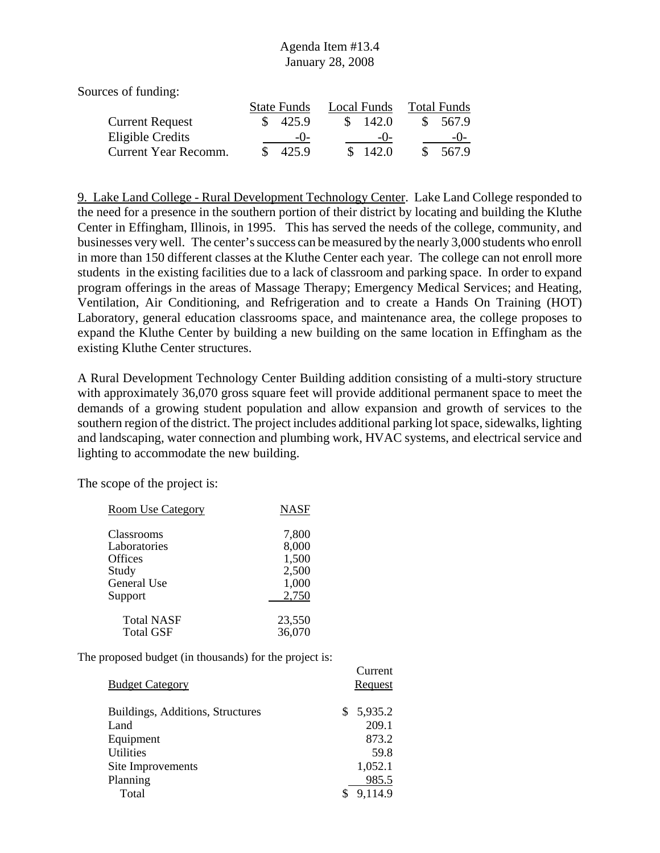Sources of funding:

|                        | <b>State Funds</b> |                    |    | Local Funds        | <b>Total Funds</b> |          |  |
|------------------------|--------------------|--------------------|----|--------------------|--------------------|----------|--|
| <b>Current Request</b> |                    | $\frac{\$}{425.9}$ | S. | 142.0              |                    | \$ 567.9 |  |
| Eligible Credits       |                    | $-()$              |    | $-()$              |                    | $-()$    |  |
| Current Year Recomm.   | \$.                | 425.9              |    | $\frac{\$}{142.0}$ | S.                 | 567.9    |  |

9. Lake Land College - Rural Development Technology Center. Lake Land College responded to the need for a presence in the southern portion of their district by locating and building the Kluthe Center in Effingham, Illinois, in 1995. This has served the needs of the college, community, and businesses very well. The center's success can be measured by the nearly 3,000 students who enroll in more than 150 different classes at the Kluthe Center each year. The college can not enroll more students in the existing facilities due to a lack of classroom and parking space. In order to expand program offerings in the areas of Massage Therapy; Emergency Medical Services; and Heating, Ventilation, Air Conditioning, and Refrigeration and to create a Hands On Training (HOT) Laboratory, general education classrooms space, and maintenance area, the college proposes to expand the Kluthe Center by building a new building on the same location in Effingham as the existing Kluthe Center structures.

A Rural Development Technology Center Building addition consisting of a multi-story structure with approximately 36,070 gross square feet will provide additional permanent space to meet the demands of a growing student population and allow expansion and growth of services to the southern region of the district. The project includes additional parking lot space, sidewalks, lighting and landscaping, water connection and plumbing work, HVAC systems, and electrical service and lighting to accommodate the new building.

The scope of the project is:

| <b>Room Use Category</b> | <b>NASF</b> |
|--------------------------|-------------|
| Classrooms               | 7,800       |
| Laboratories             | 8,000       |
| Offices                  | 1,500       |
| Study                    | 2,500       |
| General Use              | 1,000       |
| Support                  | 2,750       |
| <b>Total NASF</b>        | 23,550      |
| <b>Total GSF</b>         | 36,070      |

| <b>Budget Category</b>           | Current<br>Request |
|----------------------------------|--------------------|
| Buildings, Additions, Structures | 5,935.2<br>S       |
| Land                             | 209.1              |
| Equipment                        | 873.2              |
| <b>Utilities</b>                 | 59.8               |
| Site Improvements                | 1,052.1            |
| Planning                         | 985.5              |
| Total                            | 9,114.9            |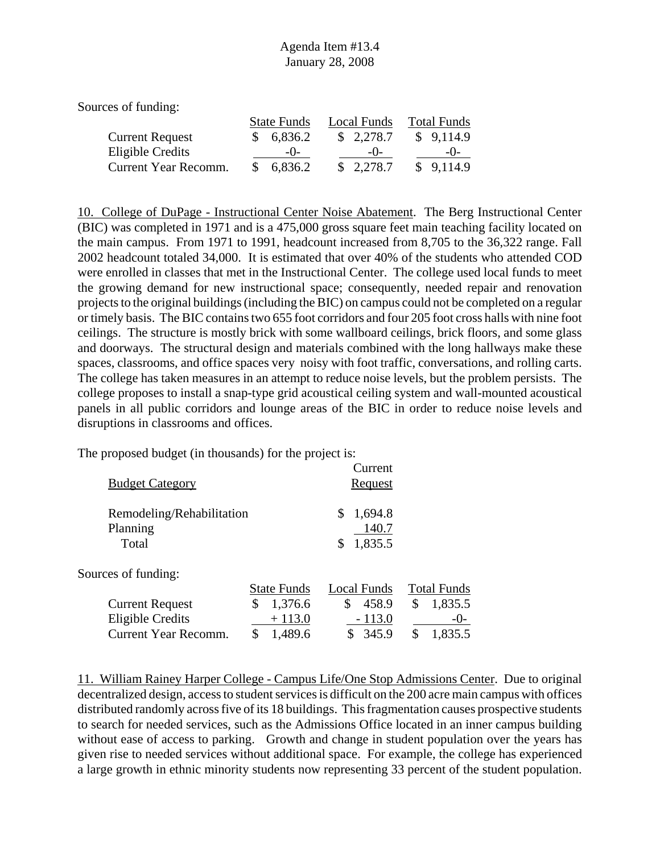Sources of funding:

|                        |  | <b>State Funds</b> | Local Funds |           |  | <b>Total Funds</b> |  |  |
|------------------------|--|--------------------|-------------|-----------|--|--------------------|--|--|
| <b>Current Request</b> |  | \$6,836.2          |             | \$2,278.7 |  | \$9,114.9          |  |  |
| Eligible Credits       |  | $-()$              |             | $-()$     |  | $-()$              |  |  |
| Current Year Recomm.   |  | \$6,836.2          |             | \$2,278.7 |  | \$9,114.9          |  |  |

10. College of DuPage - Instructional Center Noise Abatement. The Berg Instructional Center (BIC) was completed in 1971 and is a 475,000 gross square feet main teaching facility located on the main campus. From 1971 to 1991, headcount increased from 8,705 to the 36,322 range. Fall 2002 headcount totaled 34,000. It is estimated that over 40% of the students who attended COD were enrolled in classes that met in the Instructional Center. The college used local funds to meet the growing demand for new instructional space; consequently, needed repair and renovation projects to the original buildings (including the BIC) on campus could not be completed on a regular or timely basis. The BIC contains two 655 foot corridors and four 205 foot cross halls with nine foot ceilings. The structure is mostly brick with some wallboard ceilings, brick floors, and some glass and doorways. The structural design and materials combined with the long hallways make these spaces, classrooms, and office spaces very noisy with foot traffic, conversations, and rolling carts. The college has taken measures in an attempt to reduce noise levels, but the problem persists. The college proposes to install a snap-type grid acoustical ceiling system and wall-mounted acoustical panels in all public corridors and lounge areas of the BIC in order to reduce noise levels and disruptions in classrooms and offices.

The proposed budget (in thousands) for the project is:

| <b>Budget Category</b>                         |                    | Current<br>Request                      |                    |
|------------------------------------------------|--------------------|-----------------------------------------|--------------------|
| Remodeling/Rehabilitation<br>Planning<br>Total |                    | 1,694.8<br>\$<br>140.7<br>1,835.5<br>\$ |                    |
| Sources of funding:                            |                    |                                         |                    |
|                                                | <b>State Funds</b> | Local Funds                             | <b>Total Funds</b> |
| <b>Current Request</b>                         | \$<br>1,376.6      | \$<br>458.9                             | 1,835.5<br>\$      |
| <b>Eligible Credits</b>                        | $+113.0$           | $-113.0$                                | $-()$              |
| Current Year Recomm.                           | \$<br>1,489.6      | 345.9                                   | 1,835.5<br>\$      |
|                                                |                    |                                         |                    |

11. William Rainey Harper College - Campus Life/One Stop Admissions Center. Due to original decentralized design, access to student services is difficult on the 200 acre main campus with offices distributed randomly across five of its 18 buildings. This fragmentation causes prospective students to search for needed services, such as the Admissions Office located in an inner campus building without ease of access to parking. Growth and change in student population over the years has given rise to needed services without additional space. For example, the college has experienced a large growth in ethnic minority students now representing 33 percent of the student population.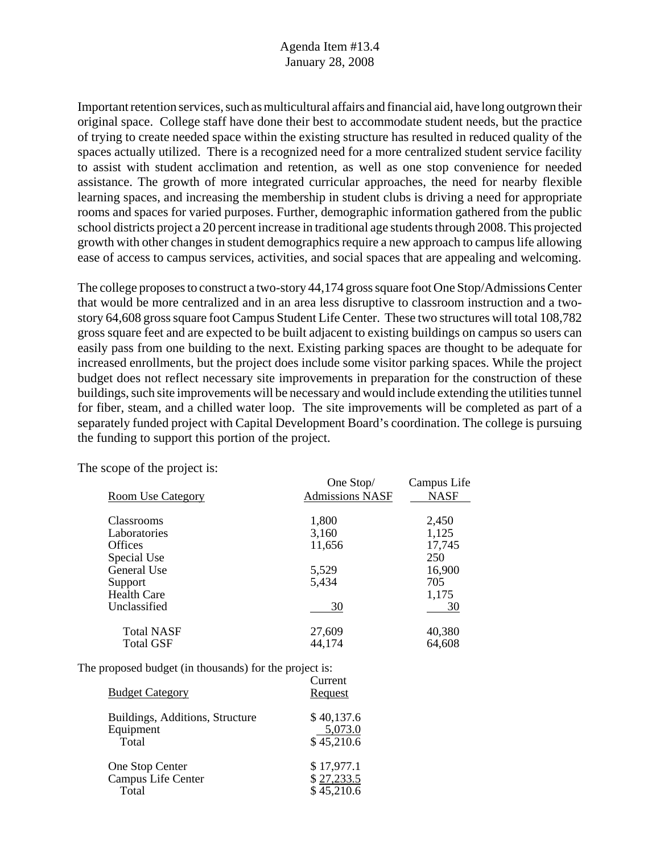Important retention services, such as multicultural affairs and financial aid, have long outgrown their original space. College staff have done their best to accommodate student needs, but the practice of trying to create needed space within the existing structure has resulted in reduced quality of the spaces actually utilized. There is a recognized need for a more centralized student service facility to assist with student acclimation and retention, as well as one stop convenience for needed assistance. The growth of more integrated curricular approaches, the need for nearby flexible learning spaces, and increasing the membership in student clubs is driving a need for appropriate rooms and spaces for varied purposes. Further, demographic information gathered from the public school districts project a 20 percent increase in traditional age students through 2008. This projected growth with other changes in student demographics require a new approach to campus life allowing ease of access to campus services, activities, and social spaces that are appealing and welcoming.

The college proposes to construct a two-story 44,174 gross square foot One Stop/Admissions Center that would be more centralized and in an area less disruptive to classroom instruction and a twostory 64,608 gross square foot Campus Student Life Center. These two structures will total 108,782 gross square feet and are expected to be built adjacent to existing buildings on campus so users can easily pass from one building to the next. Existing parking spaces are thought to be adequate for increased enrollments, but the project does include some visitor parking spaces. While the project budget does not reflect necessary site improvements in preparation for the construction of these buildings, such site improvements will be necessary and would include extending the utilities tunnel for fiber, steam, and a chilled water loop. The site improvements will be completed as part of a separately funded project with Capital Development Board's coordination. The college is pursuing the funding to support this portion of the project.

|                          | One Stop/              | Campus Life |  |
|--------------------------|------------------------|-------------|--|
| <b>Room Use Category</b> | <b>Admissions NASF</b> | <b>NASF</b> |  |
|                          |                        |             |  |
| <b>Classrooms</b>        | 1,800                  | 2,450       |  |
| Laboratories             | 3,160                  | 1,125       |  |
| <b>Offices</b>           | 11,656                 | 17,745      |  |
| Special Use              |                        | 250         |  |
| General Use              | 5,529                  | 16,900      |  |
| Support                  | 5,434                  | 705         |  |
| <b>Health Care</b>       |                        | 1,175       |  |
| Unclassified             | 30                     | 30          |  |
| <b>Total NASF</b>        | 27,609                 | 40,380      |  |
| Total GSF                | 44,174                 | 64,608      |  |

The scope of the project is:

| <b>Budget Category</b>          | Current<br>Request |
|---------------------------------|--------------------|
| Buildings, Additions, Structure | \$40,137.6         |
| Equipment                       | 5,073.0            |
| Total                           | \$45,210.6         |
| One Stop Center                 | \$17,977.1         |
| Campus Life Center              | \$27,233.5         |
| Total                           | \$45,210.6         |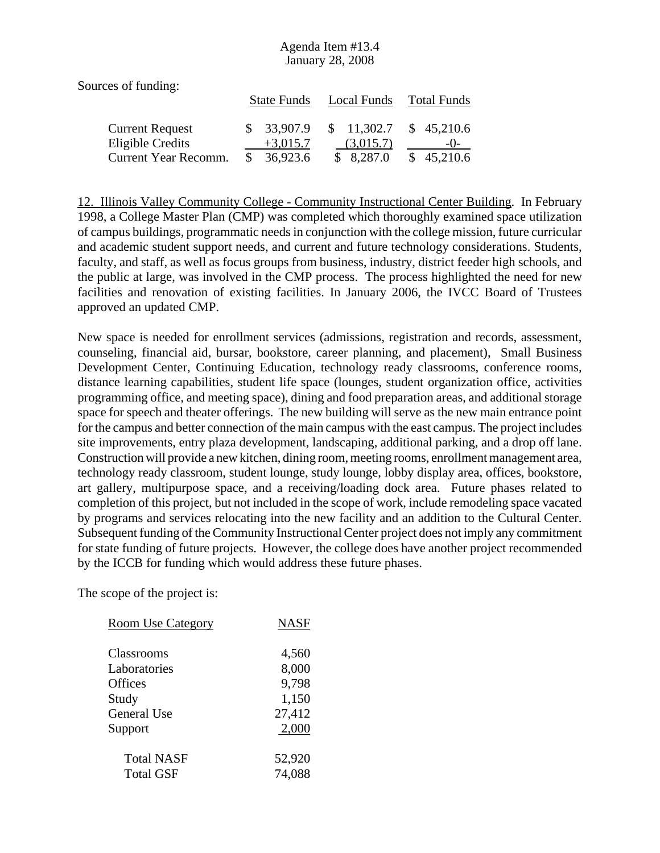| Sources of funding:    |                    |             |                    |
|------------------------|--------------------|-------------|--------------------|
|                        | <b>State Funds</b> | Local Funds | <b>Total Funds</b> |
| <b>Current Request</b> | \$33,907.9         | \$11,302.7  | \$45,210.6         |
| Eligible Credits       | $+3,015.7$         | (3,015.7)   | $-()$              |
| Current Year Recomm.   | 36,923.6           | \$8,287.0   | \$45,210.6         |

12. Illinois Valley Community College - Community Instructional Center Building. In February 1998, a College Master Plan (CMP) was completed which thoroughly examined space utilization of campus buildings, programmatic needs in conjunction with the college mission, future curricular and academic student support needs, and current and future technology considerations. Students, faculty, and staff, as well as focus groups from business, industry, district feeder high schools, and the public at large, was involved in the CMP process. The process highlighted the need for new facilities and renovation of existing facilities. In January 2006, the IVCC Board of Trustees approved an updated CMP.

New space is needed for enrollment services (admissions, registration and records, assessment, counseling, financial aid, bursar, bookstore, career planning, and placement), Small Business Development Center, Continuing Education, technology ready classrooms, conference rooms, distance learning capabilities, student life space (lounges, student organization office, activities programming office, and meeting space), dining and food preparation areas, and additional storage space for speech and theater offerings. The new building will serve as the new main entrance point for the campus and better connection of the main campus with the east campus. The project includes site improvements, entry plaza development, landscaping, additional parking, and a drop off lane. Construction will provide a new kitchen, dining room, meeting rooms, enrollment management area, technology ready classroom, student lounge, study lounge, lobby display area, offices, bookstore, art gallery, multipurpose space, and a receiving/loading dock area. Future phases related to completion of this project, but not included in the scope of work, include remodeling space vacated by programs and services relocating into the new facility and an addition to the Cultural Center. Subsequent funding of the Community Instructional Center project does not imply any commitment for state funding of future projects. However, the college does have another project recommended by the ICCB for funding which would address these future phases.

| <b>Room Use Category</b> | <b>NASF</b> |
|--------------------------|-------------|
| Classrooms               | 4,560       |
| Laboratories             | 8,000       |
| Offices                  | 9,798       |
| Study                    | 1,150       |
| General Use              | 27,412      |
| Support                  | 2,000       |
| <b>Total NASF</b>        | 52,920      |
| <b>Total GSF</b>         | 74,088      |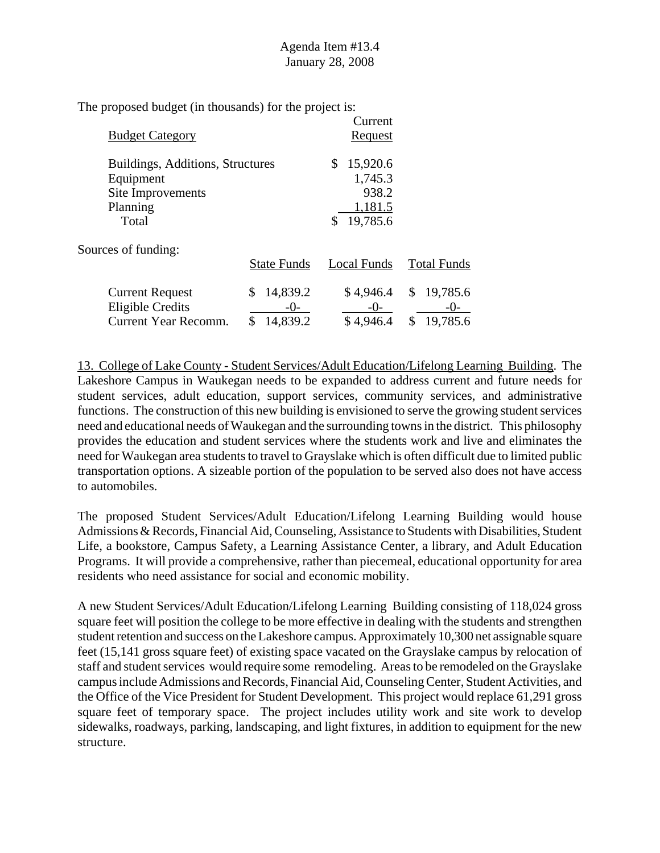| <b>Budget Category</b>                                                                  |                                       | Current<br>Request                                        |                                             |
|-----------------------------------------------------------------------------------------|---------------------------------------|-----------------------------------------------------------|---------------------------------------------|
| Buildings, Additions, Structures<br>Equipment<br>Site Improvements<br>Planning<br>Total |                                       | 15,920.6<br>\$<br>1,745.3<br>938.2<br>1,181.5<br>19,785.6 |                                             |
| Sources of funding:                                                                     | <b>State Funds</b>                    | Local Funds                                               | <b>Total Funds</b>                          |
| <b>Current Request</b><br>Eligible Credits<br>Current Year Recomm.                      | 14,839.2<br>\$<br>$-()$ -<br>14,839.2 | \$4,946.4<br>$-()$<br>\$4,946.4                           | 19,785.6<br>\$<br>$-()$ -<br>19,785.6<br>\$ |

13. College of Lake County - Student Services/Adult Education/Lifelong Learning Building. The Lakeshore Campus in Waukegan needs to be expanded to address current and future needs for student services, adult education, support services, community services, and administrative functions. The construction of this new building is envisioned to serve the growing student services need and educational needs of Waukegan and the surrounding towns in the district. This philosophy provides the education and student services where the students work and live and eliminates the need for Waukegan area students to travel to Grayslake which is often difficult due to limited public transportation options. A sizeable portion of the population to be served also does not have access to automobiles.

The proposed Student Services/Adult Education/Lifelong Learning Building would house Admissions & Records, Financial Aid, Counseling, Assistance to Students with Disabilities, Student Life, a bookstore, Campus Safety, a Learning Assistance Center, a library, and Adult Education Programs. It will provide a comprehensive, rather than piecemeal, educational opportunity for area residents who need assistance for social and economic mobility.

A new Student Services/Adult Education/Lifelong Learning Building consisting of 118,024 gross square feet will position the college to be more effective in dealing with the students and strengthen student retention and success on the Lakeshore campus. Approximately 10,300 net assignable square feet (15,141 gross square feet) of existing space vacated on the Grayslake campus by relocation of staff and student services would require some remodeling. Areas to be remodeled on the Grayslake campus include Admissions and Records, Financial Aid, Counseling Center, Student Activities, and the Office of the Vice President for Student Development. This project would replace 61,291 gross square feet of temporary space. The project includes utility work and site work to develop sidewalks, roadways, parking, landscaping, and light fixtures, in addition to equipment for the new structure.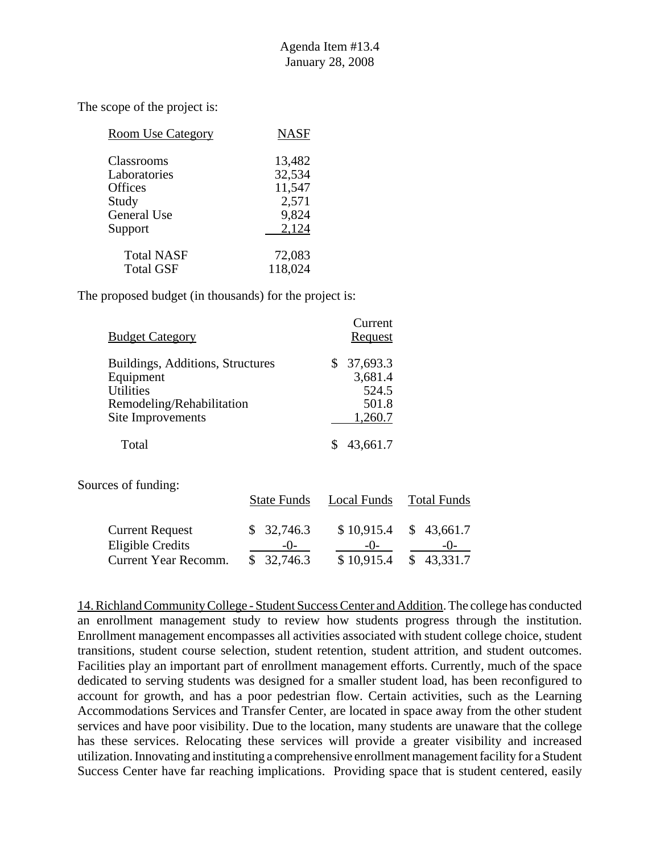| <b>Room Use Category</b> | <b>NASF</b> |
|--------------------------|-------------|
| Classrooms               | 13,482      |
| Laboratories             | 32,534      |
| <b>Offices</b>           | 11,547      |
| Study                    | 2,571       |
| General Use              | 9,824       |
| Support                  | 2,124       |
| <b>Total NASF</b>        | 72,083      |
| <b>Total GSF</b>         | 118,024     |

The proposed budget (in thousands) for the project is:

| <b>Budget Category</b>           | Current<br>Request |
|----------------------------------|--------------------|
| Buildings, Additions, Structures | 37,693.3           |
| Equipment                        | 3,681.4            |
| <b>Utilities</b>                 | 524.5              |
| Remodeling/Rehabilitation        | 501.8              |
| Site Improvements                | 1,260.7            |
| Total                            | 43,661.7           |

Sources of funding:

|                        | <b>State Funds</b> | Local Funds | <b>Total Funds</b>      |
|------------------------|--------------------|-------------|-------------------------|
| <b>Current Request</b> | \$32,746.3         |             | $$10,915.4$ $$43,661.7$ |
| Eligible Credits       | $-()$              | $-()$       | $-()$                   |
| Current Year Recomm.   | \$32,746.3         | \$10,915.4  | \$43,331.7              |

14. Richland Community College - Student Success Center and Addition. The college has conducted an enrollment management study to review how students progress through the institution. Enrollment management encompasses all activities associated with student college choice, student transitions, student course selection, student retention, student attrition, and student outcomes. Facilities play an important part of enrollment management efforts. Currently, much of the space dedicated to serving students was designed for a smaller student load, has been reconfigured to account for growth, and has a poor pedestrian flow. Certain activities, such as the Learning Accommodations Services and Transfer Center, are located in space away from the other student services and have poor visibility. Due to the location, many students are unaware that the college has these services. Relocating these services will provide a greater visibility and increased utilization. Innovating and instituting a comprehensive enrollment management facility for a Student Success Center have far reaching implications. Providing space that is student centered, easily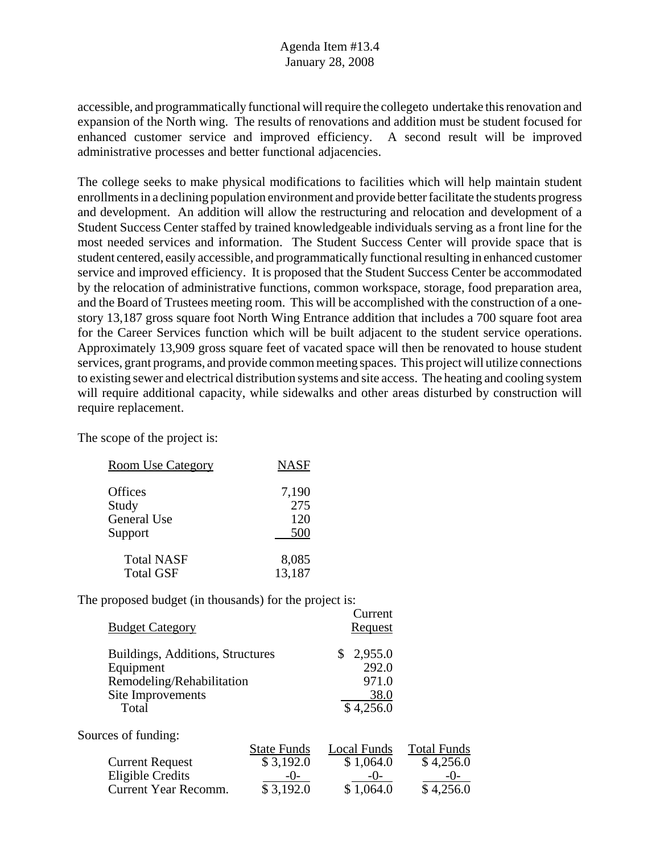accessible, and programmatically functional will require the collegeto undertake this renovation and expansion of the North wing. The results of renovations and addition must be student focused for enhanced customer service and improved efficiency. A second result will be improved administrative processes and better functional adjacencies.

The college seeks to make physical modifications to facilities which will help maintain student enrollments in a declining population environment and provide better facilitate the students progress and development. An addition will allow the restructuring and relocation and development of a Student Success Center staffed by trained knowledgeable individuals serving as a front line for the most needed services and information. The Student Success Center will provide space that is student centered, easily accessible, and programmatically functional resulting in enhanced customer service and improved efficiency. It is proposed that the Student Success Center be accommodated by the relocation of administrative functions, common workspace, storage, food preparation area, and the Board of Trustees meeting room. This will be accomplished with the construction of a onestory 13,187 gross square foot North Wing Entrance addition that includes a 700 square foot area for the Career Services function which will be built adjacent to the student service operations. Approximately 13,909 gross square feet of vacated space will then be renovated to house student services, grant programs, and provide common meeting spaces. This project will utilize connections to existing sewer and electrical distribution systems and site access. The heating and cooling system will require additional capacity, while sidewalks and other areas disturbed by construction will require replacement.

Current

The scope of the project is:

| <b>Room Use Category</b>               | <b>NASF</b>         |
|----------------------------------------|---------------------|
| Offices<br>Study<br><b>General Use</b> | 7,190<br>275<br>120 |
| Support                                | 500                 |
| <b>Total NASF</b>                      | 8,085               |
| <b>Total GSF</b>                       | 13,187              |

|                                  |                    | UUNUU          |                    |
|----------------------------------|--------------------|----------------|--------------------|
| <b>Budget Category</b>           |                    | <u>Request</u> |                    |
| Buildings, Additions, Structures |                    | 2,955.0<br>\$  |                    |
| Equipment                        |                    | 292.0          |                    |
| Remodeling/Rehabilitation        |                    | 971.0          |                    |
| Site Improvements                |                    | 38.0           |                    |
| Total                            |                    | \$4,256.0      |                    |
| Sources of funding:              |                    |                |                    |
|                                  | <b>State Funds</b> | Local Funds    | <b>Total Funds</b> |
| <b>Current Request</b>           | \$3,192.0          | \$1,064.0      | \$4,256.0          |
| <b>Eligible Credits</b>          | $-()$              | $-()$          | $-()$              |
| <b>Current Year Recomm.</b>      | \$3,192.0          | \$1,064.0      | \$4,256.0          |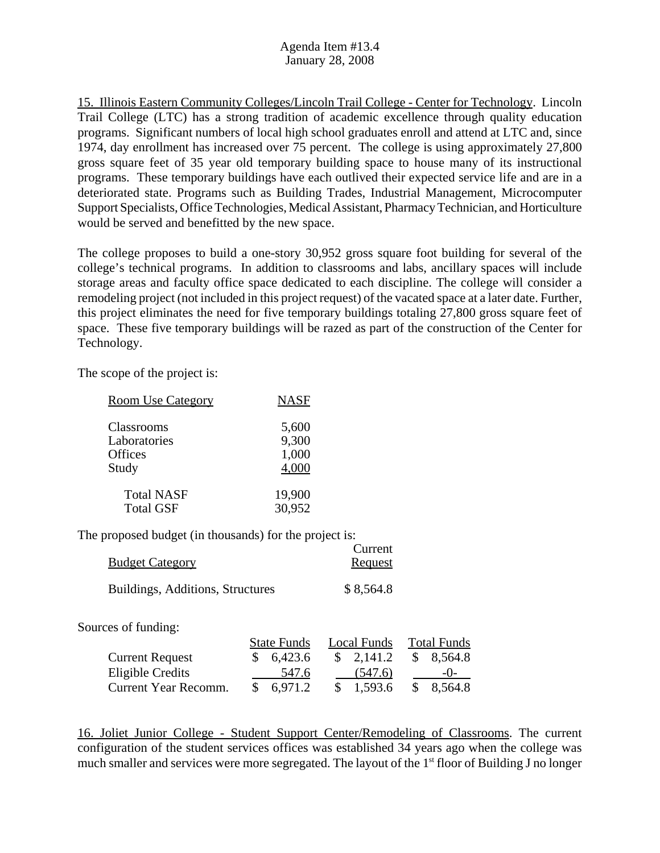15. Illinois Eastern Community Colleges/Lincoln Trail College - Center for Technology. Lincoln Trail College (LTC) has a strong tradition of academic excellence through quality education programs. Significant numbers of local high school graduates enroll and attend at LTC and, since 1974, day enrollment has increased over 75 percent. The college is using approximately 27,800 gross square feet of 35 year old temporary building space to house many of its instructional programs. These temporary buildings have each outlived their expected service life and are in a deteriorated state. Programs such as Building Trades, Industrial Management, Microcomputer Support Specialists, Office Technologies, Medical Assistant, Pharmacy Technician, and Horticulture would be served and benefitted by the new space.

The college proposes to build a one-story 30,952 gross square foot building for several of the college's technical programs. In addition to classrooms and labs, ancillary spaces will include storage areas and faculty office space dedicated to each discipline. The college will consider a remodeling project (not included in this project request) of the vacated space at a later date. Further, this project eliminates the need for five temporary buildings totaling 27,800 gross square feet of space. These five temporary buildings will be razed as part of the construction of the Center for Technology.

The scope of the project is:

| <b>Room Use Category</b> | <b>NASF</b> |
|--------------------------|-------------|
| Classrooms               | 5,600       |
| Laboratories             | 9,300       |
| Offices                  | 1,000       |
| Study                    | 4,000       |
| <b>Total NASF</b>        | 19,900      |
| <b>Total GSF</b>         | 30,952      |

The proposed budget (in thousands) for the project is:

|                                  | Current   |
|----------------------------------|-----------|
| <b>Budget Category</b>           | Request   |
| Buildings, Additions, Structures | \$8,564.8 |

Sources of funding:

|                        | <b>State Funds</b> | Local Funds          | <b>Total Funds</b> |
|------------------------|--------------------|----------------------|--------------------|
| <b>Current Request</b> | \$6,423.6          | $\frac{\$}{2,141.2}$ | \$8,564.8          |
| Eligible Credits       | 547.6              | (547.6)              | $-()$              |
| Current Year Recomm.   | $\$$ 6.971.2       | \$1,593.6            | \$ 8.564.8         |

16. Joliet Junior College - Student Support Center/Remodeling of Classrooms. The current configuration of the student services offices was established 34 years ago when the college was much smaller and services were more segregated. The layout of the 1<sup>st</sup> floor of Building J no longer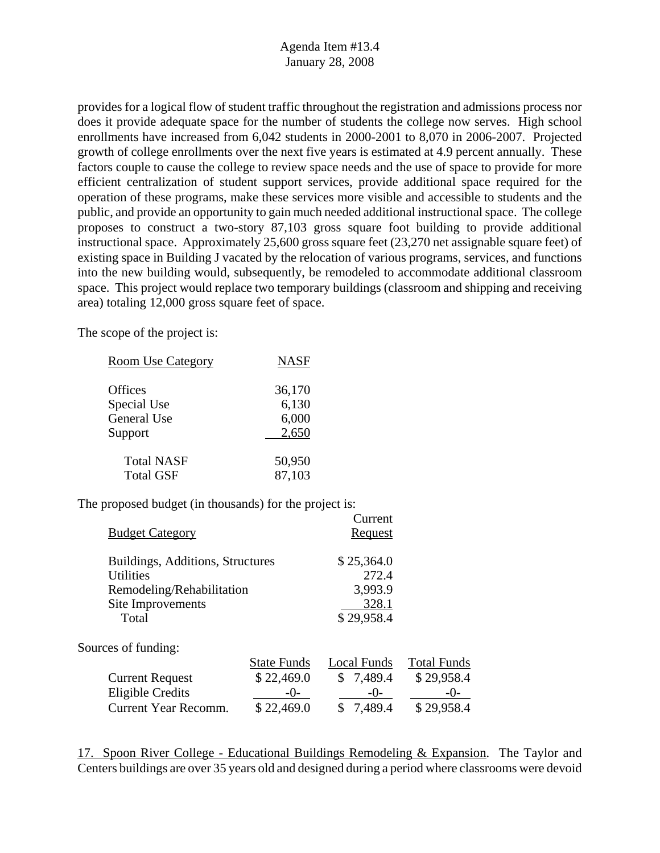provides for a logical flow of student traffic throughout the registration and admissions process nor does it provide adequate space for the number of students the college now serves. High school enrollments have increased from 6,042 students in 2000-2001 to 8,070 in 2006-2007. Projected growth of college enrollments over the next five years is estimated at 4.9 percent annually. These factors couple to cause the college to review space needs and the use of space to provide for more efficient centralization of student support services, provide additional space required for the operation of these programs, make these services more visible and accessible to students and the public, and provide an opportunity to gain much needed additional instructional space. The college proposes to construct a two-story 87,103 gross square foot building to provide additional instructional space. Approximately 25,600 gross square feet (23,270 net assignable square feet) of existing space in Building J vacated by the relocation of various programs, services, and functions into the new building would, subsequently, be remodeled to accommodate additional classroom space. This project would replace two temporary buildings (classroom and shipping and receiving area) totaling 12,000 gross square feet of space.

The scope of the project is:

| <b>Room Use Category</b> | <b>NASF</b> |
|--------------------------|-------------|
| Offices                  | 36,170      |
| Special Use              | 6,130       |
| <b>General Use</b>       | 6,000       |
| Support                  | 2,650       |
| <b>Total NASF</b>        | 50,950      |
| <b>Total GSF</b>         | 87,103      |

The proposed budget (in thousands) for the project is:

| <b>Budget Category</b>                                                                                   |                                                           | Current<br>Request                                    |                                                           |
|----------------------------------------------------------------------------------------------------------|-----------------------------------------------------------|-------------------------------------------------------|-----------------------------------------------------------|
| Buildings, Additions, Structures<br>Utilities<br>Remodeling/Rehabilitation<br>Site Improvements<br>Total |                                                           | \$25,364.0<br>272.4<br>3,993.9<br>328.1<br>\$29,958.4 |                                                           |
| Sources of funding:                                                                                      |                                                           |                                                       |                                                           |
| <b>Current Request</b><br><b>Eligible Credits</b><br>Current Year Recomm.                                | <b>State Funds</b><br>\$22,469.0<br>$-()$ -<br>\$22,469.0 | <b>Local Funds</b><br>\$7,489.4<br>$-()$ -<br>7,489.4 | <b>Total Funds</b><br>\$29,958.4<br>$-()$ -<br>\$29,958.4 |
|                                                                                                          |                                                           |                                                       |                                                           |

17. Spoon River College - Educational Buildings Remodeling & Expansion. The Taylor and Centers buildings are over 35 years old and designed during a period where classrooms were devoid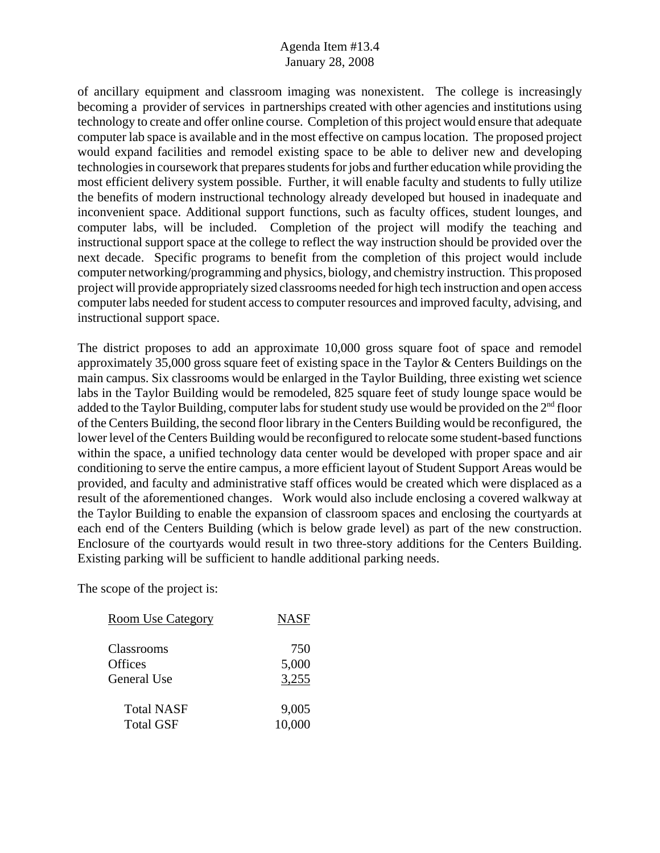of ancillary equipment and classroom imaging was nonexistent. The college is increasingly becoming a provider of services in partnerships created with other agencies and institutions using technology to create and offer online course. Completion of this project would ensure that adequate computer lab space is available and in the most effective on campus location. The proposed project would expand facilities and remodel existing space to be able to deliver new and developing technologies in coursework that prepares students for jobs and further education while providing the most efficient delivery system possible. Further, it will enable faculty and students to fully utilize the benefits of modern instructional technology already developed but housed in inadequate and inconvenient space. Additional support functions, such as faculty offices, student lounges, and computer labs, will be included. Completion of the project will modify the teaching and instructional support space at the college to reflect the way instruction should be provided over the next decade. Specific programs to benefit from the completion of this project would include computer networking/programming and physics, biology, and chemistry instruction. This proposed project will provide appropriately sized classrooms needed for high tech instruction and open access computer labs needed for student access to computer resources and improved faculty, advising, and instructional support space.

The district proposes to add an approximate 10,000 gross square foot of space and remodel approximately 35,000 gross square feet of existing space in the Taylor & Centers Buildings on the main campus. Six classrooms would be enlarged in the Taylor Building, three existing wet science labs in the Taylor Building would be remodeled, 825 square feet of study lounge space would be added to the Taylor Building, computer labs for student study use would be provided on the  $2<sup>nd</sup>$  floor of the Centers Building, the second floor library in the Centers Building would be reconfigured, the lower level of the Centers Building would be reconfigured to relocate some student-based functions within the space, a unified technology data center would be developed with proper space and air conditioning to serve the entire campus, a more efficient layout of Student Support Areas would be provided, and faculty and administrative staff offices would be created which were displaced as a result of the aforementioned changes. Work would also include enclosing a covered walkway at the Taylor Building to enable the expansion of classroom spaces and enclosing the courtyards at each end of the Centers Building (which is below grade level) as part of the new construction. Enclosure of the courtyards would result in two three-story additions for the Centers Building. Existing parking will be sufficient to handle additional parking needs.

| <b>Room Use Category</b> | <b>NASF</b> |
|--------------------------|-------------|
| Classrooms               | 750         |
| Offices                  | 5,000       |
| General Use              | 3,255       |
| <b>Total NASF</b>        | 9,005       |
| <b>Total GSF</b>         | 10,000      |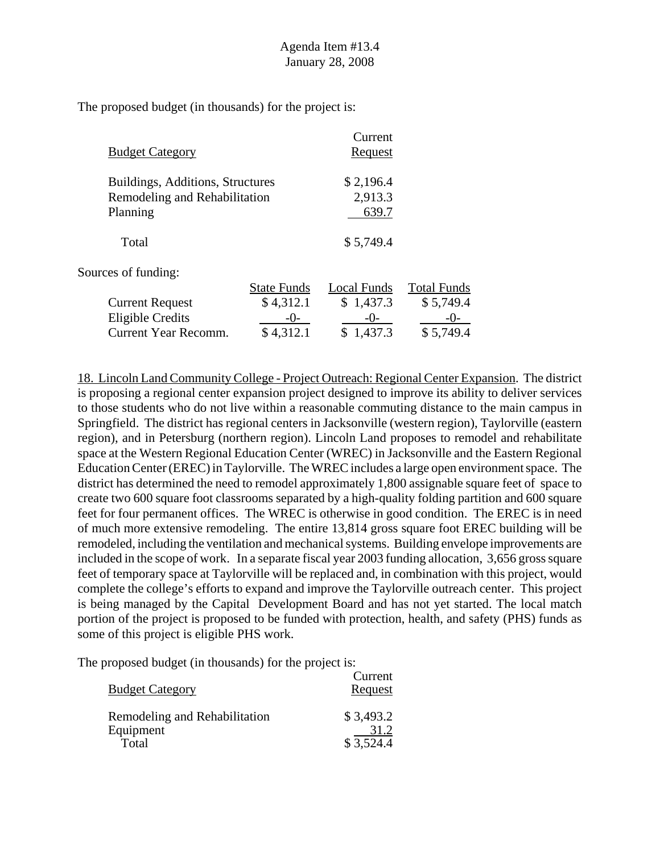| <b>Budget Category</b>           |                    | Current<br>Request |                    |
|----------------------------------|--------------------|--------------------|--------------------|
| Buildings, Additions, Structures |                    | \$2,196.4          |                    |
| Remodeling and Rehabilitation    |                    | 2,913.3            |                    |
| Planning                         |                    | 639.7              |                    |
| Total                            |                    | \$5,749.4          |                    |
| Sources of funding:              |                    |                    |                    |
|                                  | <b>State Funds</b> | Local Funds        | <b>Total Funds</b> |
| <b>Current Request</b>           | \$4,312.1          | \$1,437.3          | \$5,749.4          |
| <b>Eligible Credits</b>          | $-()$ -            | $-0-$              | $-()$              |
| <b>Current Year Recomm.</b>      | \$4,312.1          | \$1,437.3          | \$5,749.4          |
|                                  |                    |                    |                    |

18. Lincoln Land Community College - Project Outreach: Regional Center Expansion. The district is proposing a regional center expansion project designed to improve its ability to deliver services to those students who do not live within a reasonable commuting distance to the main campus in Springfield. The district has regional centers in Jacksonville (western region), Taylorville (eastern region), and in Petersburg (northern region). Lincoln Land proposes to remodel and rehabilitate space at the Western Regional Education Center (WREC) in Jacksonville and the Eastern Regional Education Center (EREC) in Taylorville. The WREC includes a large open environment space. The district has determined the need to remodel approximately 1,800 assignable square feet of space to create two 600 square foot classrooms separated by a high-quality folding partition and 600 square feet for four permanent offices. The WREC is otherwise in good condition. The EREC is in need of much more extensive remodeling. The entire 13,814 gross square foot EREC building will be remodeled, including the ventilation and mechanical systems. Building envelope improvements are included in the scope of work. In a separate fiscal year 2003 funding allocation, 3,656 gross square feet of temporary space at Taylorville will be replaced and, in combination with this project, would complete the college's efforts to expand and improve the Taylorville outreach center. This project is being managed by the Capital Development Board and has not yet started. The local match portion of the project is proposed to be funded with protection, health, and safety (PHS) funds as some of this project is eligible PHS work.

| <u> Budget Category</u>       | Current<br><b>Request</b> |
|-------------------------------|---------------------------|
| Remodeling and Rehabilitation | \$3,493.2                 |
| Equipment                     | 31.2                      |
| Total                         | \$3,524.4                 |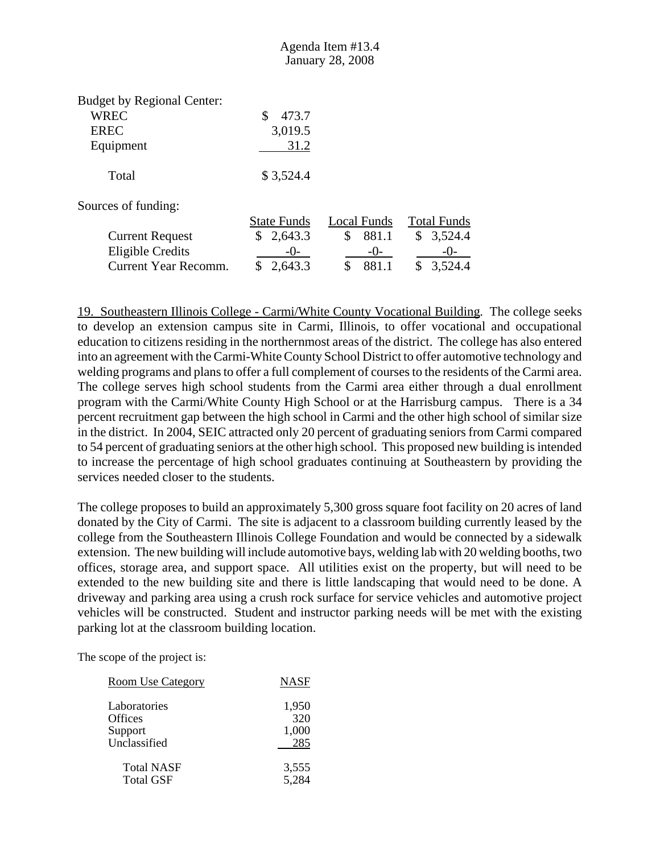|                                                                              |                                | <b>January 28, 2008</b> |                    |
|------------------------------------------------------------------------------|--------------------------------|-------------------------|--------------------|
| <b>Budget by Regional Center:</b><br><b>WREC</b><br><b>EREC</b><br>Equipment | \$<br>473.7<br>3,019.5<br>31.2 |                         |                    |
| Total                                                                        | \$3,524.4                      |                         |                    |
| Sources of funding:                                                          |                                |                         |                    |
|                                                                              | <b>State Funds</b>             | Local Funds             | <b>Total Funds</b> |
| <b>Current Request</b>                                                       | \$2,643.3                      | \$<br>881.1             | \$<br>3,524.4      |
| <b>Eligible Credits</b>                                                      | $-()$                          | $-()$                   | -( )-              |
| <b>Current Year Recomm.</b>                                                  | 2,643.3<br>\$                  | \$<br>881.1             | \$<br>3,524.4      |

19. Southeastern Illinois College - Carmi/White County Vocational Building. The college seeks to develop an extension campus site in Carmi, Illinois, to offer vocational and occupational education to citizens residing in the northernmost areas of the district. The college has also entered into an agreement with the Carmi-White County School District to offer automotive technology and welding programs and plans to offer a full complement of courses to the residents of the Carmi area. The college serves high school students from the Carmi area either through a dual enrollment program with the Carmi/White County High School or at the Harrisburg campus. There is a 34 percent recruitment gap between the high school in Carmi and the other high school of similar size in the district. In 2004, SEIC attracted only 20 percent of graduating seniors from Carmi compared to 54 percent of graduating seniors at the other high school. This proposed new building is intended to increase the percentage of high school graduates continuing at Southeastern by providing the services needed closer to the students.

Agenda Item #13.4

The college proposes to build an approximately 5,300 gross square foot facility on 20 acres of land donated by the City of Carmi. The site is adjacent to a classroom building currently leased by the college from the Southeastern Illinois College Foundation and would be connected by a sidewalk extension. The new building will include automotive bays, welding lab with 20 welding booths, two offices, storage area, and support space. All utilities exist on the property, but will need to be extended to the new building site and there is little landscaping that would need to be done. A driveway and parking area using a crush rock surface for service vehicles and automotive project vehicles will be constructed. Student and instructor parking needs will be met with the existing parking lot at the classroom building location.

| <b>Room Use Category</b> | <b>NASF</b> |
|--------------------------|-------------|
| Laboratories             | 1,950       |
| Offices                  | 320         |
| Support                  | 1,000       |
| Unclassified             | 285         |
| <b>Total NASF</b>        | 3,555       |
| <b>Total GSF</b>         | 5,284       |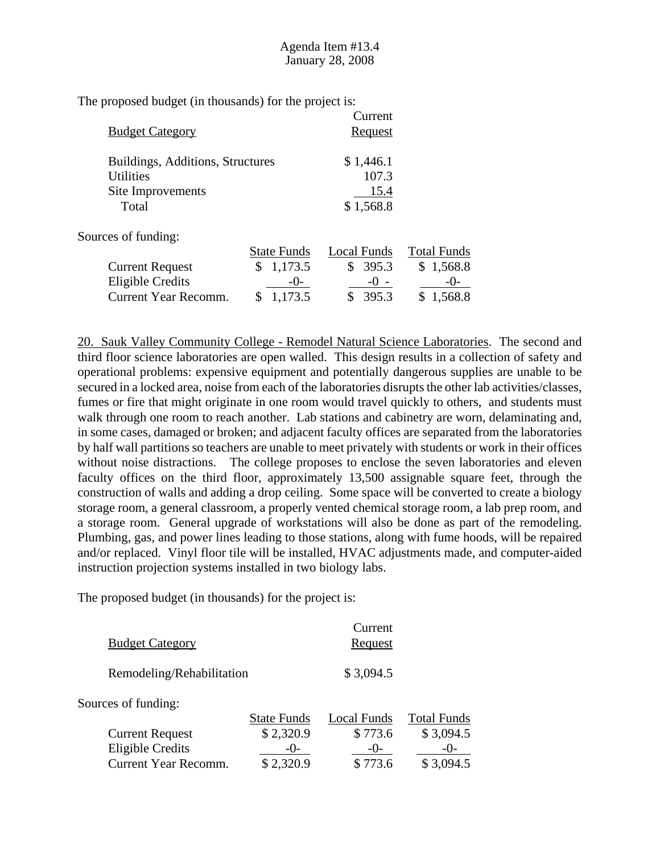| <b>Budget Category</b>           | Current<br>Request |
|----------------------------------|--------------------|
| Buildings, Additions, Structures | \$1,446.1          |
| <b>Utilities</b>                 | 107.3              |
| Site Improvements                | 15.4               |
| Total                            | \$1,568.8          |

Sources of funding:

|                        | <b>State Funds</b> | Local Funds | <b>Total Funds</b> |
|------------------------|--------------------|-------------|--------------------|
| <b>Current Request</b> | \$1,173.5          | \$395.3     | \$1,568.8          |
| Eligible Credits       | $-()$              | $-() -$     | $-()$              |
| Current Year Recomm.   | \$1,173.5          | \$395.3     | \$1,568.8          |

20. Sauk Valley Community College - Remodel Natural Science Laboratories. The second and third floor science laboratories are open walled. This design results in a collection of safety and operational problems: expensive equipment and potentially dangerous supplies are unable to be secured in a locked area, noise from each of the laboratories disrupts the other lab activities/classes, fumes or fire that might originate in one room would travel quickly to others, and students must walk through one room to reach another. Lab stations and cabinetry are worn, delaminating and, in some cases, damaged or broken; and adjacent faculty offices are separated from the laboratories by half wall partitions so teachers are unable to meet privately with students or work in their offices without noise distractions. The college proposes to enclose the seven laboratories and eleven faculty offices on the third floor, approximately 13,500 assignable square feet, through the construction of walls and adding a drop ceiling. Some space will be converted to create a biology storage room, a general classroom, a properly vented chemical storage room, a lab prep room, and a storage room. General upgrade of workstations will also be done as part of the remodeling. Plumbing, gas, and power lines leading to those stations, along with fume hoods, will be repaired and/or replaced. Vinyl floor tile will be installed, HVAC adjustments made, and computer-aided instruction projection systems installed in two biology labs.

| <b>Budget Category</b>      |                    | Current<br>Request |                    |
|-----------------------------|--------------------|--------------------|--------------------|
| Remodeling/Rehabilitation   |                    | \$3,094.5          |                    |
| Sources of funding:         |                    |                    |                    |
|                             | <b>State Funds</b> | Local Funds        | <b>Total Funds</b> |
| <b>Current Request</b>      | \$2,320.9          | \$773.6            | \$3,094.5          |
| <b>Eligible Credits</b>     | $-()$              | $-()$              | $-()$              |
| <b>Current Year Recomm.</b> | \$2,320.9          | \$773.6            | \$3,094.5          |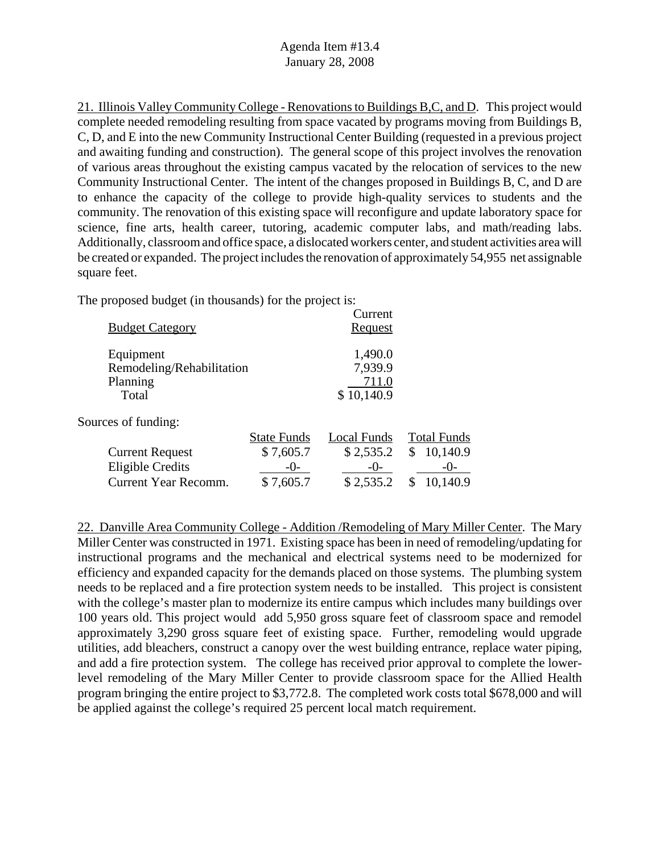21. Illinois Valley Community College - Renovations to Buildings B,C, and D. This project would complete needed remodeling resulting from space vacated by programs moving from Buildings B, C, D, and E into the new Community Instructional Center Building (requested in a previous project and awaiting funding and construction). The general scope of this project involves the renovation of various areas throughout the existing campus vacated by the relocation of services to the new Community Instructional Center. The intent of the changes proposed in Buildings B, C, and D are to enhance the capacity of the college to provide high-quality services to students and the community. The renovation of this existing space will reconfigure and update laboratory space for science, fine arts, health career, tutoring, academic computer labs, and math/reading labs. Additionally, classroom and office space, a dislocated workers center, and student activities area will be created or expanded. The project includes the renovation of approximately 54,955 net assignable square feet.

The proposed budget (in thousands) for the project is:

| <b>Budget Category</b>                                      |                    | Current<br>Request                        |                    |
|-------------------------------------------------------------|--------------------|-------------------------------------------|--------------------|
| Equipment<br>Remodeling/Rehabilitation<br>Planning<br>Total |                    | 1,490.0<br>7,939.9<br>711.0<br>\$10,140.9 |                    |
| Sources of funding:                                         |                    |                                           |                    |
|                                                             | <b>State Funds</b> | Local Funds                               | <b>Total Funds</b> |
| <b>Current Request</b>                                      | \$7,605.7          | \$2,535.2                                 | 10,140.9<br>\$     |
| <b>Eligible Credits</b>                                     | $-()$ -            | $-()$ -                                   | $-()$ -            |
| Current Year Recomm.                                        | \$7,605.7          | \$2,535.2                                 | 10,140.9           |
|                                                             |                    |                                           |                    |

22. Danville Area Community College - Addition /Remodeling of Mary Miller Center. The Mary Miller Center was constructed in 1971. Existing space has been in need of remodeling/updating for instructional programs and the mechanical and electrical systems need to be modernized for efficiency and expanded capacity for the demands placed on those systems. The plumbing system needs to be replaced and a fire protection system needs to be installed. This project is consistent with the college's master plan to modernize its entire campus which includes many buildings over 100 years old. This project would add 5,950 gross square feet of classroom space and remodel approximately 3,290 gross square feet of existing space. Further, remodeling would upgrade utilities, add bleachers, construct a canopy over the west building entrance, replace water piping, and add a fire protection system. The college has received prior approval to complete the lowerlevel remodeling of the Mary Miller Center to provide classroom space for the Allied Health program bringing the entire project to \$3,772.8. The completed work costs total \$678,000 and will be applied against the college's required 25 percent local match requirement.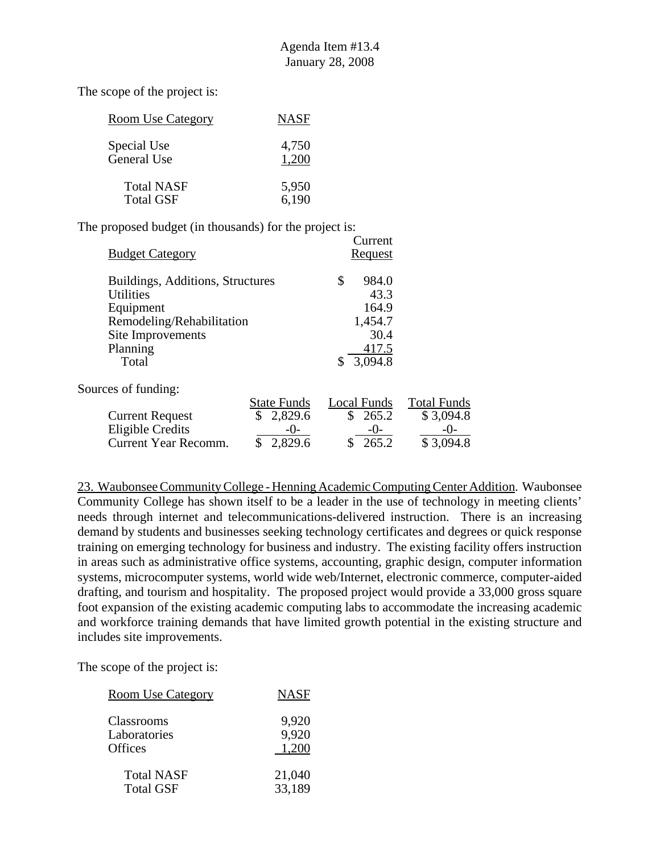| <b>Room Use Category</b> | <b>NASF</b> |
|--------------------------|-------------|
| Special Use              | 4,750       |
| <b>General Use</b>       | 1.200       |
| <b>Total NASF</b>        | 5,950       |
| <b>Total GSF</b>         | 6,190       |

The proposed budget (in thousands) for the project is:

|                                  |                    | Current        |                    |
|----------------------------------|--------------------|----------------|--------------------|
| <b>Budget Category</b>           |                    | <b>Request</b> |                    |
| Buildings, Additions, Structures |                    | \$<br>984.0    |                    |
| <b>Utilities</b>                 |                    | 43.3           |                    |
| Equipment                        |                    | 164.9          |                    |
| Remodeling/Rehabilitation        |                    | 1,454.7        |                    |
| Site Improvements                |                    | 30.4           |                    |
| Planning                         |                    | 417.5          |                    |
| Total                            |                    | 3,094.8<br>\$  |                    |
| Sources of funding:              |                    |                |                    |
|                                  | <b>State Funds</b> | Local Funds    | <b>Total Funds</b> |
| <b>Current Request</b>           | \$<br>2,829.6      | \$<br>265.2    | \$3,094.8          |
| <b>Eligible Credits</b>          | $-()$ -            | $-0-$          | $-()$ -            |
| <b>Current Year Recomm.</b>      | 2,829.6<br>\$      | 265.2<br>\$    | \$3,094.8          |

23. Waubonsee Community College - Henning Academic Computing Center Addition. Waubonsee Community College has shown itself to be a leader in the use of technology in meeting clients' needs through internet and telecommunications-delivered instruction. There is an increasing demand by students and businesses seeking technology certificates and degrees or quick response training on emerging technology for business and industry. The existing facility offers instruction in areas such as administrative office systems, accounting, graphic design, computer information systems, microcomputer systems, world wide web/Internet, electronic commerce, computer-aided drafting, and tourism and hospitality. The proposed project would provide a 33,000 gross square foot expansion of the existing academic computing labs to accommodate the increasing academic and workforce training demands that have limited growth potential in the existing structure and includes site improvements.

| <b>Room Use Category</b> | <b>NASF</b> |
|--------------------------|-------------|
| Classrooms               | 9,920       |
| Laboratories             | 9,920       |
| <b>Offices</b>           | 1.200       |
| <b>Total NASF</b>        | 21,040      |
| <b>Total GSF</b>         | 33,189      |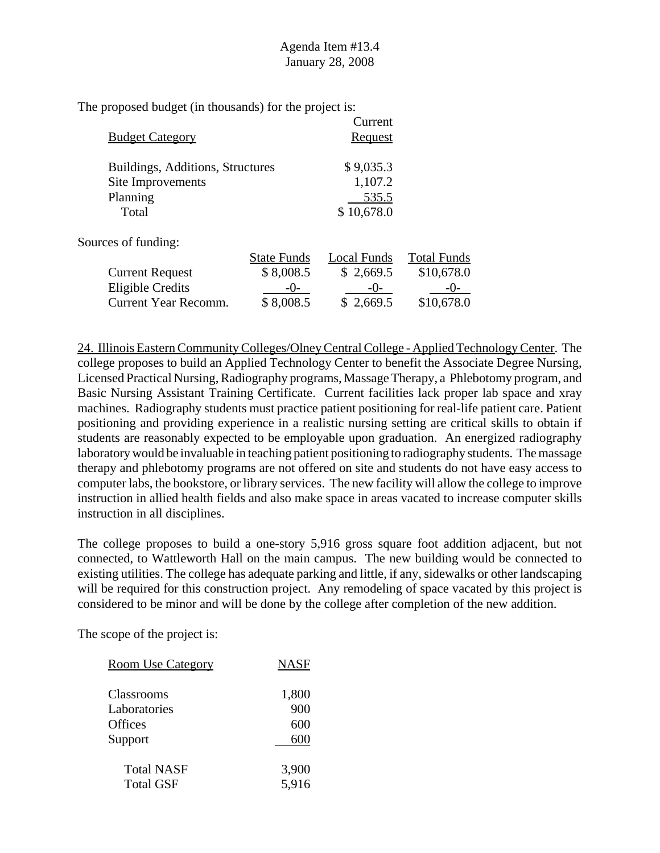| <b>Budget Category</b>           |                    | Current<br><b>Request</b> |                    |
|----------------------------------|--------------------|---------------------------|--------------------|
| Buildings, Additions, Structures |                    | \$9,035.3                 |                    |
| Site Improvements                |                    | 1,107.2                   |                    |
| Planning                         |                    | 535.5                     |                    |
| Total                            |                    | \$10,678.0                |                    |
| Sources of funding:              |                    |                           |                    |
|                                  | <b>State Funds</b> | Local Funds               | <b>Total Funds</b> |
| <b>Current Request</b>           | \$8,008.5          | \$2,669.5                 | \$10,678.0         |
| <b>Eligible Credits</b>          | $-()$              | $-()$                     | $-()$ -            |
| Current Year Recomm.             | \$8,008.5          | \$2,669.5                 | \$10,678.0         |

24. Illinois Eastern Community Colleges/Olney Central College - Applied Technology Center. The college proposes to build an Applied Technology Center to benefit the Associate Degree Nursing, Licensed Practical Nursing, Radiography programs, Massage Therapy, a Phlebotomy program, and Basic Nursing Assistant Training Certificate. Current facilities lack proper lab space and xray machines. Radiography students must practice patient positioning for real-life patient care. Patient positioning and providing experience in a realistic nursing setting are critical skills to obtain if students are reasonably expected to be employable upon graduation. An energized radiography laboratory would be invaluable in teaching patient positioning to radiography students. The massage therapy and phlebotomy programs are not offered on site and students do not have easy access to computer labs, the bookstore, or library services. The new facility will allow the college to improve instruction in allied health fields and also make space in areas vacated to increase computer skills instruction in all disciplines.

The college proposes to build a one-story 5,916 gross square foot addition adjacent, but not connected, to Wattleworth Hall on the main campus. The new building would be connected to existing utilities. The college has adequate parking and little, if any, sidewalks or other landscaping will be required for this construction project. Any remodeling of space vacated by this project is considered to be minor and will be done by the college after completion of the new addition.

| <u>Room Use Category</u> | <b>NASF</b> |
|--------------------------|-------------|
| Classrooms               | 1,800       |
| Laboratories             | 900         |
| Offices                  | 600         |
| Support                  | 600         |
| <b>Total NASF</b>        | 3,900       |
| <b>Total GSF</b>         | 5,916       |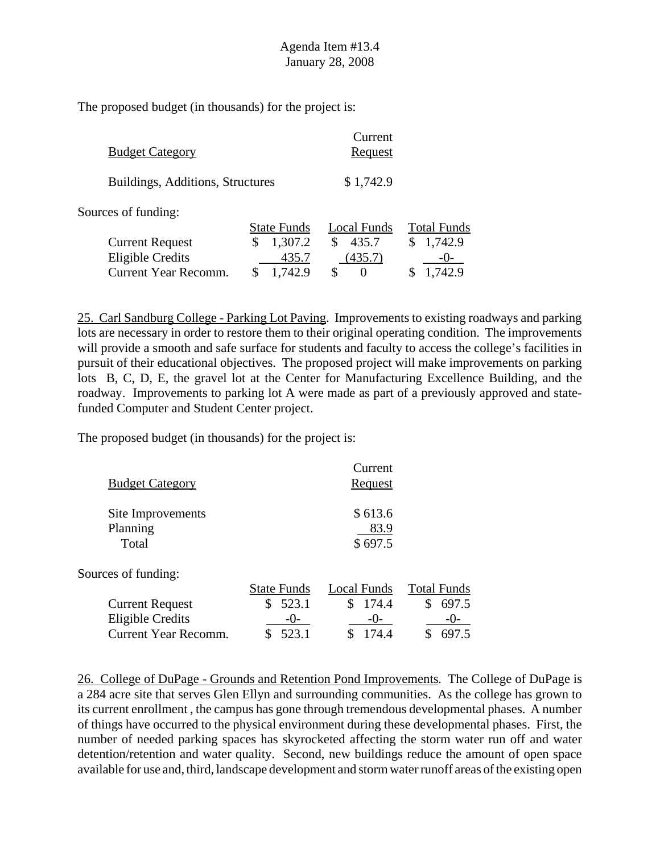| <b>Budget Category</b>                            |                        | Current<br><b>Request</b> |                    |
|---------------------------------------------------|------------------------|---------------------------|--------------------|
| Buildings, Additions, Structures                  |                        | \$1,742.9                 |                    |
| Sources of funding:                               | <b>State Funds</b>     | Local Funds               | <b>Total Funds</b> |
| <b>Current Request</b><br><b>Eligible Credits</b> | 1,307.2<br>\$<br>435.7 | 435.7<br>(435.7)          | 1,742.9<br>$-()$   |
| <b>Current Year Recomm.</b>                       | 1,742.9                | S<br>0                    | 1,742.9            |

25. Carl Sandburg College - Parking Lot Paving. Improvements to existing roadways and parking lots are necessary in order to restore them to their original operating condition. The improvements will provide a smooth and safe surface for students and faculty to access the college's facilities in pursuit of their educational objectives. The proposed project will make improvements on parking lots B, C, D, E, the gravel lot at the Center for Manufacturing Excellence Building, and the roadway. Improvements to parking lot A were made as part of a previously approved and statefunded Computer and Student Center project.

The proposed budget (in thousands) for the project is:

| <b>Budget Category</b>                 |                    | Current<br><u>Request</u>  |                    |
|----------------------------------------|--------------------|----------------------------|--------------------|
| Site Improvements<br>Planning<br>Total |                    | \$613.6<br>83.9<br>\$697.5 |                    |
| Sources of funding:                    |                    |                            |                    |
|                                        | <b>State Funds</b> | Local Funds                | <b>Total Funds</b> |
| <b>Current Request</b>                 | 523.1<br>\$        | \$<br>174.4                | 697.5<br>S         |
| <b>Eligible Credits</b>                | $-()$              | $-()$                      | $-()$ -            |
| <b>Current Year Recomm.</b>            | 523.1              | 174.4<br>\$                | 697.5              |

26. College of DuPage - Grounds and Retention Pond Improvements. The College of DuPage is a 284 acre site that serves Glen Ellyn and surrounding communities. As the college has grown to its current enrollment , the campus has gone through tremendous developmental phases. A number of things have occurred to the physical environment during these developmental phases. First, the number of needed parking spaces has skyrocketed affecting the storm water run off and water detention/retention and water quality. Second, new buildings reduce the amount of open space available for use and, third, landscape development and storm water runoff areas of the existing open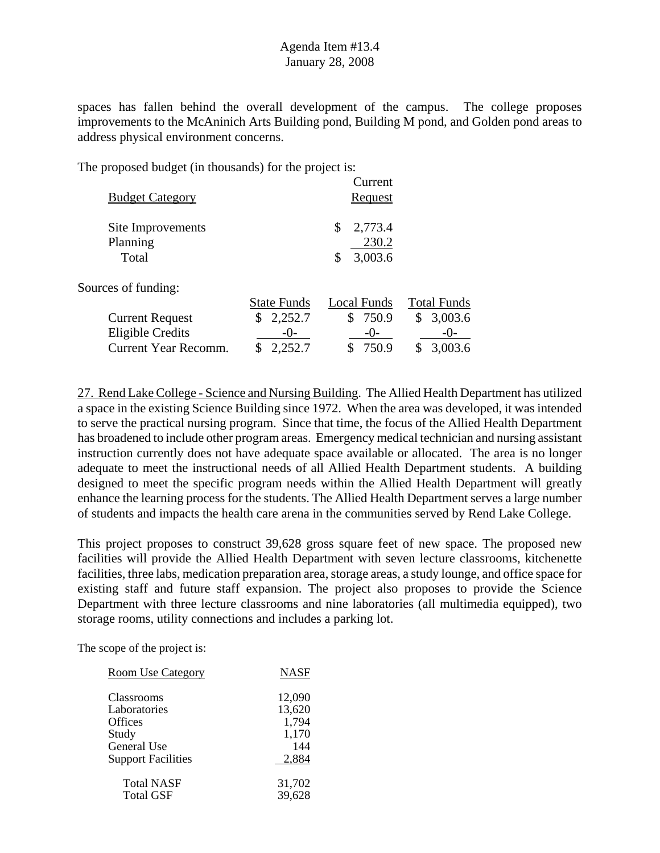spaces has fallen behind the overall development of the campus. The college proposes improvements to the McAninich Arts Building pond, Building M pond, and Golden pond areas to address physical environment concerns.

The proposed budget (in thousands) for the project is:

| <b>Budget Category</b>                 |                    | Current<br>Request                      |                    |
|----------------------------------------|--------------------|-----------------------------------------|--------------------|
| Site Improvements<br>Planning<br>Total |                    | 2,773.4<br>\$<br>230.2<br>3,003.6<br>\$ |                    |
| Sources of funding:                    |                    |                                         |                    |
|                                        | <b>State Funds</b> | Local Funds                             | <b>Total Funds</b> |
| <b>Current Request</b>                 | 2,252.7<br>\$      | \$750.9                                 | 3,003.6<br>\$      |
| <b>Eligible Credits</b>                | $-()$ -            | $-0-$                                   | $-()$ -            |
| Current Year Recomm.                   | 2,252.7            | 750.9                                   | 3,003.6            |
|                                        |                    |                                         |                    |

27. Rend Lake College - Science and Nursing Building. The Allied Health Department has utilized a space in the existing Science Building since 1972. When the area was developed, it was intended to serve the practical nursing program. Since that time, the focus of the Allied Health Department has broadened to include other program areas. Emergency medical technician and nursing assistant instruction currently does not have adequate space available or allocated. The area is no longer adequate to meet the instructional needs of all Allied Health Department students. A building designed to meet the specific program needs within the Allied Health Department will greatly enhance the learning process for the students. The Allied Health Department serves a large number of students and impacts the health care arena in the communities served by Rend Lake College.

This project proposes to construct 39,628 gross square feet of new space. The proposed new facilities will provide the Allied Health Department with seven lecture classrooms, kitchenette facilities, three labs, medication preparation area, storage areas, a study lounge, and office space for existing staff and future staff expansion. The project also proposes to provide the Science Department with three lecture classrooms and nine laboratories (all multimedia equipped), two storage rooms, utility connections and includes a parking lot.

| <b>Room Use Category</b>  | NASF   |
|---------------------------|--------|
| Classrooms                | 12,090 |
| Laboratories              | 13,620 |
| <b>Offices</b>            | 1,794  |
| Study                     | 1,170  |
| General Use               | 144    |
| <b>Support Facilities</b> | 2,884  |
| <b>Total NASF</b>         | 31,702 |
| <b>Total GSF</b>          | 39,628 |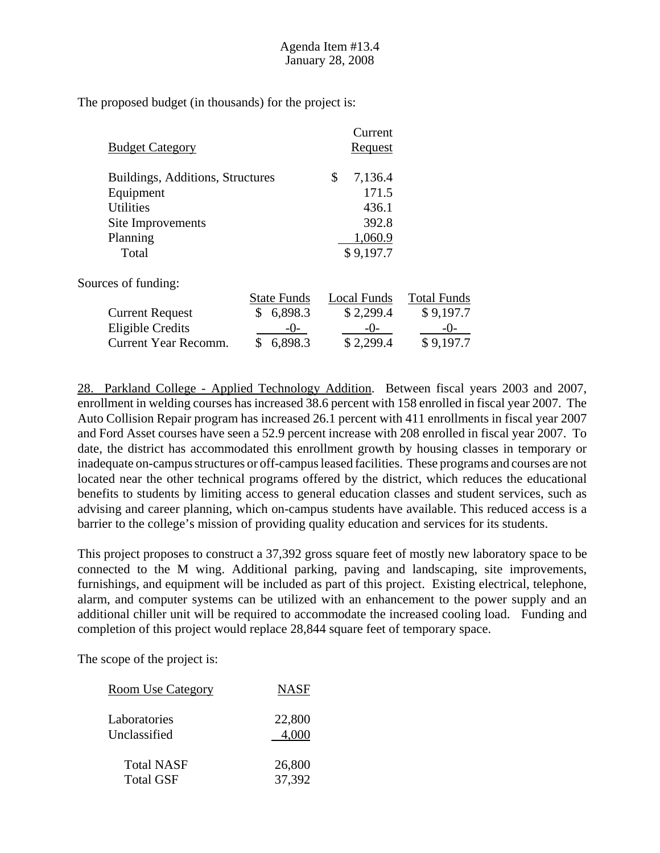| <b>Budget Category</b>           |                    | Current<br><u>Request</u> |                    |
|----------------------------------|--------------------|---------------------------|--------------------|
| Buildings, Additions, Structures |                    | \$<br>7,136.4             |                    |
| Equipment                        |                    | 171.5                     |                    |
| <b>Utilities</b>                 |                    | 436.1                     |                    |
| Site Improvements                |                    | 392.8                     |                    |
| Planning                         |                    | 1,060.9                   |                    |
| Total                            |                    | \$9,197.7                 |                    |
| Sources of funding:              |                    |                           |                    |
|                                  | <b>State Funds</b> | Local Funds               | <b>Total Funds</b> |
| <b>Current Request</b>           | \$<br>6,898.3      | \$2,299.4                 | \$9,197.7          |
| <b>Eligible Credits</b>          | $-()$ -            | $-0-$                     | $-()$ -            |
| Current Year Recomm.             | 6,898.3            | \$2,299.4                 | \$9,197.7          |

28. Parkland College - Applied Technology Addition. Between fiscal years 2003 and 2007, enrollment in welding courses has increased 38.6 percent with 158 enrolled in fiscal year 2007. The Auto Collision Repair program has increased 26.1 percent with 411 enrollments in fiscal year 2007 and Ford Asset courses have seen a 52.9 percent increase with 208 enrolled in fiscal year 2007. To date, the district has accommodated this enrollment growth by housing classes in temporary or inadequate on-campus structures or off-campus leased facilities. These programs and courses are not located near the other technical programs offered by the district, which reduces the educational benefits to students by limiting access to general education classes and student services, such as advising and career planning, which on-campus students have available. This reduced access is a barrier to the college's mission of providing quality education and services for its students.

This project proposes to construct a 37,392 gross square feet of mostly new laboratory space to be connected to the M wing. Additional parking, paving and landscaping, site improvements, furnishings, and equipment will be included as part of this project. Existing electrical, telephone, alarm, and computer systems can be utilized with an enhancement to the power supply and an additional chiller unit will be required to accommodate the increased cooling load. Funding and completion of this project would replace 28,844 square feet of temporary space.

| <u>Room Use Category</u> | <b>NASF</b> |
|--------------------------|-------------|
| Laboratories             | 22,800      |
| Unclassified             | 4.000       |
| <b>Total NASF</b>        | 26,800      |
| <b>Total GSF</b>         | 37,392      |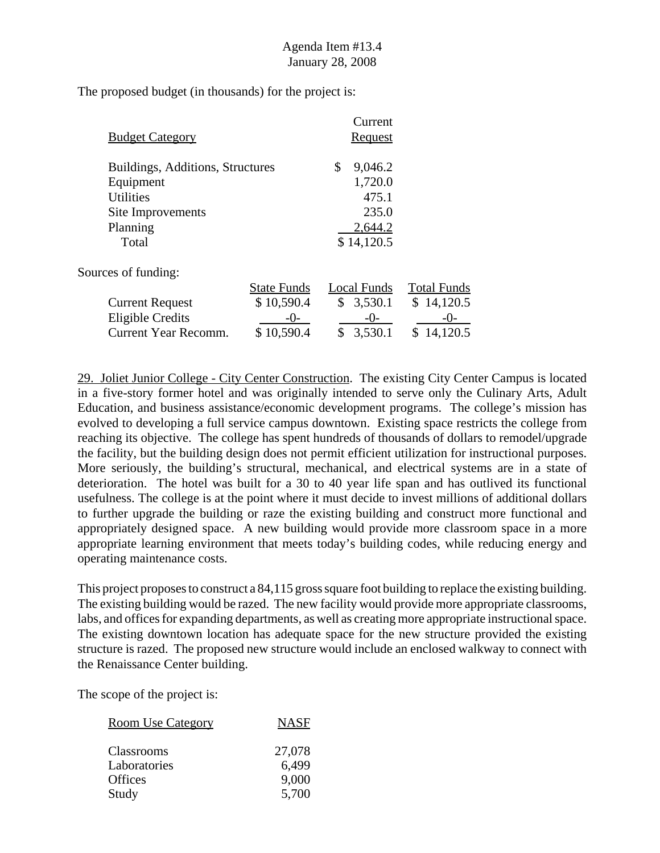| <b>Budget Category</b>           |                    | Current<br>Request |                    |
|----------------------------------|--------------------|--------------------|--------------------|
| Buildings, Additions, Structures |                    | \$<br>9,046.2      |                    |
| Equipment                        |                    | 1,720.0            |                    |
| <b>Utilities</b>                 |                    | 475.1              |                    |
| Site Improvements                |                    | 235.0              |                    |
| Planning                         |                    | 2,644.2            |                    |
| Total                            |                    | \$14,120.5         |                    |
| Sources of funding:              |                    |                    |                    |
|                                  | <b>State Funds</b> | Local Funds        | <b>Total Funds</b> |
| <b>Current Request</b>           | \$10,590.4         | \$3,530.1          | \$14,120.5         |
| <b>Eligible Credits</b>          | $-()$ -            | $-0-$              | -0-                |
| Current Year Recomm.             | \$10,590.4         | 3,530.1<br>\$      | 14,120.5           |
|                                  |                    |                    |                    |

29. Joliet Junior College - City Center Construction. The existing City Center Campus is located in a five-story former hotel and was originally intended to serve only the Culinary Arts, Adult Education, and business assistance/economic development programs. The college's mission has evolved to developing a full service campus downtown. Existing space restricts the college from reaching its objective. The college has spent hundreds of thousands of dollars to remodel/upgrade the facility, but the building design does not permit efficient utilization for instructional purposes. More seriously, the building's structural, mechanical, and electrical systems are in a state of deterioration. The hotel was built for a 30 to 40 year life span and has outlived its functional usefulness. The college is at the point where it must decide to invest millions of additional dollars to further upgrade the building or raze the existing building and construct more functional and appropriately designed space. A new building would provide more classroom space in a more appropriate learning environment that meets today's building codes, while reducing energy and operating maintenance costs.

This project proposes to construct a 84,115 gross square foot building to replace the existing building. The existing building would be razed. The new facility would provide more appropriate classrooms, labs, and offices for expanding departments, as well as creating more appropriate instructional space. The existing downtown location has adequate space for the new structure provided the existing structure is razed. The proposed new structure would include an enclosed walkway to connect with the Renaissance Center building.

| <b>Room Use Category</b> | <b>NASF</b> |
|--------------------------|-------------|
| <b>Classrooms</b>        | 27,078      |
| Laboratories             | 6,499       |
| <b>Offices</b>           | 9,000       |
| Study                    | 5,700       |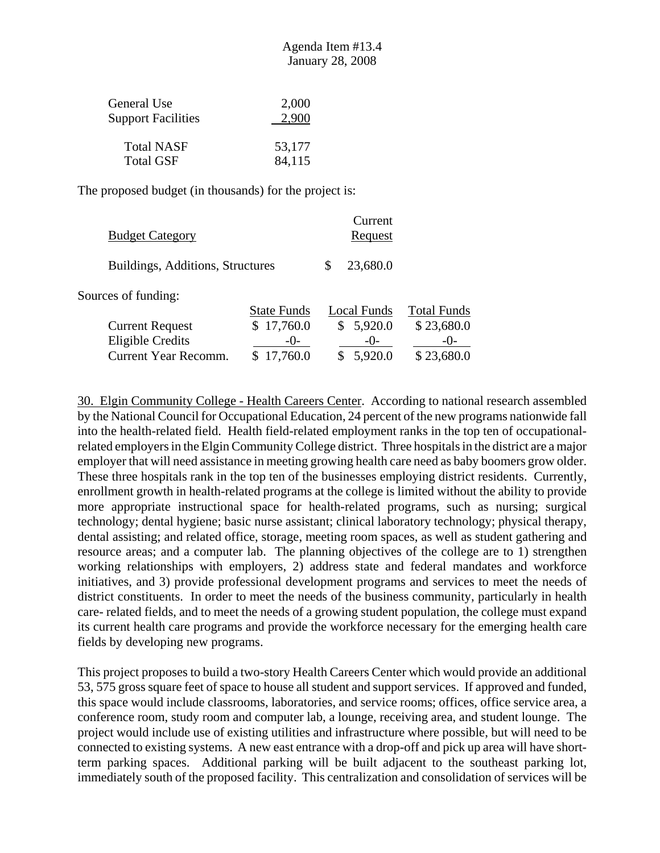| General Use               | 2,000  |
|---------------------------|--------|
| <b>Support Facilities</b> | 2,900  |
| <b>Total NASF</b>         | 53,177 |
| <b>Total GSF</b>          | 84,115 |

| <b>Budget Category</b>           |                    | Current<br>Request |                    |
|----------------------------------|--------------------|--------------------|--------------------|
| Buildings, Additions, Structures |                    | 23,680.0           |                    |
| Sources of funding:              |                    |                    |                    |
|                                  | <b>State Funds</b> | Local Funds        | <b>Total Funds</b> |
| <b>Current Request</b>           | \$17,760.0         | \$5,920.0          | \$23,680.0         |
| <b>Eligible Credits</b>          | $-()$ -            | $-()$              | $-()$              |
| <b>Current Year Recomm.</b>      | 17,760.0           | 5,920.0            | \$23,680.0         |

30. Elgin Community College - Health Careers Center. According to national research assembled by the National Council for Occupational Education, 24 percent of the new programs nationwide fall into the health-related field. Health field-related employment ranks in the top ten of occupationalrelated employers in the Elgin Community College district. Three hospitals in the district are a major employer that will need assistance in meeting growing health care need as baby boomers grow older. These three hospitals rank in the top ten of the businesses employing district residents. Currently, enrollment growth in health-related programs at the college is limited without the ability to provide more appropriate instructional space for health-related programs, such as nursing; surgical technology; dental hygiene; basic nurse assistant; clinical laboratory technology; physical therapy, dental assisting; and related office, storage, meeting room spaces, as well as student gathering and resource areas; and a computer lab. The planning objectives of the college are to 1) strengthen working relationships with employers, 2) address state and federal mandates and workforce initiatives, and 3) provide professional development programs and services to meet the needs of district constituents. In order to meet the needs of the business community, particularly in health care- related fields, and to meet the needs of a growing student population, the college must expand its current health care programs and provide the workforce necessary for the emerging health care fields by developing new programs.

This project proposes to build a two-story Health Careers Center which would provide an additional 53, 575 gross square feet of space to house all student and support services. If approved and funded, this space would include classrooms, laboratories, and service rooms; offices, office service area, a conference room, study room and computer lab, a lounge, receiving area, and student lounge. The project would include use of existing utilities and infrastructure where possible, but will need to be connected to existing systems. A new east entrance with a drop-off and pick up area will have shortterm parking spaces. Additional parking will be built adjacent to the southeast parking lot, immediately south of the proposed facility. This centralization and consolidation of services will be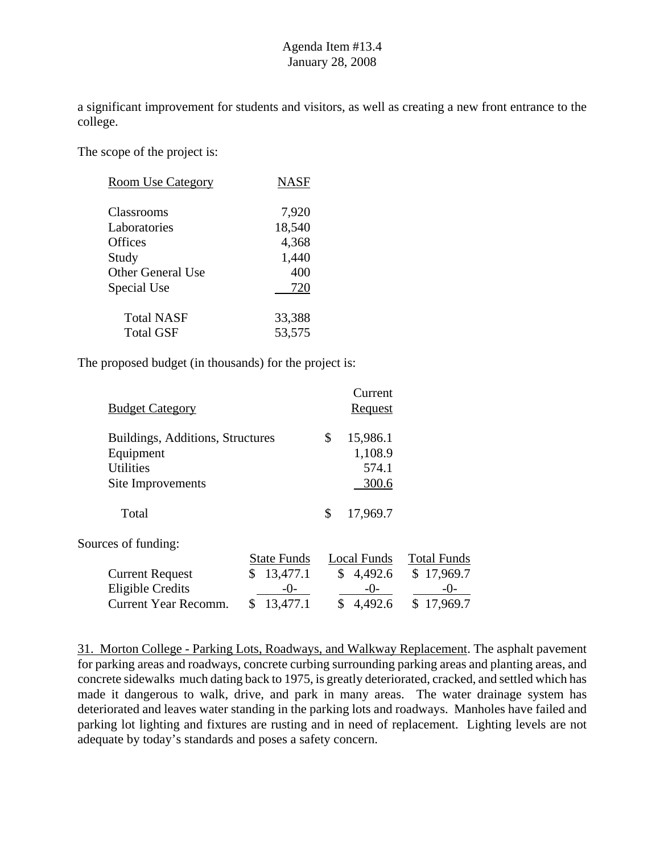a significant improvement for students and visitors, as well as creating a new front entrance to the college.

The scope of the project is:

| <b>Room Use Category</b> | NASF   |
|--------------------------|--------|
| Classrooms               | 7,920  |
| Laboratories             | 18,540 |
| Offices                  | 4,368  |
| Study                    | 1,440  |
| <b>Other General Use</b> | 400    |
| Special Use              | 720    |
| <b>Total NASF</b>        | 33,388 |
| Total GSF                | 53,575 |

The proposed budget (in thousands) for the project is:

| \$<br>15,986.1<br>Buildings, Additions, Structures<br>1,108.9<br>Equipment<br><b>Utilities</b><br>574.1<br>300.6<br>Site Improvements<br>17,969.7<br>\$<br>Total<br>Sources of funding:<br><b>State Funds</b><br>Local Funds<br>\$<br>13,477.1<br>\$<br>4,492.6<br><b>Current Request</b><br><b>Eligible Credits</b><br>$-()$ -<br>$-()$ -<br>-()-<br>\$<br>4,492.6<br>Current Year Recomm.<br>13,477.1 | <b>Budget Category</b> |  | Current<br><b>Request</b> |                                              |
|---------------------------------------------------------------------------------------------------------------------------------------------------------------------------------------------------------------------------------------------------------------------------------------------------------------------------------------------------------------------------------------------------------|------------------------|--|---------------------------|----------------------------------------------|
|                                                                                                                                                                                                                                                                                                                                                                                                         |                        |  |                           |                                              |
|                                                                                                                                                                                                                                                                                                                                                                                                         |                        |  |                           |                                              |
|                                                                                                                                                                                                                                                                                                                                                                                                         |                        |  |                           |                                              |
|                                                                                                                                                                                                                                                                                                                                                                                                         |                        |  |                           | <b>Total Funds</b><br>\$17,969.7<br>17,969.7 |

31. Morton College - Parking Lots, Roadways, and Walkway Replacement. The asphalt pavement for parking areas and roadways, concrete curbing surrounding parking areas and planting areas, and concrete sidewalks much dating back to 1975, is greatly deteriorated, cracked, and settled which has made it dangerous to walk, drive, and park in many areas. The water drainage system has deteriorated and leaves water standing in the parking lots and roadways. Manholes have failed and parking lot lighting and fixtures are rusting and in need of replacement. Lighting levels are not adequate by today's standards and poses a safety concern.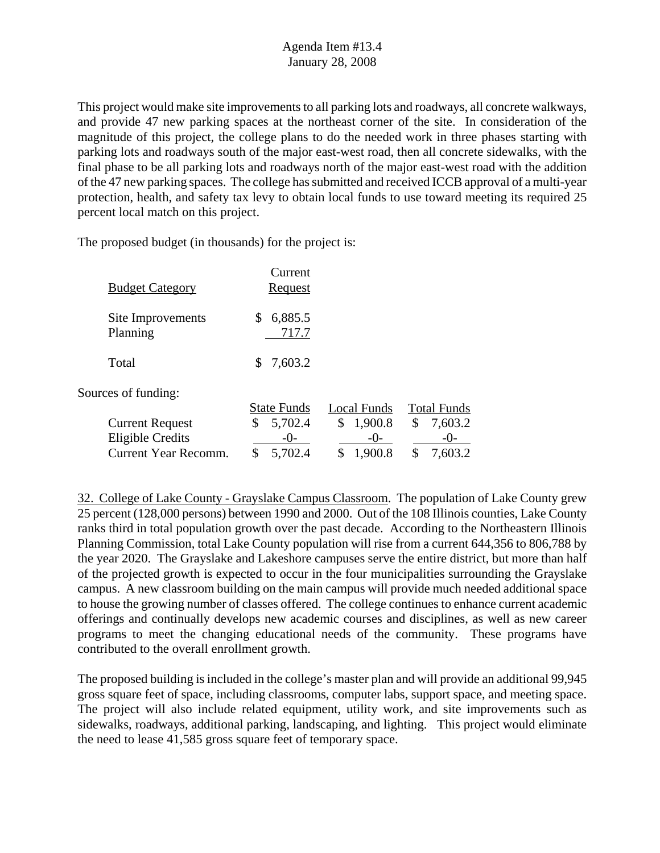This project would make site improvements to all parking lots and roadways, all concrete walkways, and provide 47 new parking spaces at the northeast corner of the site. In consideration of the magnitude of this project, the college plans to do the needed work in three phases starting with parking lots and roadways south of the major east-west road, then all concrete sidewalks, with the final phase to be all parking lots and roadways north of the major east-west road with the addition of the 47 new parking spaces. The college has submitted and received ICCB approval of a multi-year protection, health, and safety tax levy to obtain local funds to use toward meeting its required 25 percent local match on this project.

The proposed budget (in thousands) for the project is:

| <b>Budget Category</b>        | Current<br><u>Request</u> |               |                    |
|-------------------------------|---------------------------|---------------|--------------------|
| Site Improvements<br>Planning | 6,885.5<br>S<br>717.7     |               |                    |
| Total                         | 7,603.2<br>S.             |               |                    |
| Sources of funding:           |                           |               |                    |
|                               | <b>State Funds</b>        | Local Funds   | <b>Total Funds</b> |
| <b>Current Request</b>        | 5,702.4<br>\$             | 1,900.8<br>\$ | \$<br>7,603.2      |
| Eligible Credits              | $-()$ -                   |               |                    |

Current Year Recomm. \$ 5,702.4 \$ 1,900.8 \$ 7,603.2

32. College of Lake County - Grayslake Campus Classroom. The population of Lake County grew 25 percent (128,000 persons) between 1990 and 2000. Out of the 108 Illinois counties, Lake County ranks third in total population growth over the past decade. According to the Northeastern Illinois Planning Commission, total Lake County population will rise from a current 644,356 to 806,788 by the year 2020. The Grayslake and Lakeshore campuses serve the entire district, but more than half of the projected growth is expected to occur in the four municipalities surrounding the Grayslake campus. A new classroom building on the main campus will provide much needed additional space to house the growing number of classes offered. The college continues to enhance current academic offerings and continually develops new academic courses and disciplines, as well as new career programs to meet the changing educational needs of the community. These programs have contributed to the overall enrollment growth.

The proposed building is included in the college's master plan and will provide an additional 99,945 gross square feet of space, including classrooms, computer labs, support space, and meeting space. The project will also include related equipment, utility work, and site improvements such as sidewalks, roadways, additional parking, landscaping, and lighting. This project would eliminate the need to lease 41,585 gross square feet of temporary space.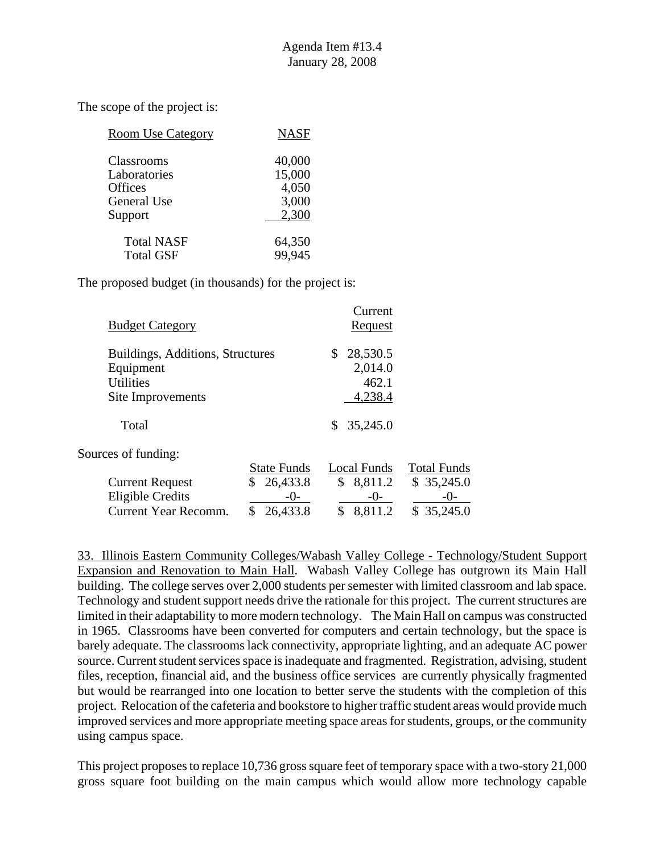| <b>Room Use Category</b> | <b>NASF</b> |
|--------------------------|-------------|
| Classrooms               | 40,000      |
| Laboratories             | 15,000      |
| Offices                  | 4,050       |
| <b>General Use</b>       | 3,000       |
| Support                  | 2,300       |
| <b>Total NASF</b>        | 64,350      |
| <b>Total GSF</b>         | 99,945      |

The proposed budget (in thousands) for the project is:

| <b>Budget Category</b>           |                    | Current<br>Request |                    |
|----------------------------------|--------------------|--------------------|--------------------|
| Buildings, Additions, Structures |                    | 28,530.5           |                    |
| Equipment                        |                    | 2,014.0            |                    |
| <b>Utilities</b>                 |                    | 462.1              |                    |
| Site Improvements                |                    | 4,238.4            |                    |
| Total                            |                    | 35,245.0<br>S.     |                    |
| Sources of funding:              |                    |                    |                    |
|                                  | <b>State Funds</b> | <b>Local Funds</b> | <b>Total Funds</b> |
| <b>Current Request</b>           | 26,433.8           | \$8,811.2          | \$35,245.0         |
| <b>Eligible Credits</b>          | $-0-$              | $-()$              | -()-               |
| Current Year Recomm.             | 26,433.8           | 8,811.2            | \$35,245.0         |

33. Illinois Eastern Community Colleges/Wabash Valley College - Technology/Student Support Expansion and Renovation to Main Hall. Wabash Valley College has outgrown its Main Hall building. The college serves over 2,000 students per semester with limited classroom and lab space. Technology and student support needs drive the rationale for this project. The current structures are limited in their adaptability to more modern technology. The Main Hall on campus was constructed in 1965. Classrooms have been converted for computers and certain technology, but the space is barely adequate. The classrooms lack connectivity, appropriate lighting, and an adequate AC power source. Current student services space is inadequate and fragmented. Registration, advising, student files, reception, financial aid, and the business office services are currently physically fragmented but would be rearranged into one location to better serve the students with the completion of this project. Relocation of the cafeteria and bookstore to higher traffic student areas would provide much improved services and more appropriate meeting space areas for students, groups, or the community using campus space.

This project proposes to replace 10,736 gross square feet of temporary space with a two-story 21,000 gross square foot building on the main campus which would allow more technology capable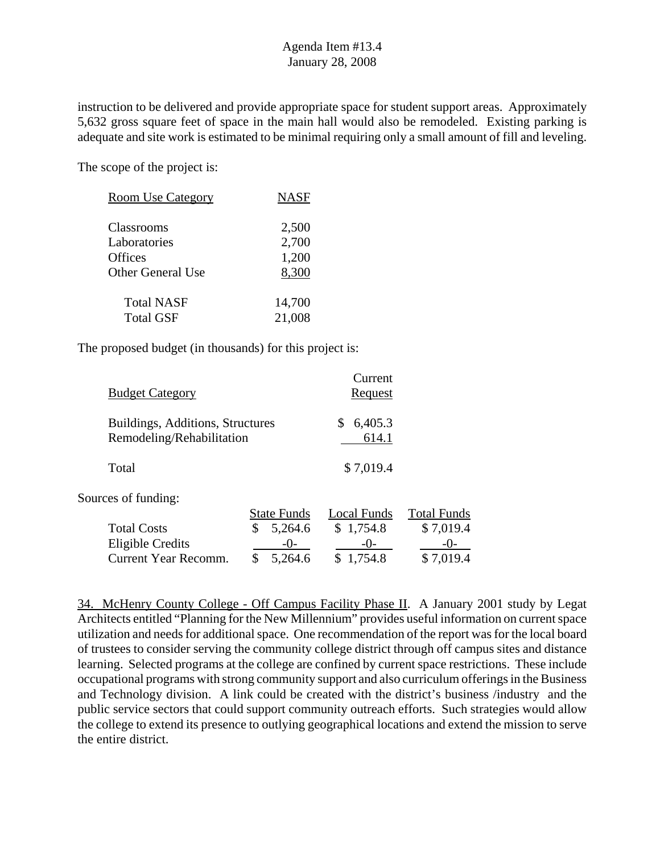instruction to be delivered and provide appropriate space for student support areas. Approximately 5,632 gross square feet of space in the main hall would also be remodeled. Existing parking is adequate and site work is estimated to be minimal requiring only a small amount of fill and leveling.

The scope of the project is:

| <b>Room Use Category</b> | <b>NASF</b> |
|--------------------------|-------------|
| Classrooms               | 2,500       |
| Laboratories             | 2,700       |
| Offices                  | 1,200       |
| Other General Use        | 8,300       |
| <b>Total NASF</b>        | 14,700      |
| <b>Total GSF</b>         | 21,008      |

The proposed budget (in thousands) for this project is:

| <b>Budget Category</b>                                        | Current<br><u>Request</u> |
|---------------------------------------------------------------|---------------------------|
| Buildings, Additions, Structures<br>Remodeling/Rehabilitation | 6,405.3<br>614.1          |
| Total                                                         | \$7,019.4                 |

Sources of funding:

|                      | <b>State Funds</b> | Local Funds | <b>Total Funds</b> |
|----------------------|--------------------|-------------|--------------------|
| <b>Total Costs</b>   | \$5,264.6          | \$1,754.8   | \$7,019.4          |
| Eligible Credits     | $-()$              | $-1$ )      | $-()$              |
| Current Year Recomm. | \$5,264.6          | \$1,754.8   | \$7,019.4          |

34. McHenry County College - Off Campus Facility Phase II. A January 2001 study by Legat Architects entitled "Planning for the New Millennium" provides useful information on current space utilization and needs for additional space. One recommendation of the report was for the local board of trustees to consider serving the community college district through off campus sites and distance learning. Selected programs at the college are confined by current space restrictions. These include occupational programs with strong community support and also curriculum offerings in the Business and Technology division. A link could be created with the district's business /industry and the public service sectors that could support community outreach efforts. Such strategies would allow the college to extend its presence to outlying geographical locations and extend the mission to serve the entire district.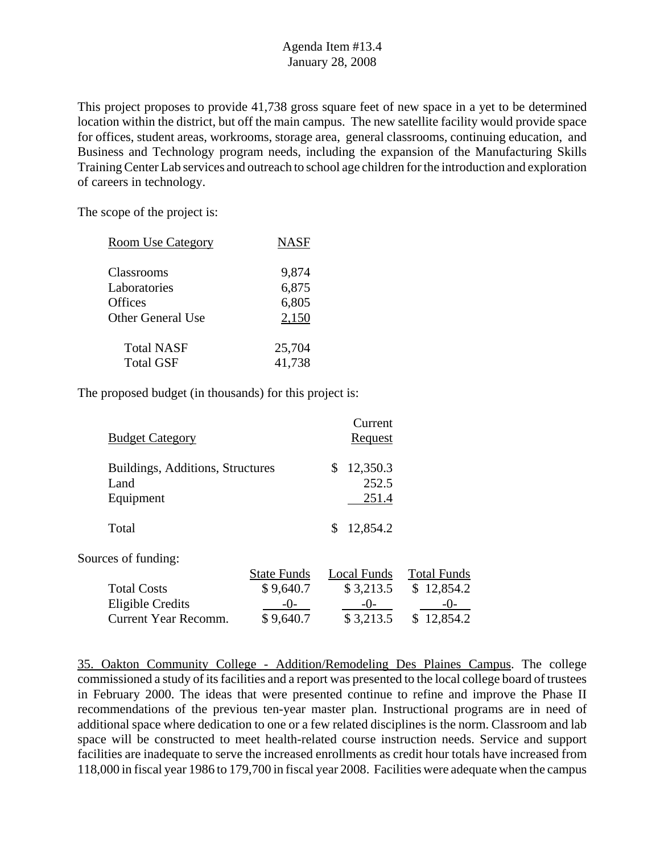This project proposes to provide 41,738 gross square feet of new space in a yet to be determined location within the district, but off the main campus. The new satellite facility would provide space for offices, student areas, workrooms, storage area, general classrooms, continuing education, and Business and Technology program needs, including the expansion of the Manufacturing Skills Training Center Lab services and outreach to school age children for the introduction and exploration of careers in technology.

The scope of the project is:

| <b>Room Use Category</b> | <b>NASF</b> |
|--------------------------|-------------|
|                          |             |
| Classrooms               | 9,874       |
| Laboratories             | 6,875       |
| Offices                  | 6,805       |
| Other General Use        | 2,150       |
|                          |             |
| <b>Total NASF</b>        | 25,704      |
| <b>Total GSF</b>         | 41,738      |
|                          |             |

The proposed budget (in thousands) for this project is:

| <b>Budget Category</b>                   |                    | Current<br>Request      |                    |
|------------------------------------------|--------------------|-------------------------|--------------------|
| Buildings, Additions, Structures<br>Land |                    | 12,350.3<br>\$<br>252.5 |                    |
| Equipment<br>Total                       |                    | 251.4<br>12,854.2<br>\$ |                    |
| Sources of funding:                      |                    |                         |                    |
|                                          | <b>State Funds</b> | Local Funds             | <b>Total Funds</b> |
| <b>Total Costs</b>                       | \$9,640.7          | \$3,213.5               | \$12,854.2         |
| <b>Eligible Credits</b>                  | $-()$ -            | $-()$ -                 | -()-               |
| Current Year Recomm.                     | \$9,640.7          | \$3,213.5               | 12,854.2           |

35. Oakton Community College - Addition/Remodeling Des Plaines Campus. The college commissioned a study of its facilities and a report was presented to the local college board of trustees in February 2000. The ideas that were presented continue to refine and improve the Phase II recommendations of the previous ten-year master plan. Instructional programs are in need of additional space where dedication to one or a few related disciplines is the norm. Classroom and lab space will be constructed to meet health-related course instruction needs. Service and support facilities are inadequate to serve the increased enrollments as credit hour totals have increased from 118,000 in fiscal year 1986 to 179,700 in fiscal year 2008. Facilities were adequate when the campus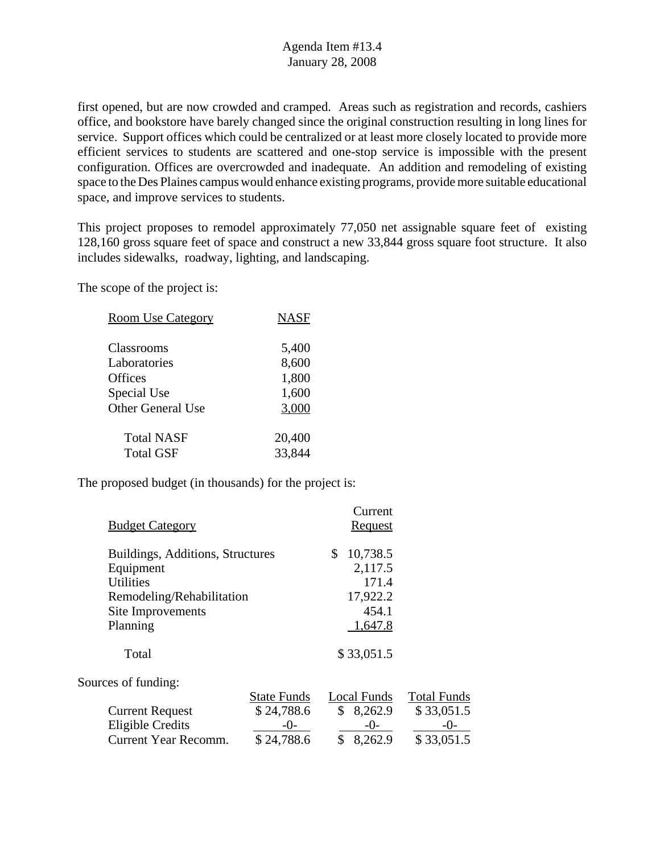first opened, but are now crowded and cramped. Areas such as registration and records, cashiers office, and bookstore have barely changed since the original construction resulting in long lines for service. Support offices which could be centralized or at least more closely located to provide more efficient services to students are scattered and one-stop service is impossible with the present configuration. Offices are overcrowded and inadequate. An addition and remodeling of existing space to the Des Plaines campus would enhance existing programs, provide more suitable educational space, and improve services to students.

This project proposes to remodel approximately 77,050 net assignable square feet of existing 128,160 gross square feet of space and construct a new 33,844 gross square foot structure. It also includes sidewalks, roadway, lighting, and landscaping.

The scope of the project is:

| <b>Room Use Category</b> | <b>NASF</b> |
|--------------------------|-------------|
| Classrooms               | 5,400       |
| Laboratories             | 8,600       |
| <b>Offices</b>           | 1,800       |
| Special Use              | 1,600       |
| <b>Other General Use</b> | 3,000       |
| <b>Total NASF</b>        | 20,400      |
| <b>Total GSF</b>         | 33,844      |

| <b>Budget Category</b>                                                           |                                                       | Current<br><b>Request</b>                              |                                                         |
|----------------------------------------------------------------------------------|-------------------------------------------------------|--------------------------------------------------------|---------------------------------------------------------|
| Buildings, Additions, Structures<br>Equipment<br><b>Utilities</b>                |                                                       | 10,738.5<br>\$.<br>2,117.5<br>171.4                    |                                                         |
| Remodeling/Rehabilitation<br>Site Improvements                                   |                                                       | 17,922.2<br>454.1                                      |                                                         |
| Planning                                                                         |                                                       | 1,647.8                                                |                                                         |
| Total                                                                            |                                                       | \$33,051.5                                             |                                                         |
| Sources of funding:                                                              |                                                       |                                                        |                                                         |
| <b>Current Request</b><br><b>Eligible Credits</b><br><b>Current Year Recomm.</b> | <b>State Funds</b><br>\$24,788.6<br>-0-<br>\$24,788.6 | Local Funds<br>\$<br>8,262.9<br>$-0-$<br>\$<br>8,262.9 | <b>Total Funds</b><br>\$33,051.5<br>$-()$<br>\$33,051.5 |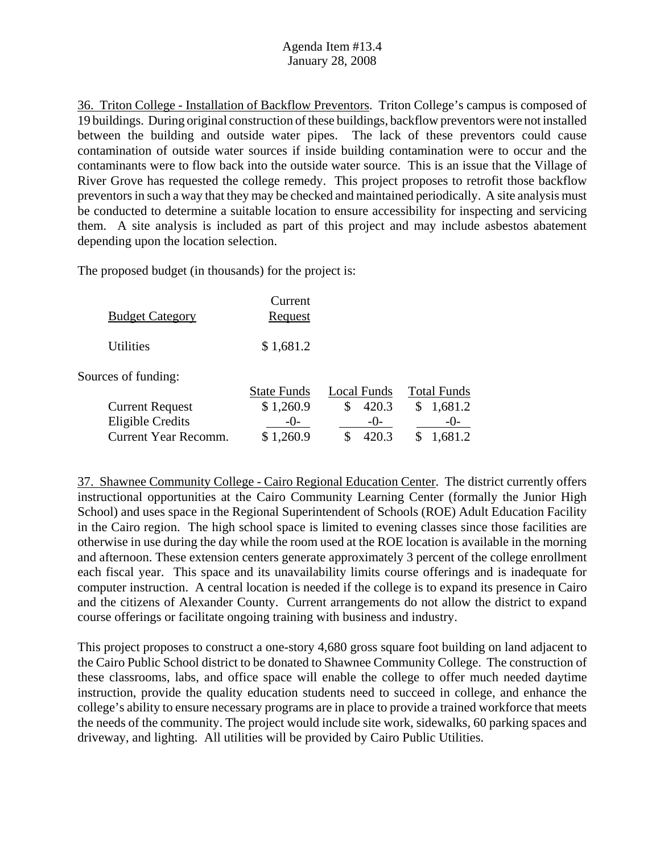36. Triton College - Installation of Backflow Preventors. Triton College's campus is composed of 19 buildings. During original construction of these buildings, backflow preventors were not installed between the building and outside water pipes. The lack of these preventors could cause contamination of outside water sources if inside building contamination were to occur and the contaminants were to flow back into the outside water source. This is an issue that the Village of River Grove has requested the college remedy. This project proposes to retrofit those backflow preventors in such a way that they may be checked and maintained periodically. A site analysis must be conducted to determine a suitable location to ensure accessibility for inspecting and servicing them. A site analysis is included as part of this project and may include asbestos abatement depending upon the location selection.

The proposed budget (in thousands) for the project is:

| <b>Budget Category</b> | Current<br>Request |  |
|------------------------|--------------------|--|
| <b>Utilities</b>       | \$1,681.2          |  |
| Sources of funding:    |                    |  |

State Funds Local Funds Total Funds Current Request  $$ 1,260.9$   $$ 420.3$   $$ 1,681.2$ Eligible Credits -0- -0- -0-Current Year Recomm. \$ 1,260.9 \$ 420.3 \$ 1,681.2

37. Shawnee Community College - Cairo Regional Education Center. The district currently offers instructional opportunities at the Cairo Community Learning Center (formally the Junior High School) and uses space in the Regional Superintendent of Schools (ROE) Adult Education Facility in the Cairo region. The high school space is limited to evening classes since those facilities are otherwise in use during the day while the room used at the ROE location is available in the morning and afternoon. These extension centers generate approximately 3 percent of the college enrollment each fiscal year. This space and its unavailability limits course offerings and is inadequate for computer instruction. A central location is needed if the college is to expand its presence in Cairo and the citizens of Alexander County. Current arrangements do not allow the district to expand course offerings or facilitate ongoing training with business and industry.

This project proposes to construct a one-story 4,680 gross square foot building on land adjacent to the Cairo Public School district to be donated to Shawnee Community College. The construction of these classrooms, labs, and office space will enable the college to offer much needed daytime instruction, provide the quality education students need to succeed in college, and enhance the college's ability to ensure necessary programs are in place to provide a trained workforce that meets the needs of the community. The project would include site work, sidewalks, 60 parking spaces and driveway, and lighting. All utilities will be provided by Cairo Public Utilities.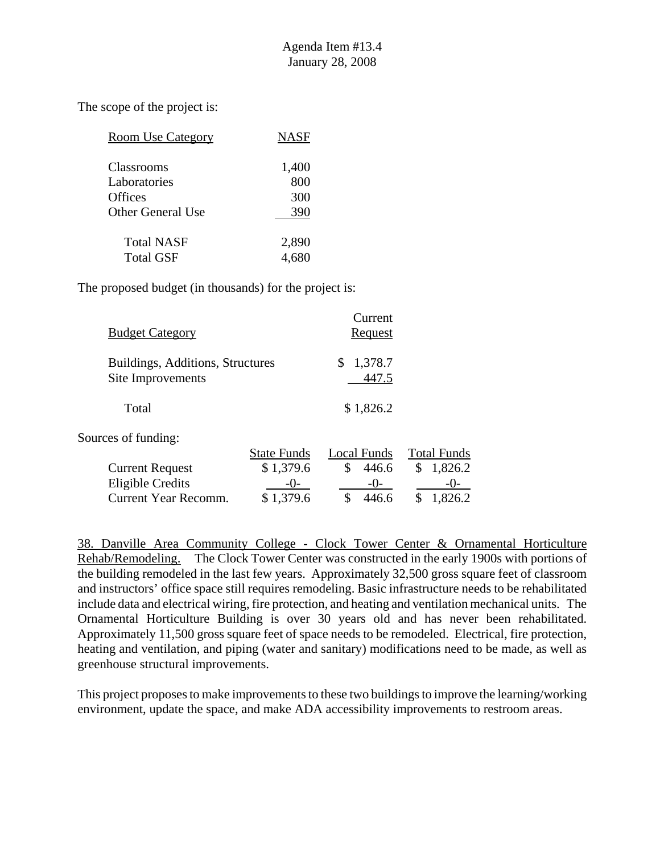| <b>Room Use Category</b> | <b>NASF</b> |
|--------------------------|-------------|
| <b>Classrooms</b>        | 1,400       |
| Laboratories             | 800         |
| <b>Offices</b>           | 300         |
| Other General Use        | 390         |
| <b>Total NASF</b>        | 2,890       |
| Total GSF                |             |

The proposed budget (in thousands) for the project is:

| <b>Budget Category</b>                                                    |                                 |          | Current<br><b>Request</b> |                                   |
|---------------------------------------------------------------------------|---------------------------------|----------|---------------------------|-----------------------------------|
| Buildings, Additions, Structures<br>Site Improvements                     |                                 | S        | 1,378.7<br>447.5          |                                   |
| Total                                                                     |                                 |          | \$1,826.2                 |                                   |
| Sources of funding:                                                       | <b>State Funds</b>              |          | Local Funds               | <b>Total Funds</b>                |
| <b>Current Request</b><br><b>Eligible Credits</b><br>Current Year Recomm. | \$1,379.6<br>$-()$<br>\$1,379.6 | \$<br>\$ | 446.6<br>$-()$<br>446.6   | 1,826.2<br>\$<br>$-()$<br>1,826.2 |

38. Danville Area Community College - Clock Tower Center & Ornamental Horticulture Rehab/Remodeling. The Clock Tower Center was constructed in the early 1900s with portions of the building remodeled in the last few years. Approximately 32,500 gross square feet of classroom and instructors' office space still requires remodeling. Basic infrastructure needs to be rehabilitated include data and electrical wiring, fire protection, and heating and ventilation mechanical units. The Ornamental Horticulture Building is over 30 years old and has never been rehabilitated. Approximately 11,500 gross square feet of space needs to be remodeled. Electrical, fire protection, heating and ventilation, and piping (water and sanitary) modifications need to be made, as well as greenhouse structural improvements.

This project proposes to make improvements to these two buildings to improve the learning/working environment, update the space, and make ADA accessibility improvements to restroom areas.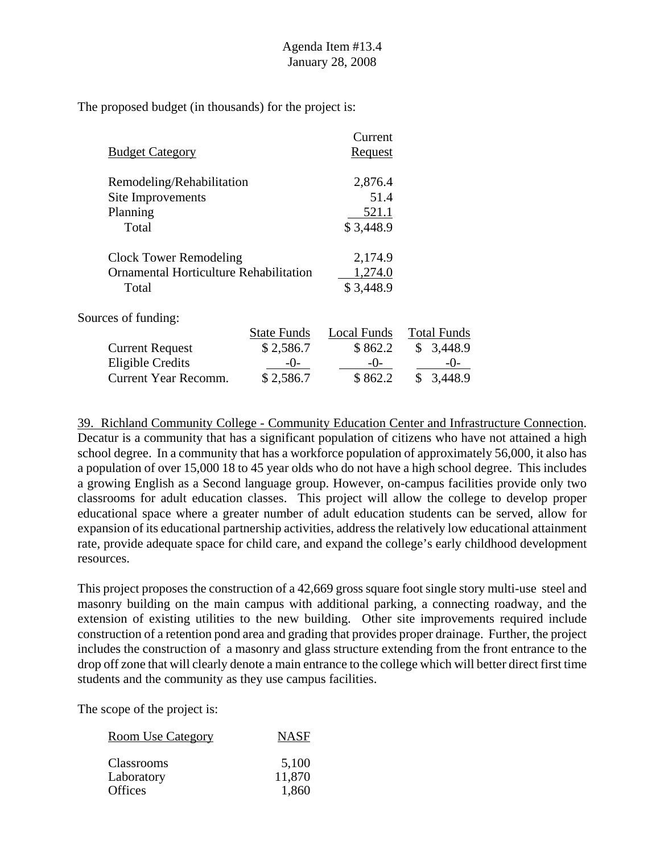|                                        |                    | Current        |                    |
|----------------------------------------|--------------------|----------------|--------------------|
| <b>Budget Category</b>                 |                    | <b>Request</b> |                    |
| Remodeling/Rehabilitation              |                    | 2,876.4        |                    |
| Site Improvements                      |                    | 51.4           |                    |
| Planning                               |                    | 521.1          |                    |
| Total                                  |                    | \$3,448.9      |                    |
| <b>Clock Tower Remodeling</b>          |                    | 2,174.9        |                    |
| Ornamental Horticulture Rehabilitation |                    | 1,274.0        |                    |
| Total                                  |                    | \$3,448.9      |                    |
| Sources of funding:                    |                    |                |                    |
|                                        | <b>State Funds</b> | Local Funds    | <b>Total Funds</b> |
| <b>Current Request</b>                 | \$2,586.7          | \$862.2        | 3,448.9<br>\$      |
| <b>Eligible Credits</b>                | -0-                | $-0-$          | $-()$ -            |
| <b>Current Year Recomm.</b>            | \$2,586.7          | \$862.2        | \$<br>3,448.9      |

39. Richland Community College - Community Education Center and Infrastructure Connection. Decatur is a community that has a significant population of citizens who have not attained a high school degree. In a community that has a workforce population of approximately 56,000, it also has a population of over 15,000 18 to 45 year olds who do not have a high school degree. This includes a growing English as a Second language group. However, on-campus facilities provide only two classrooms for adult education classes. This project will allow the college to develop proper educational space where a greater number of adult education students can be served, allow for expansion of its educational partnership activities, address the relatively low educational attainment rate, provide adequate space for child care, and expand the college's early childhood development resources.

This project proposes the construction of a 42,669 gross square foot single story multi-use steel and masonry building on the main campus with additional parking, a connecting roadway, and the extension of existing utilities to the new building. Other site improvements required include construction of a retention pond area and grading that provides proper drainage. Further, the project includes the construction of a masonry and glass structure extending from the front entrance to the drop off zone that will clearly denote a main entrance to the college which will better direct first time students and the community as they use campus facilities.

| <b>Room Use Category</b> | <b>NASF</b> |
|--------------------------|-------------|
| <b>Classrooms</b>        | 5,100       |
| Laboratory               | 11,870      |
| <b>Offices</b>           | 1,860       |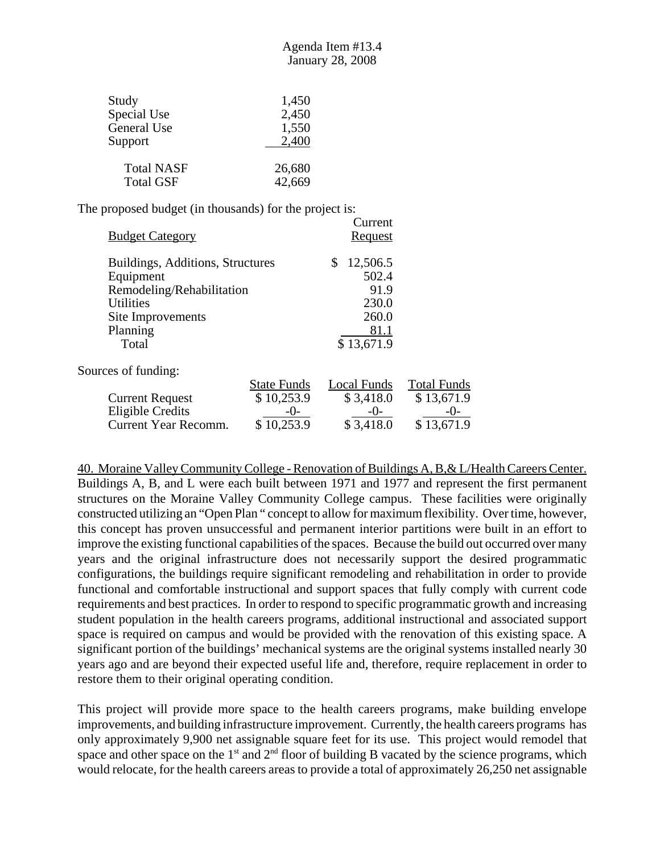| Study             | 1,450  |
|-------------------|--------|
| Special Use       | 2,450  |
| General Use       | 1,550  |
| Support           | 2,400  |
| <b>Total NASF</b> | 26,680 |
| <b>Total GSF</b>  | 42,669 |

| <b>Budget Category</b>           |                    | Current<br>Request |                    |
|----------------------------------|--------------------|--------------------|--------------------|
| Buildings, Additions, Structures |                    | 12,506.5<br>\$     |                    |
| Equipment                        |                    | 502.4              |                    |
| Remodeling/Rehabilitation        |                    | 91.9               |                    |
| <b>Utilities</b>                 |                    | 230.0              |                    |
| Site Improvements                |                    | 260.0              |                    |
| Planning                         |                    | 81.1               |                    |
| Total                            |                    | \$13,671.9         |                    |
| Sources of funding:              |                    |                    |                    |
|                                  | <b>State Funds</b> | Local Funds        | <b>Total Funds</b> |
| <b>Current Request</b>           | \$10,253.9         | \$3,418.0          | \$13,671.9         |
| Eligible Credits                 | -0-                | $-()$              | $-()$              |
| Current Year Recomm.             | \$10,253.9         | \$3,418.0          | \$13,671.9         |

40. Moraine Valley Community College - Renovation of Buildings A, B,& L/Health Careers Center. Buildings A, B, and L were each built between 1971 and 1977 and represent the first permanent structures on the Moraine Valley Community College campus. These facilities were originally constructed utilizing an "Open Plan " concept to allow for maximum flexibility. Over time, however, this concept has proven unsuccessful and permanent interior partitions were built in an effort to improve the existing functional capabilities of the spaces. Because the build out occurred over many years and the original infrastructure does not necessarily support the desired programmatic configurations, the buildings require significant remodeling and rehabilitation in order to provide functional and comfortable instructional and support spaces that fully comply with current code requirements and best practices. In order to respond to specific programmatic growth and increasing student population in the health careers programs, additional instructional and associated support space is required on campus and would be provided with the renovation of this existing space. A significant portion of the buildings' mechanical systems are the original systems installed nearly 30 years ago and are beyond their expected useful life and, therefore, require replacement in order to restore them to their original operating condition.

This project will provide more space to the health careers programs, make building envelope improvements, and building infrastructure improvement. Currently, the health careers programs has only approximately 9,900 net assignable square feet for its use. This project would remodel that space and other space on the  $1<sup>st</sup>$  and  $2<sup>nd</sup>$  floor of building B vacated by the science programs, which would relocate, for the health careers areas to provide a total of approximately 26,250 net assignable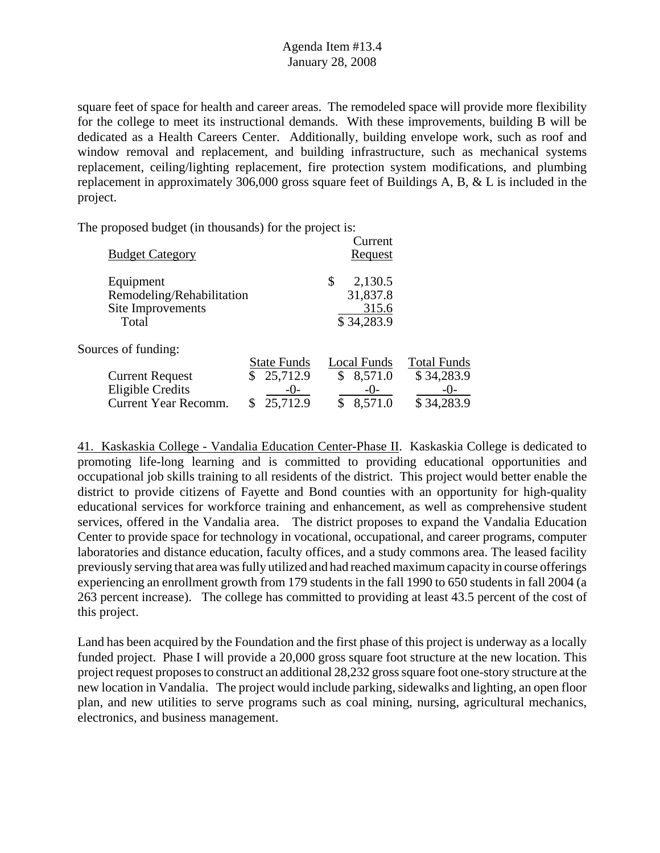square feet of space for health and career areas. The remodeled space will provide more flexibility for the college to meet its instructional demands. With these improvements, building B will be dedicated as a Health Careers Center. Additionally, building envelope work, such as roof and window removal and replacement, and building infrastructure, such as mechanical systems replacement, ceiling/lighting replacement, fire protection system modifications, and plumbing replacement in approximately 306,000 gross square feet of Buildings A, B, & L is included in the project.

The proposed budget (in thousands) for the project is:

| <b>Budget Category</b>                                               |                                | Current<br><u>Request</u>                        |                                  |
|----------------------------------------------------------------------|--------------------------------|--------------------------------------------------|----------------------------------|
| Equipment<br>Remodeling/Rehabilitation<br>Site Improvements<br>Total |                                | \$<br>2,130.5<br>31,837.8<br>315.6<br>\$34,283.9 |                                  |
| Sources of funding:                                                  |                                |                                                  |                                  |
| <b>Current Request</b>                                               | <b>State Funds</b><br>25,712.9 | Local Funds<br>8,571.0<br>\$                     | <b>Total Funds</b><br>\$34,283.9 |
| <b>Eligible Credits</b><br><b>Current Year Recomm.</b>               | $-()$ -<br>25,712.9            | $-()$<br>8,571.0                                 | $-()$ -<br>\$34,283.9            |
|                                                                      |                                |                                                  |                                  |

41. Kaskaskia College - Vandalia Education Center-Phase II. Kaskaskia College is dedicated to promoting life-long learning and is committed to providing educational opportunities and occupational job skills training to all residents of the district. This project would better enable the district to provide citizens of Fayette and Bond counties with an opportunity for high-quality educational services for workforce training and enhancement, as well as comprehensive student services, offered in the Vandalia area. The district proposes to expand the Vandalia Education Center to provide space for technology in vocational, occupational, and career programs, computer laboratories and distance education, faculty offices, and a study commons area. The leased facility previously serving that area was fully utilized and had reached maximum capacity in course offerings experiencing an enrollment growth from 179 students in the fall 1990 to 650 students in fall 2004 (a 263 percent increase). The college has committed to providing at least 43.5 percent of the cost of this project.

Land has been acquired by the Foundation and the first phase of this project is underway as a locally funded project. Phase I will provide a 20,000 gross square foot structure at the new location. This project request proposes to construct an additional 28,232 gross square foot one-story structure at the new location in Vandalia. The project would include parking, sidewalks and lighting, an open floor plan, and new utilities to serve programs such as coal mining, nursing, agricultural mechanics, electronics, and business management.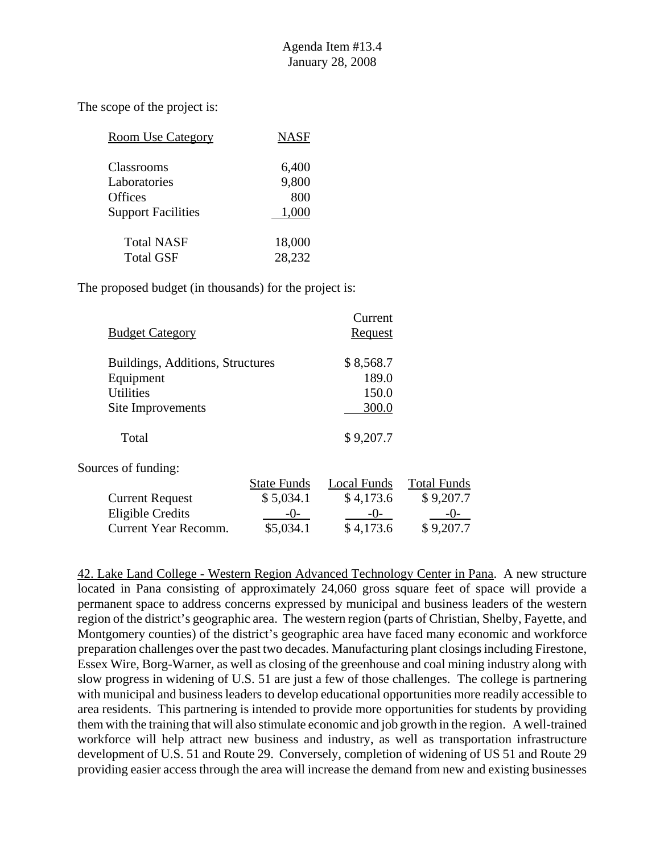| <b>Room Use Category</b>  | <b>NASF</b> |
|---------------------------|-------------|
| Classrooms                | 6,400       |
| Laboratories              | 9,800       |
| <b>Offices</b>            | 800         |
| <b>Support Facilities</b> | 1,000       |
| <b>Total NASF</b>         | 18,000      |
| <b>Total GSF</b>          | 28,232      |

The proposed budget (in thousands) for the project is:

| <b>Budget Category</b>           |                    | Current<br><u>Request</u> |                    |
|----------------------------------|--------------------|---------------------------|--------------------|
| Buildings, Additions, Structures |                    | \$8,568.7                 |                    |
| Equipment                        |                    | 189.0                     |                    |
| <b>Utilities</b>                 |                    | 150.0                     |                    |
| Site Improvements                |                    | 300.0                     |                    |
| Total                            |                    | \$9,207.7                 |                    |
| Sources of funding:              |                    |                           |                    |
|                                  | <b>State Funds</b> | Local Funds               | <b>Total Funds</b> |
| <b>Current Request</b>           | \$5,034.1          | \$4,173.6                 | \$9,207.7          |
| <b>Eligible Credits</b>          | $-()$ -            | $-0-$                     |                    |
| <b>Current Year Recomm.</b>      | \$5,034.1          | \$4,173.6                 | \$9,207.7          |

42. Lake Land College - Western Region Advanced Technology Center in Pana. A new structure located in Pana consisting of approximately 24,060 gross square feet of space will provide a permanent space to address concerns expressed by municipal and business leaders of the western region of the district's geographic area. The western region (parts of Christian, Shelby, Fayette, and Montgomery counties) of the district's geographic area have faced many economic and workforce preparation challenges over the past two decades. Manufacturing plant closings including Firestone, Essex Wire, Borg-Warner, as well as closing of the greenhouse and coal mining industry along with slow progress in widening of U.S. 51 are just a few of those challenges. The college is partnering with municipal and business leaders to develop educational opportunities more readily accessible to area residents. This partnering is intended to provide more opportunities for students by providing them with the training that will also stimulate economic and job growth in the region. A well-trained workforce will help attract new business and industry, as well as transportation infrastructure development of U.S. 51 and Route 29. Conversely, completion of widening of US 51 and Route 29 providing easier access through the area will increase the demand from new and existing businesses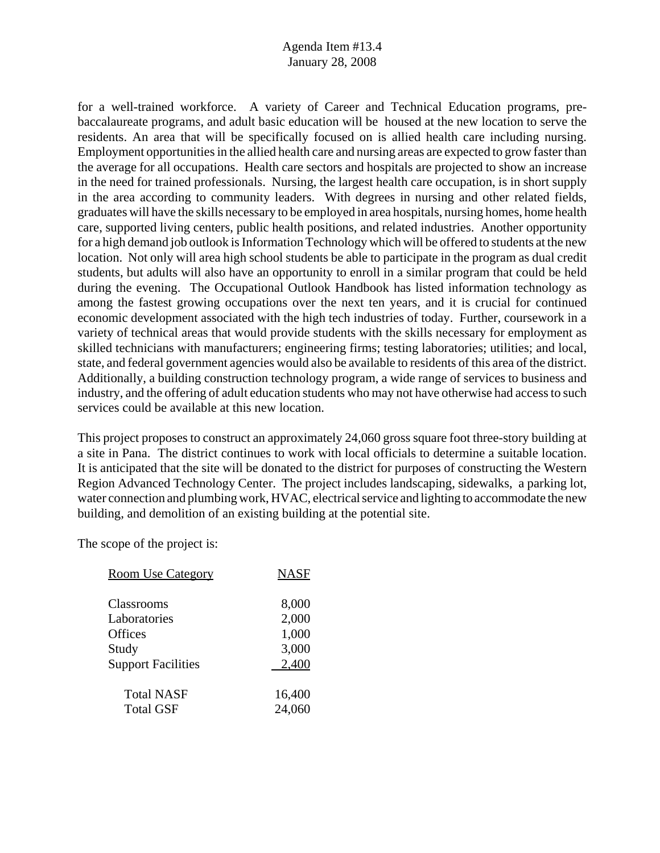for a well-trained workforce. A variety of Career and Technical Education programs, prebaccalaureate programs, and adult basic education will be housed at the new location to serve the residents. An area that will be specifically focused on is allied health care including nursing. Employment opportunities in the allied health care and nursing areas are expected to grow faster than the average for all occupations. Health care sectors and hospitals are projected to show an increase in the need for trained professionals. Nursing, the largest health care occupation, is in short supply in the area according to community leaders. With degrees in nursing and other related fields, graduates will have the skills necessary to be employed in area hospitals, nursing homes, home health care, supported living centers, public health positions, and related industries. Another opportunity for a high demand job outlook is Information Technology which will be offered to students at the new location. Not only will area high school students be able to participate in the program as dual credit students, but adults will also have an opportunity to enroll in a similar program that could be held during the evening. The Occupational Outlook Handbook has listed information technology as among the fastest growing occupations over the next ten years, and it is crucial for continued economic development associated with the high tech industries of today. Further, coursework in a variety of technical areas that would provide students with the skills necessary for employment as skilled technicians with manufacturers; engineering firms; testing laboratories; utilities; and local, state, and federal government agencies would also be available to residents of this area of the district. Additionally, a building construction technology program, a wide range of services to business and industry, and the offering of adult education students who may not have otherwise had access to such services could be available at this new location.

This project proposes to construct an approximately 24,060 gross square foot three-story building at a site in Pana. The district continues to work with local officials to determine a suitable location. It is anticipated that the site will be donated to the district for purposes of constructing the Western Region Advanced Technology Center. The project includes landscaping, sidewalks, a parking lot, water connection and plumbing work, HVAC, electrical service and lighting to accommodate the new building, and demolition of an existing building at the potential site.

| <b>Room Use Category</b>  | <b>NASF</b> |
|---------------------------|-------------|
| Classrooms                | 8,000       |
| Laboratories              | 2,000       |
| Offices                   | 1,000       |
| Study                     | 3,000       |
| <b>Support Facilities</b> | 2,400       |
| <b>Total NASF</b>         | 16,400      |
| <b>Total GSF</b>          | 24,060      |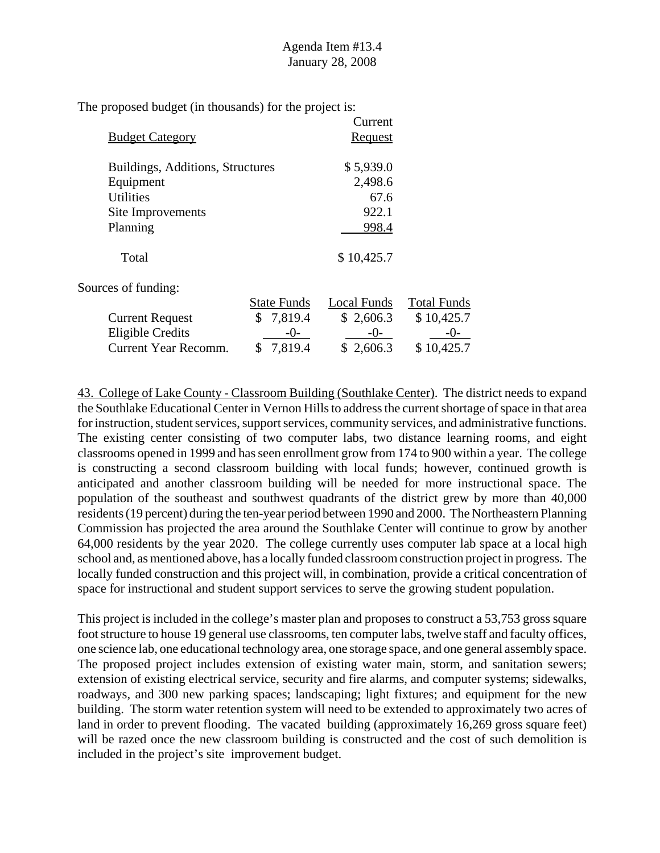|                                  |                    | Current        |                    |
|----------------------------------|--------------------|----------------|--------------------|
| <b>Budget Category</b>           |                    | <b>Request</b> |                    |
| Buildings, Additions, Structures |                    | \$5,939.0      |                    |
| Equipment                        |                    | 2,498.6        |                    |
| <b>Utilities</b>                 |                    | 67.6           |                    |
| Site Improvements                |                    | 922.1          |                    |
| Planning                         |                    | 998.4          |                    |
| Total                            |                    | \$10,425.7     |                    |
| Sources of funding:              |                    |                |                    |
|                                  | <b>State Funds</b> | Local Funds    | <b>Total Funds</b> |
| <b>Current Request</b>           | \$7,819.4          | \$2,606.3      | \$10,425.7         |
| <b>Eligible Credits</b>          | $-0-$              | $-0-$          | $-()$ -            |
| <b>Current Year Recomm.</b>      | 7,819.4<br>\$      | \$2,606.3      | \$10,425.7         |

43. College of Lake County - Classroom Building (Southlake Center). The district needs to expand the Southlake Educational Center in Vernon Hills to address the current shortage of space in that area for instruction, student services, support services, community services, and administrative functions. The existing center consisting of two computer labs, two distance learning rooms, and eight classrooms opened in 1999 and has seen enrollment grow from 174 to 900 within a year. The college is constructing a second classroom building with local funds; however, continued growth is anticipated and another classroom building will be needed for more instructional space. The population of the southeast and southwest quadrants of the district grew by more than 40,000 residents (19 percent) during the ten-year period between 1990 and 2000. The Northeastern Planning Commission has projected the area around the Southlake Center will continue to grow by another 64,000 residents by the year 2020. The college currently uses computer lab space at a local high school and, as mentioned above, has a locally funded classroom construction project in progress. The locally funded construction and this project will, in combination, provide a critical concentration of space for instructional and student support services to serve the growing student population.

This project is included in the college's master plan and proposes to construct a 53,753 gross square foot structure to house 19 general use classrooms, ten computer labs, twelve staff and faculty offices, one science lab, one educational technology area, one storage space, and one general assembly space. The proposed project includes extension of existing water main, storm, and sanitation sewers; extension of existing electrical service, security and fire alarms, and computer systems; sidewalks, roadways, and 300 new parking spaces; landscaping; light fixtures; and equipment for the new building. The storm water retention system will need to be extended to approximately two acres of land in order to prevent flooding. The vacated building (approximately 16,269 gross square feet) will be razed once the new classroom building is constructed and the cost of such demolition is included in the project's site improvement budget.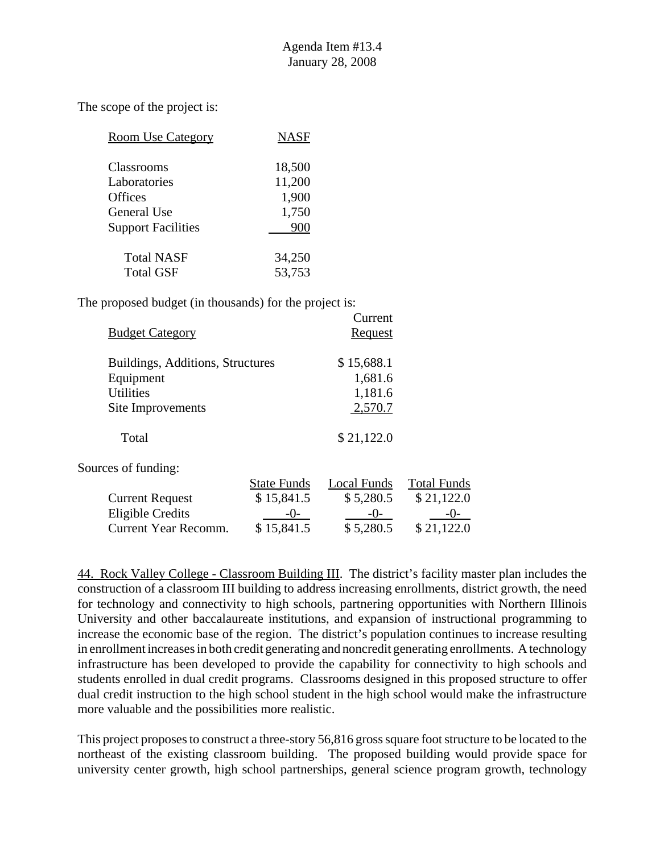| <b>Room Use Category</b>  | <b>NASF</b> |
|---------------------------|-------------|
| Classrooms                | 18,500      |
| Laboratories              | 11,200      |
| <b>Offices</b>            | 1,900       |
| General Use               | 1,750       |
| <b>Support Facilities</b> | 900         |
| <b>Total NASF</b>         | 34,250      |
| <b>Total GSF</b>          | 53,753      |

The proposed budget (in thousands) for the project is:

|                                  |                    | Current     |                    |
|----------------------------------|--------------------|-------------|--------------------|
| <b>Budget Category</b>           |                    | Request     |                    |
| Buildings, Additions, Structures |                    | \$15,688.1  |                    |
| Equipment                        |                    | 1,681.6     |                    |
| <b>Utilities</b>                 |                    | 1,181.6     |                    |
| Site Improvements                |                    | 2,570.7     |                    |
| Total                            |                    | \$21,122.0  |                    |
| Sources of funding:              |                    |             |                    |
|                                  | <b>State Funds</b> | Local Funds | <b>Total Funds</b> |
| <b>Current Request</b>           | \$15,841.5         | \$5,280.5   | \$21,122.0         |
| <b>Eligible Credits</b>          | $-()$ -            | $-0-$       | -()-               |
| <b>Current Year Recomm.</b>      | \$15,841.5         | \$5,280.5   | \$21,122.0         |

44. Rock Valley College - Classroom Building III. The district's facility master plan includes the construction of a classroom III building to address increasing enrollments, district growth, the need for technology and connectivity to high schools, partnering opportunities with Northern Illinois University and other baccalaureate institutions, and expansion of instructional programming to increase the economic base of the region. The district's population continues to increase resulting in enrollment increases in both credit generating and noncredit generating enrollments. A technology infrastructure has been developed to provide the capability for connectivity to high schools and students enrolled in dual credit programs. Classrooms designed in this proposed structure to offer dual credit instruction to the high school student in the high school would make the infrastructure more valuable and the possibilities more realistic.

This project proposes to construct a three-story 56,816 gross square foot structure to be located to the northeast of the existing classroom building. The proposed building would provide space for university center growth, high school partnerships, general science program growth, technology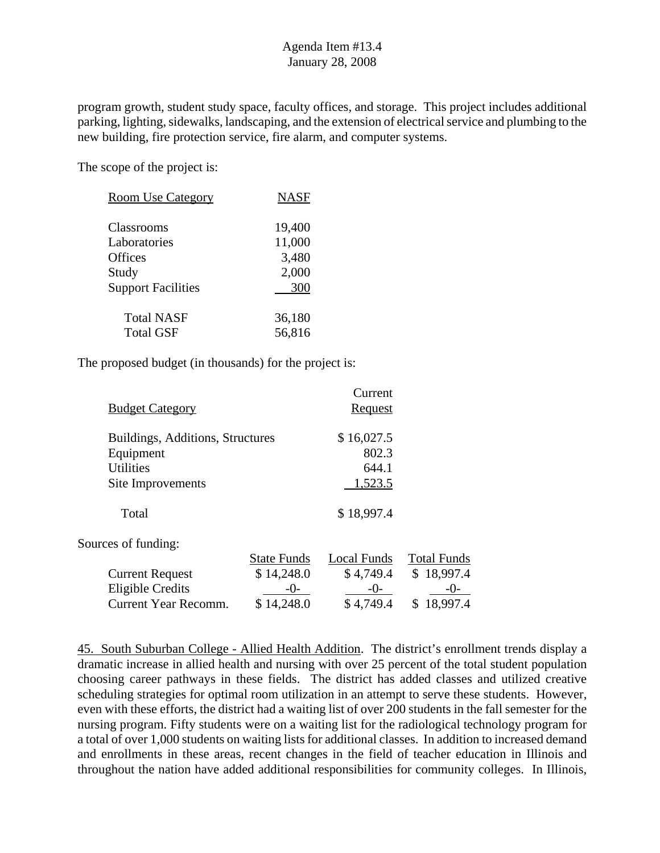program growth, student study space, faculty offices, and storage. This project includes additional parking, lighting, sidewalks, landscaping, and the extension of electrical service and plumbing to the new building, fire protection service, fire alarm, and computer systems.

The scope of the project is:

| <b>Room Use Category</b>              | <b>NASF</b>      |
|---------------------------------------|------------------|
| <b>Classrooms</b>                     | 19,400           |
| Laboratories<br>Offices               | 11,000<br>3,480  |
| Study                                 | 2,000            |
| <b>Support Facilities</b>             | 300              |
| <b>Total NASF</b><br><b>Total GSF</b> | 36,180<br>56,816 |

The proposed budget (in thousands) for the project is:

| <b>Budget Category</b>           |                    | Current<br>Request |                    |
|----------------------------------|--------------------|--------------------|--------------------|
| Buildings, Additions, Structures |                    | \$16,027.5         |                    |
| Equipment                        |                    | 802.3              |                    |
| <b>Utilities</b>                 |                    | 644.1              |                    |
| Site Improvements                |                    | 1,523.5            |                    |
| Total                            |                    | \$18,997.4         |                    |
| Sources of funding:              |                    |                    |                    |
|                                  | <b>State Funds</b> | Local Funds        | <b>Total Funds</b> |
| <b>Current Request</b>           | \$14,248.0         | \$4,749.4          | \$18,997.4         |
| <b>Eligible Credits</b>          | $-()$ -            | $-0$ -             | $-()$ -            |
| Current Year Recomm.             | 14,248.0           | \$4,749.4          | 18,997.4<br>\$     |

45. South Suburban College - Allied Health Addition. The district's enrollment trends display a dramatic increase in allied health and nursing with over 25 percent of the total student population choosing career pathways in these fields. The district has added classes and utilized creative scheduling strategies for optimal room utilization in an attempt to serve these students. However, even with these efforts, the district had a waiting list of over 200 students in the fall semester for the nursing program. Fifty students were on a waiting list for the radiological technology program for a total of over 1,000 students on waiting lists for additional classes. In addition to increased demand and enrollments in these areas, recent changes in the field of teacher education in Illinois and throughout the nation have added additional responsibilities for community colleges. In Illinois,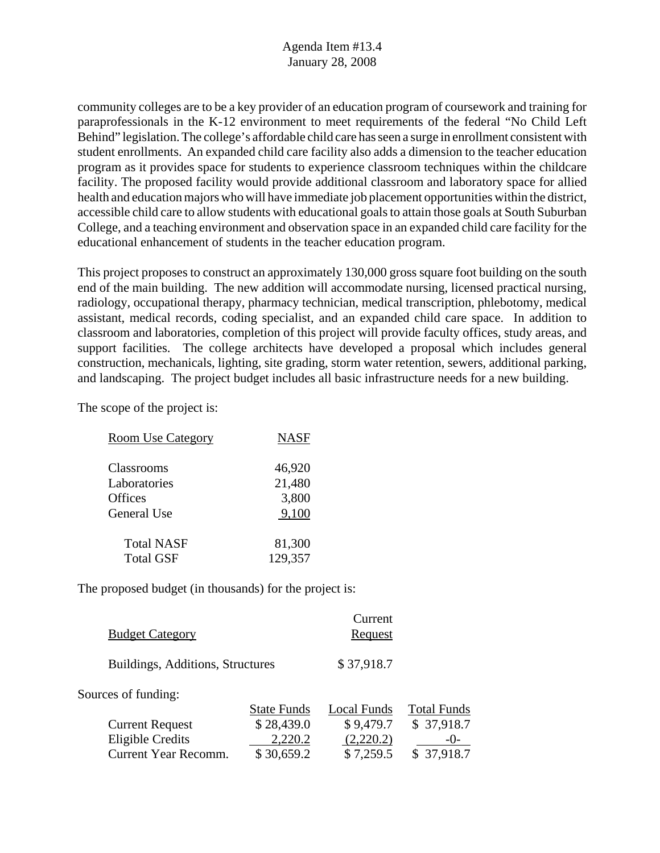community colleges are to be a key provider of an education program of coursework and training for paraprofessionals in the K-12 environment to meet requirements of the federal "No Child Left Behind" legislation. The college's affordable child care has seen a surge in enrollment consistent with student enrollments. An expanded child care facility also adds a dimension to the teacher education program as it provides space for students to experience classroom techniques within the childcare facility. The proposed facility would provide additional classroom and laboratory space for allied health and education majors who will have immediate job placement opportunities within the district, accessible child care to allow students with educational goals to attain those goals at South Suburban College, and a teaching environment and observation space in an expanded child care facility for the educational enhancement of students in the teacher education program.

This project proposes to construct an approximately 130,000 gross square foot building on the south end of the main building. The new addition will accommodate nursing, licensed practical nursing, radiology, occupational therapy, pharmacy technician, medical transcription, phlebotomy, medical assistant, medical records, coding specialist, and an expanded child care space. In addition to classroom and laboratories, completion of this project will provide faculty offices, study areas, and support facilities. The college architects have developed a proposal which includes general construction, mechanicals, lighting, site grading, storm water retention, sewers, additional parking, and landscaping. The project budget includes all basic infrastructure needs for a new building.

The scope of the project is:

| <b>Room Use Category</b> | <b>NASF</b> |
|--------------------------|-------------|
|                          |             |
| Classrooms               | 46,920      |
| Laboratories             | 21,480      |
| Offices                  | 3,800       |
| General Use              | 9,100       |
| <b>Total NASF</b>        | 81,300      |
| <b>Total GSF</b>         | 129,357     |
|                          |             |

| <b>Budget Category</b>           |                    | Current<br>Request |                    |
|----------------------------------|--------------------|--------------------|--------------------|
| Buildings, Additions, Structures |                    | \$37,918.7         |                    |
| Sources of funding:              |                    |                    |                    |
|                                  | <b>State Funds</b> | Local Funds        | <b>Total Funds</b> |
| <b>Current Request</b>           | \$28,439.0         | \$9,479.7          | \$37,918.7         |
| <b>Eligible Credits</b>          | 2,220.2            | (2,220.2)          | $-()$ -            |
| <b>Current Year Recomm.</b>      | \$30,659.2         | \$7,259.5          | \$37,918.7         |
|                                  |                    |                    |                    |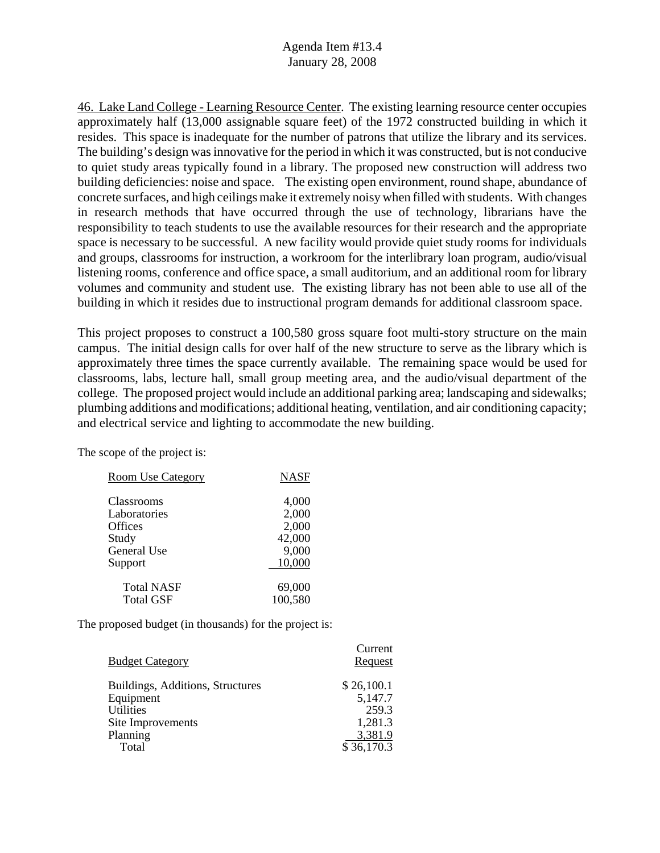46. Lake Land College - Learning Resource Center. The existing learning resource center occupies approximately half (13,000 assignable square feet) of the 1972 constructed building in which it resides. This space is inadequate for the number of patrons that utilize the library and its services. The building's design was innovative for the period in which it was constructed, but is not conducive to quiet study areas typically found in a library. The proposed new construction will address two building deficiencies: noise and space. The existing open environment, round shape, abundance of concrete surfaces, and high ceilings make it extremely noisy when filled with students. With changes in research methods that have occurred through the use of technology, librarians have the responsibility to teach students to use the available resources for their research and the appropriate space is necessary to be successful. A new facility would provide quiet study rooms for individuals and groups, classrooms for instruction, a workroom for the interlibrary loan program, audio/visual listening rooms, conference and office space, a small auditorium, and an additional room for library volumes and community and student use. The existing library has not been able to use all of the building in which it resides due to instructional program demands for additional classroom space.

This project proposes to construct a 100,580 gross square foot multi-story structure on the main campus. The initial design calls for over half of the new structure to serve as the library which is approximately three times the space currently available. The remaining space would be used for classrooms, labs, lecture hall, small group meeting area, and the audio/visual department of the college. The proposed project would include an additional parking area; landscaping and sidewalks; plumbing additions and modifications; additional heating, ventilation, and air conditioning capacity; and electrical service and lighting to accommodate the new building.

The scope of the project is:

| <b>Room Use Category</b>              | <b>NASF</b>                       |
|---------------------------------------|-----------------------------------|
| Classrooms<br>Laboratories<br>Offices | 4,000<br>2,000<br>2,000<br>42,000 |
| Study<br>General Use<br>Support       | 9,000<br>10,000                   |
| <b>Total NASF</b><br><b>Total GSF</b> | 69,000<br>100,580                 |

| <b>Budget Category</b>           | Current<br>Request |
|----------------------------------|--------------------|
| Buildings, Additions, Structures | \$26,100.1         |
| Equipment                        | 5,147.7            |
| <b>Utilities</b>                 | 259.3              |
| Site Improvements                | 1,281.3            |
| Planning                         | 3,381.9            |
| Total                            | \$36,170.3         |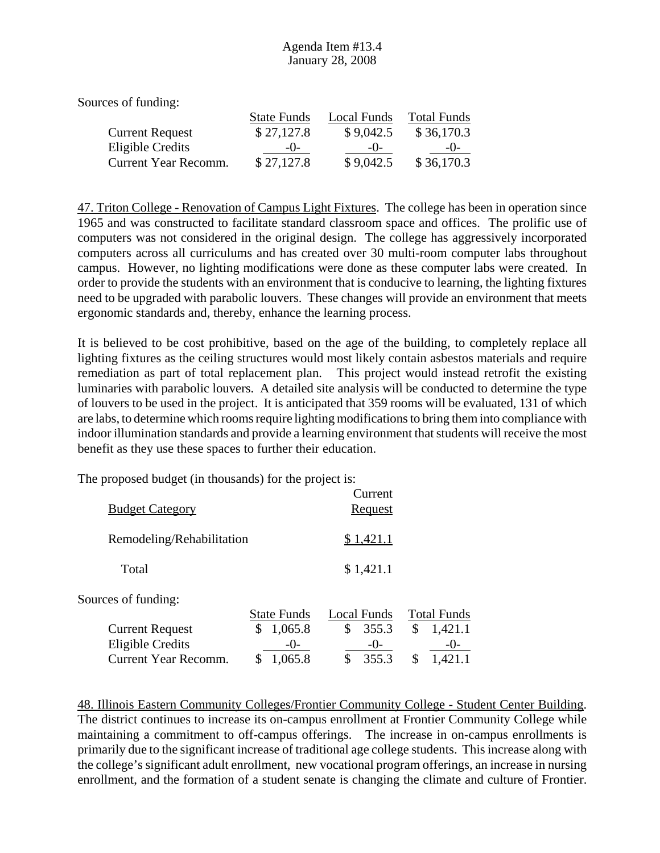Sources of funding:

|                        | <b>State Funds</b> | Local Funds | <b>Total Funds</b> |
|------------------------|--------------------|-------------|--------------------|
| <b>Current Request</b> | \$27,127.8         | \$9,042.5   | \$36,170.3         |
| Eligible Credits       | $-()$              | $-()$       | $-()$              |
| Current Year Recomm.   | \$27,127.8         | \$9,042.5   | \$36,170.3         |

47. Triton College - Renovation of Campus Light Fixtures. The college has been in operation since 1965 and was constructed to facilitate standard classroom space and offices. The prolific use of computers was not considered in the original design. The college has aggressively incorporated computers across all curriculums and has created over 30 multi-room computer labs throughout campus. However, no lighting modifications were done as these computer labs were created. In order to provide the students with an environment that is conducive to learning, the lighting fixtures need to be upgraded with parabolic louvers. These changes will provide an environment that meets ergonomic standards and, thereby, enhance the learning process.

It is believed to be cost prohibitive, based on the age of the building, to completely replace all lighting fixtures as the ceiling structures would most likely contain asbestos materials and require remediation as part of total replacement plan. This project would instead retrofit the existing luminaries with parabolic louvers. A detailed site analysis will be conducted to determine the type of louvers to be used in the project. It is anticipated that 359 rooms will be evaluated, 131 of which are labs, to determine which rooms require lighting modifications to bring them into compliance with indoor illumination standards and provide a learning environment that students will receive the most benefit as they use these spaces to further their education.

The proposed budget (in thousands) for the project is:

| <b>Budget Category</b>      |                    | Current<br><b>Request</b> |                    |
|-----------------------------|--------------------|---------------------------|--------------------|
| Remodeling/Rehabilitation   |                    | \$1,421.1                 |                    |
| Total                       |                    | \$1,421.1                 |                    |
| Sources of funding:         |                    |                           |                    |
|                             | <b>State Funds</b> | Local Funds               | <b>Total Funds</b> |
| <b>Current Request</b>      | 1,065.8<br>\$      | \$<br>355.3               | \$<br>1,421.1      |
| <b>Eligible Credits</b>     | $-()$ -            | $-()$                     | $-()$              |
| <b>Current Year Recomm.</b> | 1,065.8<br>S       | \$<br>355.3               | \$<br>1,421.1      |

48. Illinois Eastern Community Colleges/Frontier Community College - Student Center Building. The district continues to increase its on-campus enrollment at Frontier Community College while maintaining a commitment to off-campus offerings. The increase in on-campus enrollments is primarily due to the significant increase of traditional age college students. This increase along with the college's significant adult enrollment, new vocational program offerings, an increase in nursing enrollment, and the formation of a student senate is changing the climate and culture of Frontier.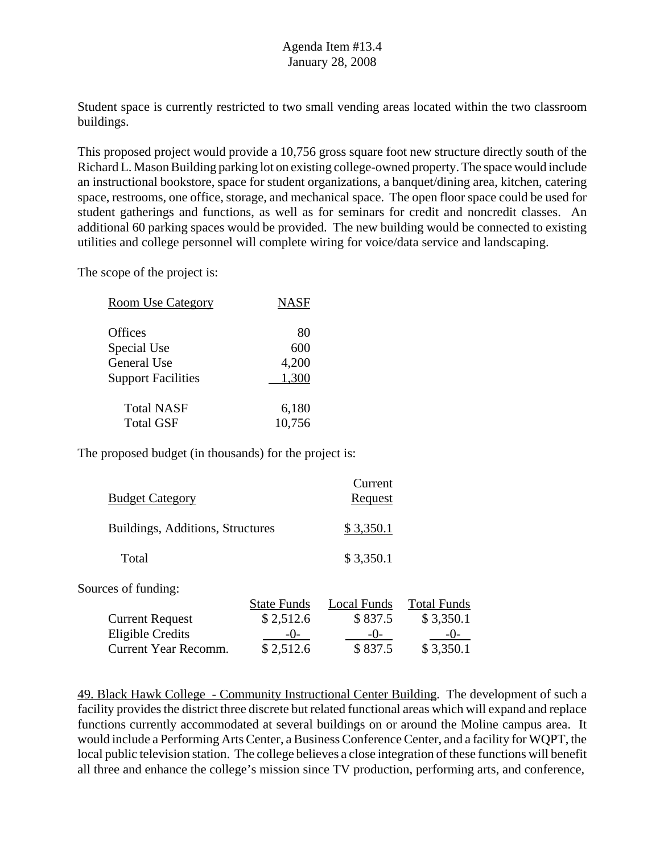Student space is currently restricted to two small vending areas located within the two classroom buildings.

This proposed project would provide a 10,756 gross square foot new structure directly south of the Richard L. Mason Building parking lot on existing college-owned property. The space would include an instructional bookstore, space for student organizations, a banquet/dining area, kitchen, catering space, restrooms, one office, storage, and mechanical space. The open floor space could be used for student gatherings and functions, as well as for seminars for credit and noncredit classes. An additional 60 parking spaces would be provided. The new building would be connected to existing utilities and college personnel will complete wiring for voice/data service and landscaping.

The scope of the project is:

| <b>Room Use Category</b>  | <b>NASF</b> |
|---------------------------|-------------|
| Offices                   | 80          |
| Special Use               | 600         |
| <b>General Use</b>        | 4,200       |
| <b>Support Facilities</b> | 1,300       |
| <b>Total NASF</b>         | 6,180       |
| <b>Total GSF</b>          | 10,756      |

The proposed budget (in thousands) for the project is:

| <b>Budget Category</b>           |                    | Current<br>Request |                    |
|----------------------------------|--------------------|--------------------|--------------------|
| Buildings, Additions, Structures |                    | \$3,350.1          |                    |
| Total                            |                    | \$3,350.1          |                    |
| Sources of funding:              |                    |                    |                    |
|                                  | <b>State Funds</b> | Local Funds        | <b>Total Funds</b> |
| <b>Current Request</b>           | \$2,512.6          | \$837.5            | \$3,350.1          |
| <b>Eligible Credits</b>          | $-()$              | $-()$              | $-()$ -            |
| <b>Current Year Recomm.</b>      | \$2,512.6          | \$837.5            | \$3,350.1          |

49. Black Hawk College - Community Instructional Center Building. The development of such a facility provides the district three discrete but related functional areas which will expand and replace functions currently accommodated at several buildings on or around the Moline campus area. It would include a Performing Arts Center, a Business Conference Center, and a facility for WQPT, the local public television station. The college believes a close integration of these functions will benefit all three and enhance the college's mission since TV production, performing arts, and conference,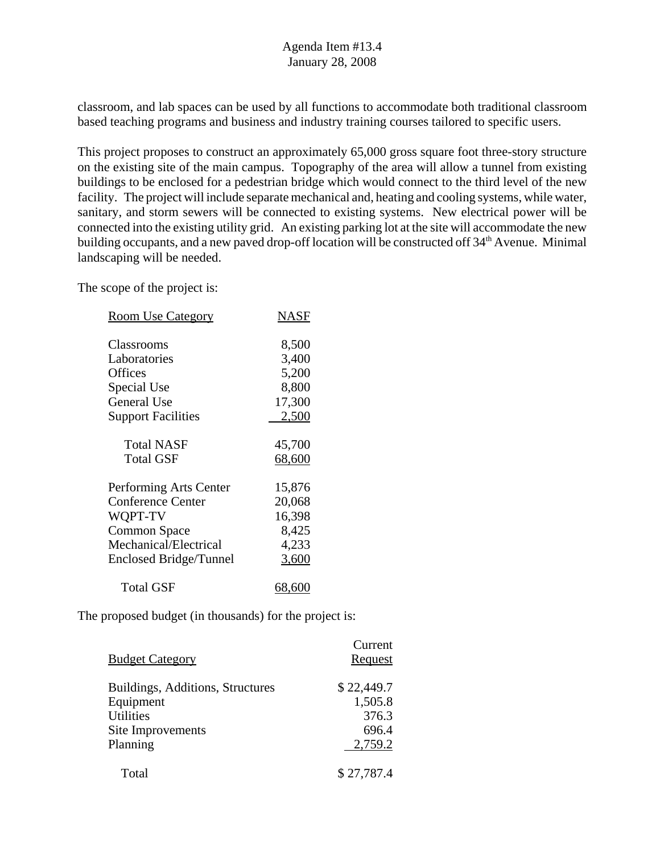classroom, and lab spaces can be used by all functions to accommodate both traditional classroom based teaching programs and business and industry training courses tailored to specific users.

This project proposes to construct an approximately 65,000 gross square foot three-story structure on the existing site of the main campus. Topography of the area will allow a tunnel from existing buildings to be enclosed for a pedestrian bridge which would connect to the third level of the new facility. The project will include separate mechanical and, heating and cooling systems, while water, sanitary, and storm sewers will be connected to existing systems. New electrical power will be connected into the existing utility grid. An existing parking lot at the site will accommodate the new building occupants, and a new paved drop-off location will be constructed off  $34<sup>th</sup>$  Avenue. Minimal landscaping will be needed.

The scope of the project is:

| <b>Room Use Category</b>      | NASF   |
|-------------------------------|--------|
| Classrooms                    | 8,500  |
| Laboratories                  | 3,400  |
| Offices                       | 5,200  |
| Special Use                   | 8,800  |
| <b>General Use</b>            | 17,300 |
| <b>Support Facilities</b>     | 2,500  |
| <b>Total NASF</b>             | 45,700 |
| <b>Total GSF</b>              | 68,600 |
| Performing Arts Center        | 15,876 |
| <b>Conference Center</b>      | 20,068 |
| WQPT-TV                       | 16,398 |
| <b>Common Space</b>           | 8,425  |
| Mechanical/Electrical         | 4,233  |
| <b>Enclosed Bridge/Tunnel</b> | 3,600  |
| Total GSF                     | 68,60C |

| <b>Budget Category</b>           | Current<br>Request |
|----------------------------------|--------------------|
|                                  |                    |
| Buildings, Additions, Structures | \$22,449.7         |
| Equipment                        | 1,505.8            |
| <b>Utilities</b>                 | 376.3              |
| Site Improvements                | 696.4              |
| Planning                         | 2,759.2            |
| Total                            | \$27,787.4         |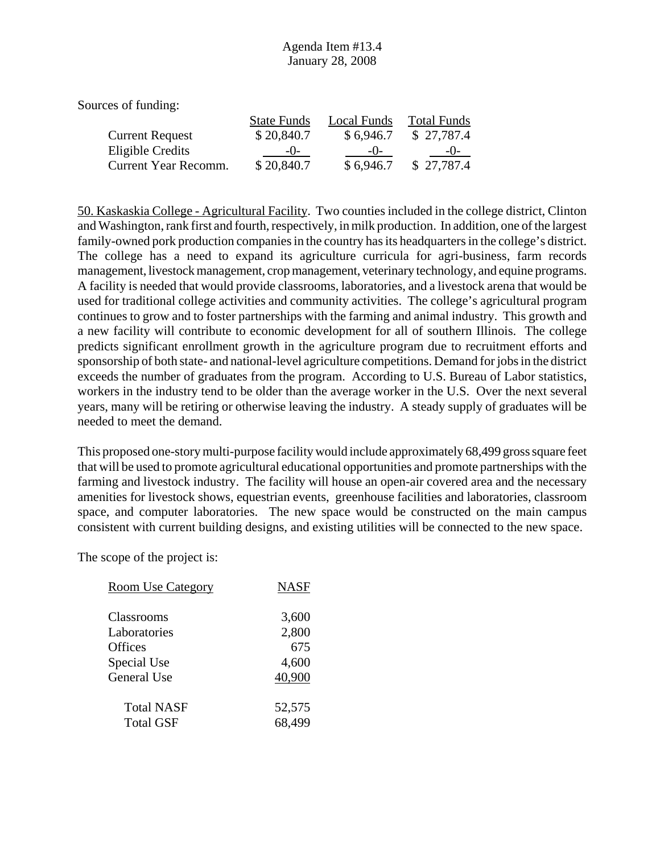| Sources of funding:    |                    |             |                    |
|------------------------|--------------------|-------------|--------------------|
|                        | <b>State Funds</b> | Local Funds | <b>Total Funds</b> |
| <b>Current Request</b> | \$20,840.7         | \$6,946.7   | \$27,787.4         |
| Eligible Credits       | $-()$              | $-()$       | $-()$              |
| Current Year Recomm.   | \$20,840.7         | \$6,946.7   | \$27,787.4         |

50. Kaskaskia College - Agricultural Facility. Two counties included in the college district, Clinton and Washington, rank first and fourth, respectively, in milk production. In addition, one of the largest family-owned pork production companies in the country has its headquarters in the college's district. The college has a need to expand its agriculture curricula for agri-business, farm records management, livestock management, crop management, veterinary technology, and equine programs. A facility is needed that would provide classrooms, laboratories, and a livestock arena that would be used for traditional college activities and community activities. The college's agricultural program continues to grow and to foster partnerships with the farming and animal industry. This growth and a new facility will contribute to economic development for all of southern Illinois. The college predicts significant enrollment growth in the agriculture program due to recruitment efforts and sponsorship of both state- and national-level agriculture competitions. Demand for jobs in the district exceeds the number of graduates from the program. According to U.S. Bureau of Labor statistics, workers in the industry tend to be older than the average worker in the U.S. Over the next several years, many will be retiring or otherwise leaving the industry. A steady supply of graduates will be needed to meet the demand.

This proposed one-story multi-purpose facility would include approximately 68,499 gross square feet that will be used to promote agricultural educational opportunities and promote partnerships with the farming and livestock industry. The facility will house an open-air covered area and the necessary amenities for livestock shows, equestrian events, greenhouse facilities and laboratories, classroom space, and computer laboratories. The new space would be constructed on the main campus consistent with current building designs, and existing utilities will be connected to the new space.

| <b>Room Use Category</b> | <b>NASF</b> |
|--------------------------|-------------|
|                          |             |
| Classrooms               | 3,600       |
| Laboratories             | 2,800       |
| Offices                  | 675         |
| Special Use              | 4,600       |
| <b>General Use</b>       | 40,900      |
| <b>Total NASF</b>        | 52,575      |
| <b>Total GSF</b>         | 68,499      |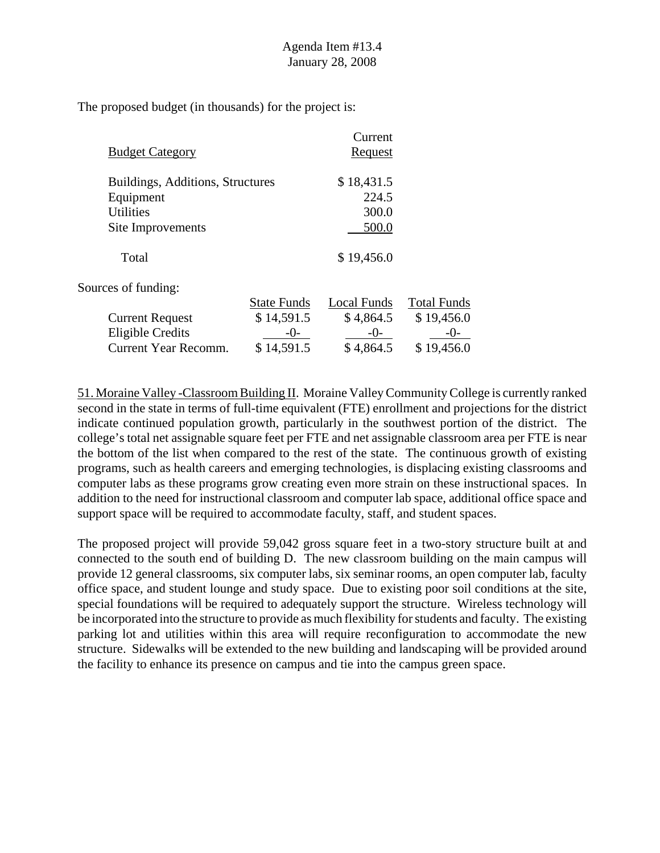|                                  |                    | Current     |                    |
|----------------------------------|--------------------|-------------|--------------------|
| <b>Budget Category</b>           |                    | Request     |                    |
| Buildings, Additions, Structures |                    | \$18,431.5  |                    |
| Equipment                        |                    | 224.5       |                    |
| <b>Utilities</b>                 |                    | 300.0       |                    |
| Site Improvements                |                    | 500.0       |                    |
| Total                            |                    | \$19,456.0  |                    |
| Sources of funding:              |                    |             |                    |
|                                  | <b>State Funds</b> | Local Funds | <b>Total Funds</b> |
| <b>Current Request</b>           | \$14,591.5         | \$4,864.5   | \$19,456.0         |
| Eligible Credits                 | $-0-$              | $-0-$       | $-()$ -            |
| <b>Current Year Recomm.</b>      | \$14,591.5         | \$4,864.5   | \$19,456.0         |

51. Moraine Valley -Classroom Building II. Moraine Valley Community College is currently ranked second in the state in terms of full-time equivalent (FTE) enrollment and projections for the district indicate continued population growth, particularly in the southwest portion of the district. The college's total net assignable square feet per FTE and net assignable classroom area per FTE is near the bottom of the list when compared to the rest of the state. The continuous growth of existing programs, such as health careers and emerging technologies, is displacing existing classrooms and computer labs as these programs grow creating even more strain on these instructional spaces. In addition to the need for instructional classroom and computer lab space, additional office space and support space will be required to accommodate faculty, staff, and student spaces.

The proposed project will provide 59,042 gross square feet in a two-story structure built at and connected to the south end of building D. The new classroom building on the main campus will provide 12 general classrooms, six computer labs, six seminar rooms, an open computer lab, faculty office space, and student lounge and study space. Due to existing poor soil conditions at the site, special foundations will be required to adequately support the structure. Wireless technology will be incorporated into the structure to provide as much flexibility for students and faculty. The existing parking lot and utilities within this area will require reconfiguration to accommodate the new structure. Sidewalks will be extended to the new building and landscaping will be provided around the facility to enhance its presence on campus and tie into the campus green space.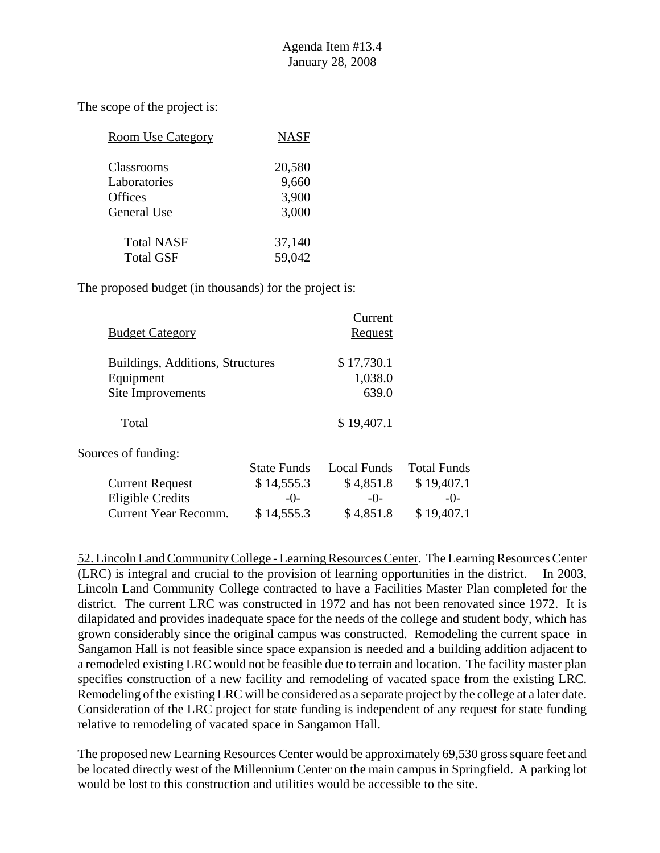| <b>Room Use Category</b> | <b>NASF</b> |
|--------------------------|-------------|
| Classrooms               | 20,580      |
| Laboratories             | 9,660       |
| Offices                  | 3,900       |
| General Use              | 3,000       |
| <b>Total NASF</b>        | 37,140      |
| <b>Total GSF</b>         | 59,042      |

The proposed budget (in thousands) for the project is:

| <b>Budget Category</b>               | Current<br>Request |                    |
|--------------------------------------|--------------------|--------------------|
| Buildings, Additions, Structures     | \$17,730.1         |                    |
| Equipment                            | 1,038.0            |                    |
| Site Improvements                    | 639.0              |                    |
| Total                                | \$19,407.1         |                    |
| Sources of funding:                  |                    |                    |
| <b>State Funds</b>                   | <b>Local Funds</b> | <b>Total Funds</b> |
| \$14,555.3<br><b>Current Request</b> | \$4,851.8          | \$19,407.1         |
| <b>Eligible Credits</b><br>$-()$ -   | $-()$              |                    |
| \$14,555.3<br>Current Year Recomm.   | \$4,851.8          | \$19,407.1         |

52. Lincoln Land Community College - Learning Resources Center. The Learning Resources Center (LRC) is integral and crucial to the provision of learning opportunities in the district. In 2003, Lincoln Land Community College contracted to have a Facilities Master Plan completed for the district. The current LRC was constructed in 1972 and has not been renovated since 1972. It is dilapidated and provides inadequate space for the needs of the college and student body, which has grown considerably since the original campus was constructed. Remodeling the current space in Sangamon Hall is not feasible since space expansion is needed and a building addition adjacent to a remodeled existing LRC would not be feasible due to terrain and location. The facility master plan specifies construction of a new facility and remodeling of vacated space from the existing LRC. Remodeling of the existing LRC will be considered as a separate project by the college at a later date. Consideration of the LRC project for state funding is independent of any request for state funding relative to remodeling of vacated space in Sangamon Hall.

The proposed new Learning Resources Center would be approximately 69,530 gross square feet and be located directly west of the Millennium Center on the main campus in Springfield. A parking lot would be lost to this construction and utilities would be accessible to the site.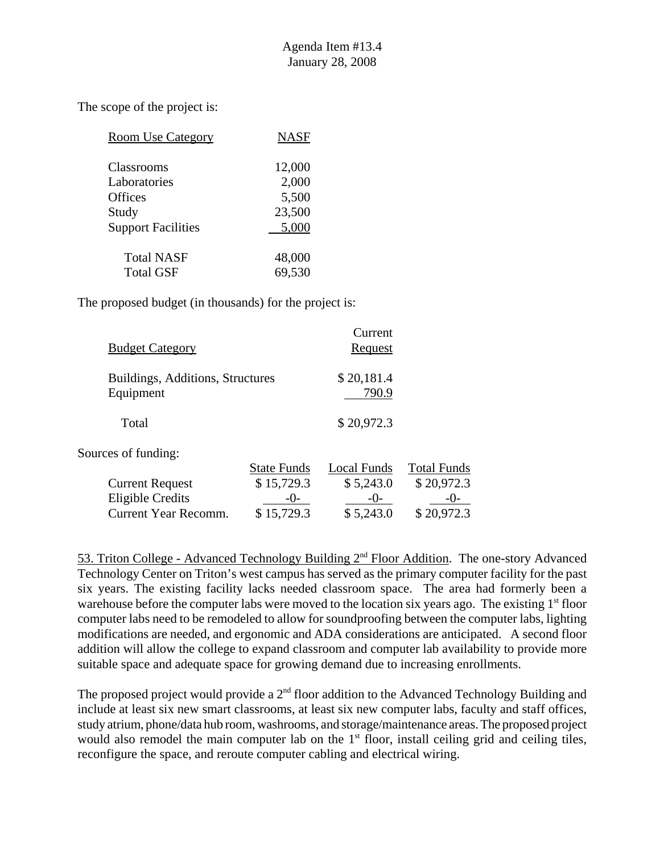| <b>Room Use Category</b>  | <b>NASF</b> |
|---------------------------|-------------|
| Classrooms                | 12,000      |
| Laboratories              | 2,000       |
| <b>Offices</b>            | 5,500       |
| Study                     | 23,500      |
| <b>Support Facilities</b> | 5,000       |
| <b>Total NASF</b>         | 48,000      |
| <b>Total GSF</b>          | 69,530      |

The proposed budget (in thousands) for the project is:

| <b>Budget Category</b>                        |                    | Current<br>Request  |                    |
|-----------------------------------------------|--------------------|---------------------|--------------------|
| Buildings, Additions, Structures<br>Equipment |                    | \$20,181.4<br>790.9 |                    |
| Total                                         |                    | \$20,972.3          |                    |
| Sources of funding:                           |                    |                     |                    |
|                                               | <b>State Funds</b> | <b>Local Funds</b>  | <b>Total Funds</b> |
| <b>Current Request</b>                        | \$15,729.3         | \$5,243.0           | \$20,972.3         |
| <b>Eligible Credits</b>                       | $-()$ -            | $-()$               | -()-               |
| Current Year Recomm.                          | \$15,729.3         | \$5,243.0           | \$20,972.3         |

53. Triton College - Advanced Technology Building 2nd Floor Addition. The one-story Advanced Technology Center on Triton's west campus has served as the primary computer facility for the past six years. The existing facility lacks needed classroom space. The area had formerly been a warehouse before the computer labs were moved to the location six years ago. The existing  $1<sup>st</sup>$  floor computer labs need to be remodeled to allow for soundproofing between the computer labs, lighting modifications are needed, and ergonomic and ADA considerations are anticipated. A second floor addition will allow the college to expand classroom and computer lab availability to provide more suitable space and adequate space for growing demand due to increasing enrollments.

The proposed project would provide a  $2<sup>nd</sup>$  floor addition to the Advanced Technology Building and include at least six new smart classrooms, at least six new computer labs, faculty and staff offices, study atrium, phone/data hub room, washrooms, and storage/maintenance areas. The proposed project would also remodel the main computer lab on the  $1<sup>st</sup>$  floor, install ceiling grid and ceiling tiles, reconfigure the space, and reroute computer cabling and electrical wiring.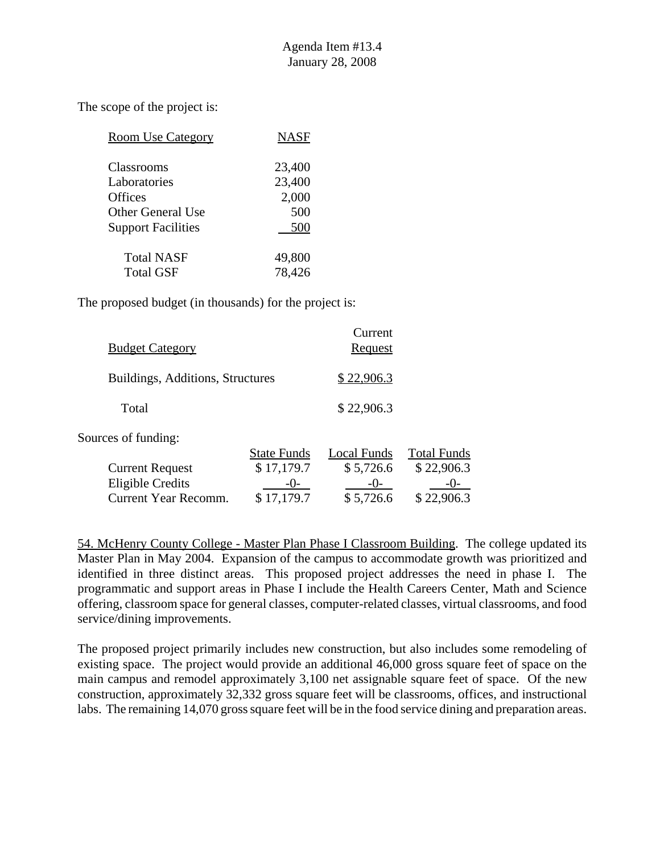| <b>Room Use Category</b>  | <b>NASF</b> |
|---------------------------|-------------|
| Classrooms                | 23,400      |
| Laboratories              | 23,400      |
| <b>Offices</b>            | 2,000       |
| Other General Use         | 500         |
| <b>Support Facilities</b> | 500         |
| <b>Total NASF</b>         | 49,800      |
| <b>Total GSF</b>          | 78,426      |

The proposed budget (in thousands) for the project is:

| <b>Budget Category</b>           |                    | Current<br><u>Request</u> |                    |
|----------------------------------|--------------------|---------------------------|--------------------|
| Buildings, Additions, Structures |                    | \$22,906.3                |                    |
| Total                            |                    | \$22,906.3                |                    |
| Sources of funding:              |                    |                           |                    |
|                                  | <b>State Funds</b> | Local Funds               | <b>Total Funds</b> |
| <b>Current Request</b>           | \$17,179.7         | \$5,726.6                 | \$22,906.3         |
| <b>Eligible Credits</b>          |                    | $-()$                     | $-()$ -            |
| Current Year Recomm.             | 17,179.7           | \$5,726.6                 | \$22,906.3         |
|                                  |                    |                           |                    |

54. McHenry County College - Master Plan Phase I Classroom Building. The college updated its Master Plan in May 2004. Expansion of the campus to accommodate growth was prioritized and identified in three distinct areas. This proposed project addresses the need in phase I. The programmatic and support areas in Phase I include the Health Careers Center, Math and Science offering, classroom space for general classes, computer-related classes, virtual classrooms, and food service/dining improvements.

The proposed project primarily includes new construction, but also includes some remodeling of existing space. The project would provide an additional 46,000 gross square feet of space on the main campus and remodel approximately 3,100 net assignable square feet of space. Of the new construction, approximately 32,332 gross square feet will be classrooms, offices, and instructional labs. The remaining 14,070 gross square feet will be in the food service dining and preparation areas.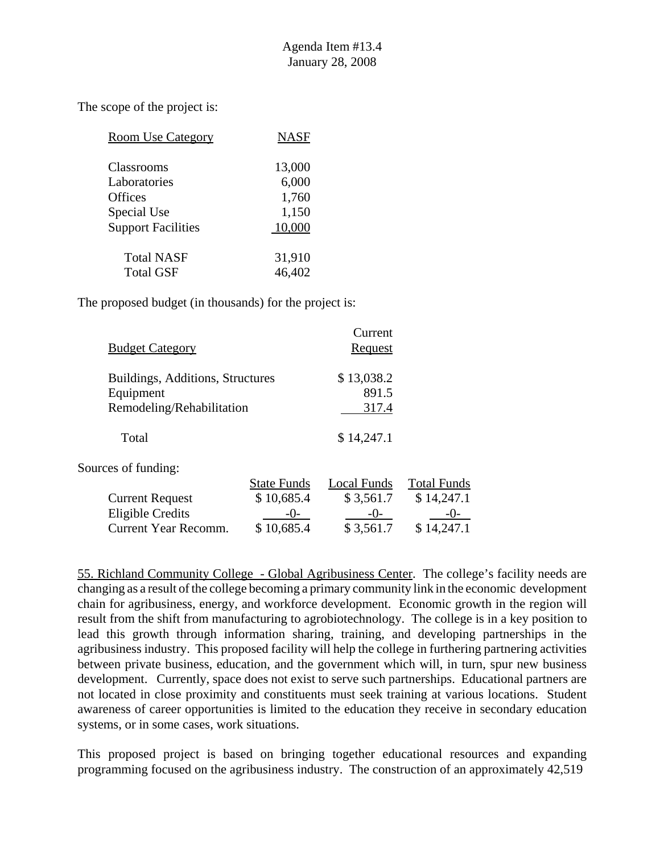| <b>Room Use Category</b>  | <b>NASF</b> |
|---------------------------|-------------|
| Classrooms                | 13,000      |
| Laboratories              | 6,000       |
| Offices                   | 1,760       |
| Special Use               | 1,150       |
| <b>Support Facilities</b> | 10,000      |
| <b>Total NASF</b>         | 31,910      |
| <b>Total GSF</b>          | 46,402      |

The proposed budget (in thousands) for the project is:

|                                  |                    | Current        |                    |
|----------------------------------|--------------------|----------------|--------------------|
| <b>Budget Category</b>           |                    | <b>Request</b> |                    |
| Buildings, Additions, Structures |                    | \$13,038.2     |                    |
| Equipment                        |                    | 891.5          |                    |
| Remodeling/Rehabilitation        |                    | 317.4          |                    |
| Total                            |                    | \$14,247.1     |                    |
| Sources of funding:              |                    |                |                    |
|                                  | <b>State Funds</b> | Local Funds    | <b>Total Funds</b> |
| <b>Current Request</b>           | \$10,685.4         | \$3,561.7      | \$14,247.1         |
| <b>Eligible Credits</b>          | $-()$ -            | $-()$          | $-()$              |
| <b>Current Year Recomm.</b>      | \$10,685.4         | \$3,561.7      | \$14,247.1         |

55. Richland Community College - Global Agribusiness Center. The college's facility needs are changing as a result of the college becoming a primary community link in the economic development chain for agribusiness, energy, and workforce development. Economic growth in the region will result from the shift from manufacturing to agrobiotechnology. The college is in a key position to lead this growth through information sharing, training, and developing partnerships in the agribusiness industry. This proposed facility will help the college in furthering partnering activities between private business, education, and the government which will, in turn, spur new business development. Currently, space does not exist to serve such partnerships. Educational partners are not located in close proximity and constituents must seek training at various locations. Student awareness of career opportunities is limited to the education they receive in secondary education systems, or in some cases, work situations.

This proposed project is based on bringing together educational resources and expanding programming focused on the agribusiness industry. The construction of an approximately 42,519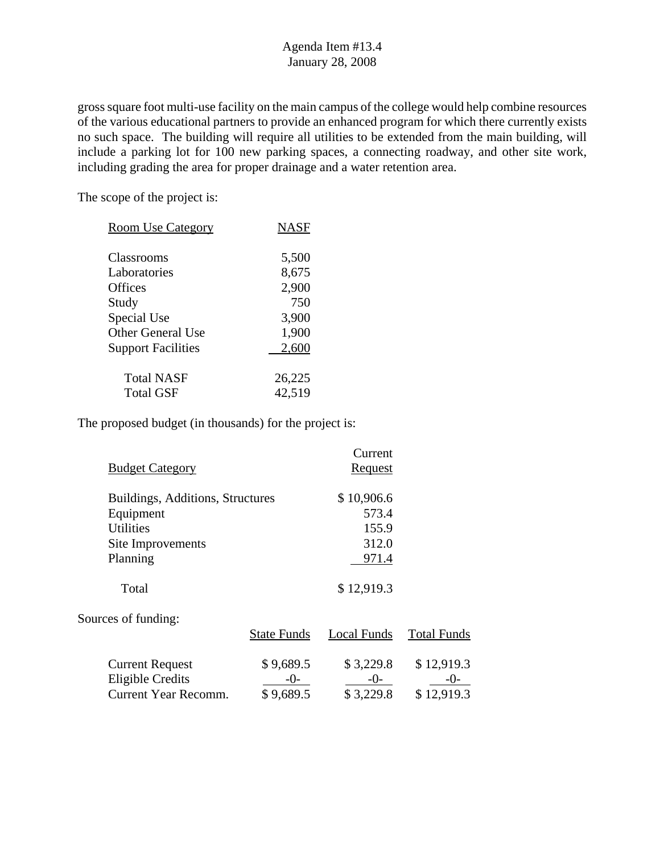gross square foot multi-use facility on the main campus of the college would help combine resources of the various educational partners to provide an enhanced program for which there currently exists no such space. The building will require all utilities to be extended from the main building, will include a parking lot for 100 new parking spaces, a connecting roadway, and other site work, including grading the area for proper drainage and a water retention area.

The scope of the project is:

| <b>Room Use Category</b>  | <b>NASF</b> |
|---------------------------|-------------|
| Classrooms                | 5,500       |
| Laboratories              | 8,675       |
| Offices                   | 2,900       |
| Study                     | 750         |
| Special Use               | 3,900       |
| <b>Other General Use</b>  | 1,900       |
| <b>Support Facilities</b> | 2,600       |
|                           |             |
| <b>Total NASF</b>         | 26,225      |
| <b>Total GSF</b>          | 42,519      |

|                                  |                    | Current        |                    |
|----------------------------------|--------------------|----------------|--------------------|
| <b>Budget Category</b>           |                    | <b>Request</b> |                    |
| Buildings, Additions, Structures |                    | \$10,906.6     |                    |
| Equipment                        |                    | 573.4          |                    |
| <b>Utilities</b>                 |                    | 155.9          |                    |
| Site Improvements                |                    | 312.0          |                    |
| Planning                         |                    | 971.4          |                    |
| Total                            |                    | \$12,919.3     |                    |
| Sources of funding:              |                    |                |                    |
|                                  | <b>State Funds</b> | Local Funds    | <b>Total Funds</b> |
| <b>Current Request</b>           | \$9,689.5          | \$3,229.8      | \$12,919.3         |
| <b>Eligible Credits</b>          | $-0-$              | $-()$          | $-()$ -            |
| Current Year Recomm.             | \$9,689.5          | \$3,229.8      | \$12,919.3         |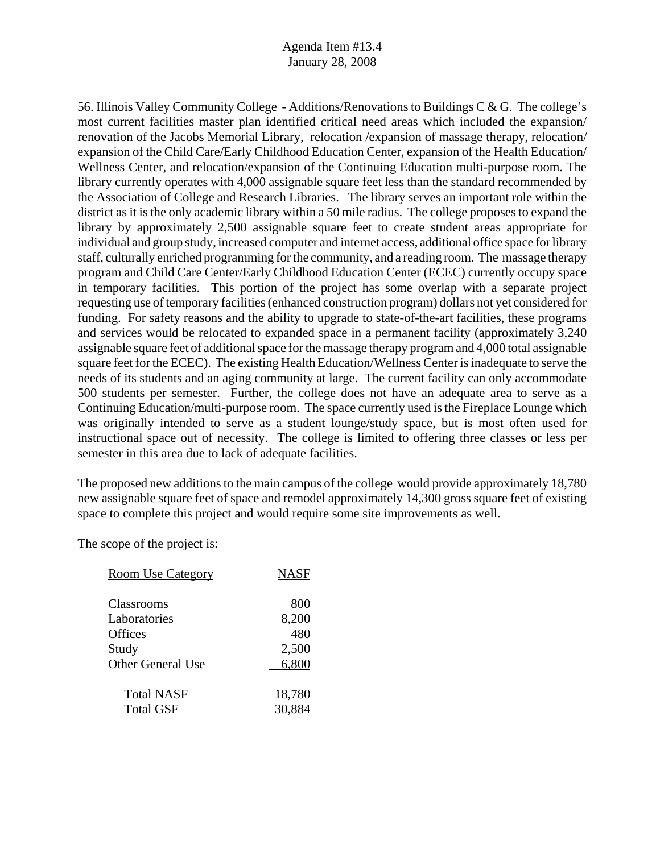56. Illinois Valley Community College - Additions/Renovations to Buildings C & G. The college's most current facilities master plan identified critical need areas which included the expansion/ renovation of the Jacobs Memorial Library, relocation /expansion of massage therapy, relocation/ expansion of the Child Care/Early Childhood Education Center, expansion of the Health Education/ Wellness Center, and relocation/expansion of the Continuing Education multi-purpose room. The library currently operates with 4,000 assignable square feet less than the standard recommended by the Association of College and Research Libraries. The library serves an important role within the district as it is the only academic library within a 50 mile radius. The college proposes to expand the library by approximately 2,500 assignable square feet to create student areas appropriate for individual and group study, increased computer and internet access, additional office space for library staff, culturally enriched programming for the community, and a reading room. The massage therapy program and Child Care Center/Early Childhood Education Center (ECEC) currently occupy space in temporary facilities. This portion of the project has some overlap with a separate project requesting use of temporary facilities (enhanced construction program) dollars not yet considered for funding. For safety reasons and the ability to upgrade to state-of-the-art facilities, these programs and services would be relocated to expanded space in a permanent facility (approximately 3,240 assignable square feet of additional space for the massage therapy program and 4,000 total assignable square feet for the ECEC). The existing Health Education/Wellness Center is inadequate to serve the needs of its students and an aging community at large. The current facility can only accommodate 500 students per semester. Further, the college does not have an adequate area to serve as a Continuing Education/multi-purpose room. The space currently used is the Fireplace Lounge which was originally intended to serve as a student lounge/study space, but is most often used for instructional space out of necessity. The college is limited to offering three classes or less per semester in this area due to lack of adequate facilities.

The proposed new additions to the main campus of the college would provide approximately 18,780 new assignable square feet of space and remodel approximately 14,300 gross square feet of existing space to complete this project and would require some site improvements as well.

| <b>Room Use Category</b> | <b>NASF</b> |
|--------------------------|-------------|
| Classrooms               | 800         |
| Laboratories             | 8,200       |
| Offices                  | 480         |
| Study                    | 2,500       |
| Other General Use        | 6,800       |
| <b>Total NASF</b>        | 18,780      |
| <b>Total GSF</b>         | 30,884      |